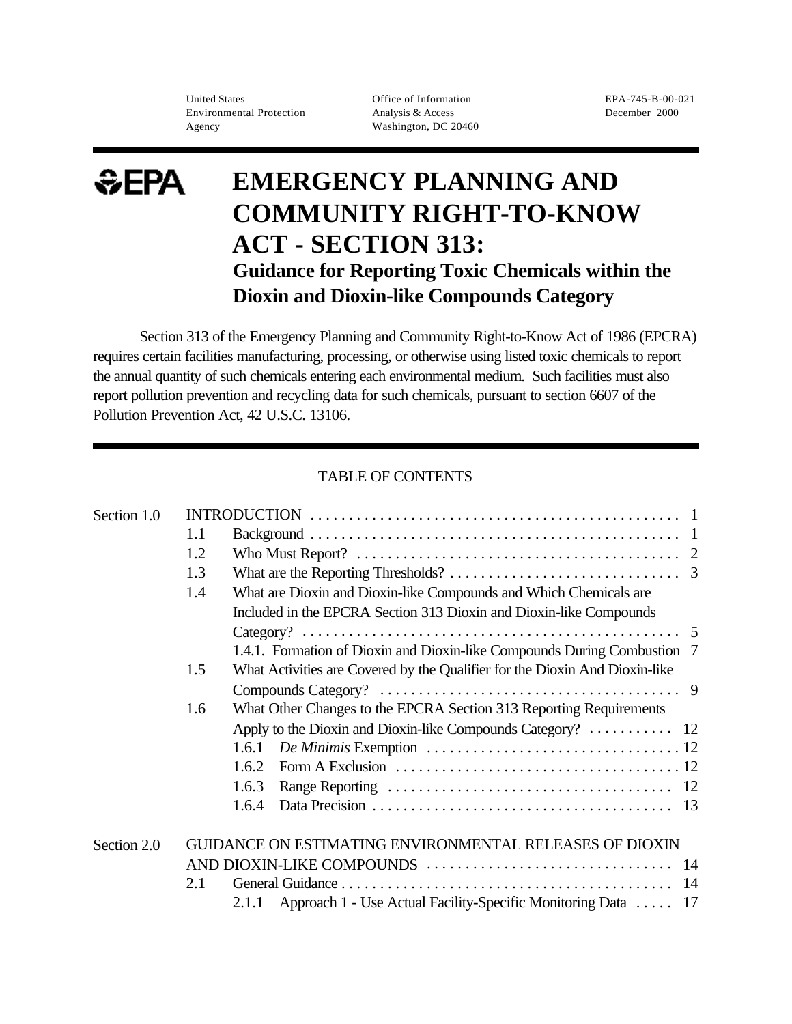United States Office of Information EPA-745-B-00-021 Environmental Protection Analysis & Access December 2000 Agency Washington, DC 20460

# $EFA$ **EMERGENCY PLANNING AND COMMUNITY RIGHT-TO-KNOW ACT - SECTION 313: Guidance for Reporting Toxic Chemicals within the Dioxin and Dioxin-like Compounds Category**

Section 313 of the Emergency Planning and Community Right-to-Know Act of 1986 (EPCRA) requires certain facilities manufacturing, processing, or otherwise using listed toxic chemicals to report the annual quantity of such chemicals entering each environmental medium. Such facilities must also report pollution prevention and recycling data for such chemicals, pursuant to section 6607 of the Pollution Prevention Act, 42 U.S.C. 13106.

## TABLE OF CONTENTS

| Section 1.0 |     |                                                                                                                    |
|-------------|-----|--------------------------------------------------------------------------------------------------------------------|
|             | 1.1 |                                                                                                                    |
|             | 1.2 | Who Must Report? $\ldots \ldots \ldots \ldots \ldots \ldots \ldots \ldots \ldots \ldots \ldots \ldots \ldots$      |
|             | 1.3 |                                                                                                                    |
|             | 1.4 | What are Dioxin and Dioxin-like Compounds and Which Chemicals are                                                  |
|             |     | Included in the EPCRA Section 313 Dioxin and Dioxin-like Compounds                                                 |
|             |     |                                                                                                                    |
|             |     | 1.4.1. Formation of Dioxin and Dioxin-like Compounds During Combustion 7                                           |
|             | 1.5 | What Activities are Covered by the Qualifier for the Dioxin And Dioxin-like                                        |
|             |     |                                                                                                                    |
|             | 1.6 | What Other Changes to the EPCRA Section 313 Reporting Requirements                                                 |
|             |     | Apply to the Dioxin and Dioxin-like Compounds Category? $\dots \dots \dots \dots$ 12                               |
|             |     | 1.6.1                                                                                                              |
|             |     | Form A Exclusion $\dots \dots \dots \dots \dots \dots \dots \dots \dots \dots \dots \dots \dots \dots 12$<br>1.6.2 |
|             |     | 1.6.3                                                                                                              |
|             |     | 1.6.4                                                                                                              |
| Section 2.0 |     | GUIDANCE ON ESTIMATING ENVIRONMENTAL RELEASES OF DIOXIN                                                            |
|             |     |                                                                                                                    |
|             | 2.1 |                                                                                                                    |
|             |     | Approach 1 - Use Actual Facility-Specific Monitoring Data  17<br>2.1.1                                             |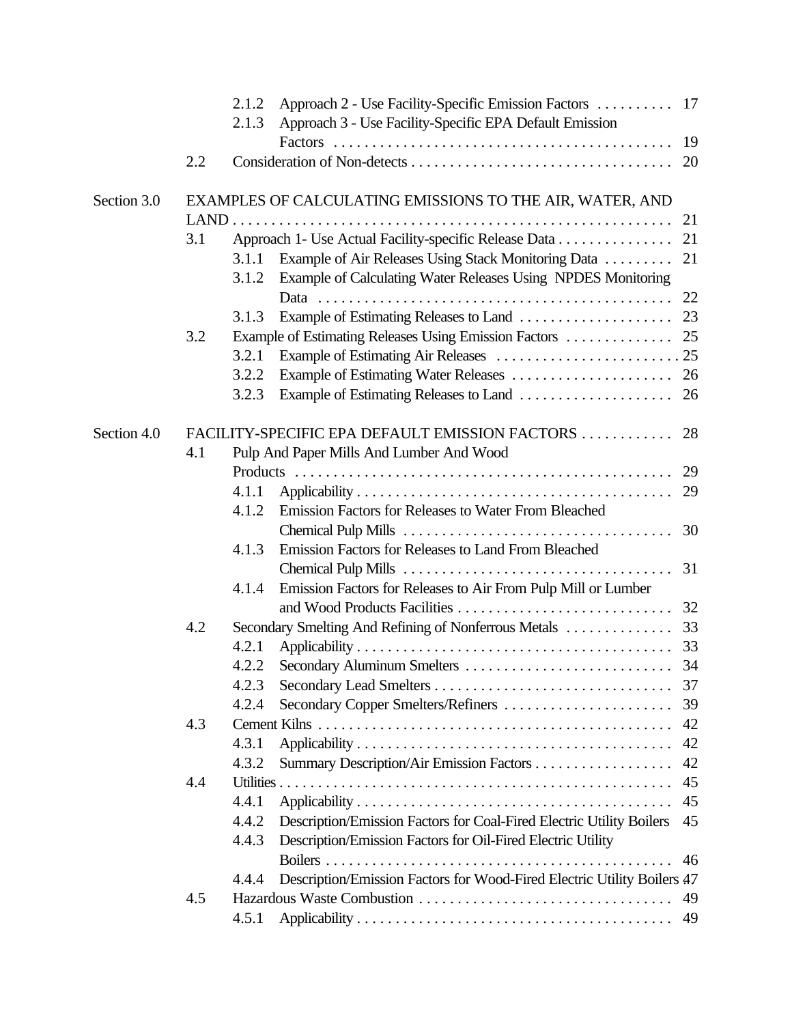|             |     | 2.1.2 |                                                                         |    |
|-------------|-----|-------|-------------------------------------------------------------------------|----|
|             |     | 2.1.3 | Approach 3 - Use Facility-Specific EPA Default Emission                 |    |
|             |     |       |                                                                         |    |
|             | 2.2 |       |                                                                         |    |
| Section 3.0 |     |       | EXAMPLES OF CALCULATING EMISSIONS TO THE AIR, WATER, AND                |    |
|             |     |       |                                                                         | 21 |
|             | 3.1 |       | Approach 1- Use Actual Facility-specific Release Data                   | 21 |
|             |     | 3.1.1 | Example of Air Releases Using Stack Monitoring Data                     | 21 |
|             |     | 3.1.2 | Example of Calculating Water Releases Using NPDES Monitoring            |    |
|             |     |       |                                                                         |    |
|             |     | 3.1.3 |                                                                         |    |
|             | 3.2 |       |                                                                         |    |
|             |     | 3.2.1 |                                                                         |    |
|             |     | 3.2.2 |                                                                         |    |
|             |     | 3.2.3 |                                                                         |    |
| Section 4.0 |     |       | FACILITY-SPECIFIC EPA DEFAULT EMISSION FACTORS                          | 28 |
|             | 4.1 |       | Pulp And Paper Mills And Lumber And Wood                                |    |
|             |     |       |                                                                         | 29 |
|             |     | 4.1.1 |                                                                         | 29 |
|             |     | 4.1.2 | Emission Factors for Releases to Water From Bleached                    |    |
|             |     |       |                                                                         |    |
|             |     | 4.1.3 | Emission Factors for Releases to Land From Bleached                     |    |
|             |     |       |                                                                         | 31 |
|             |     | 4.1.4 | Emission Factors for Releases to Air From Pulp Mill or Lumber           |    |
|             |     |       |                                                                         |    |
|             | 4.2 |       |                                                                         |    |
|             |     | 4.2.1 |                                                                         |    |
|             |     | 4.2.2 |                                                                         |    |
|             |     | 4.2.3 |                                                                         | 37 |
|             |     | 4.2.4 | Secondary Copper Smelters/Refiners                                      | 39 |
|             | 4.3 |       |                                                                         | 42 |
|             |     | 4.3.1 |                                                                         | 42 |
|             |     | 4.3.2 |                                                                         | 42 |
|             | 4.4 |       |                                                                         | 45 |
|             |     | 4.4.1 |                                                                         | 45 |
|             |     | 4.4.2 | Description/Emission Factors for Coal-Fired Electric Utility Boilers    | 45 |
|             |     | 4.4.3 | Description/Emission Factors for Oil-Fired Electric Utility             |    |
|             |     |       |                                                                         | 46 |
|             |     | 4.4.4 | Description/Emission Factors for Wood-Fired Electric Utility Boilers 47 |    |
|             | 4.5 |       |                                                                         | 49 |
|             |     | 4.5.1 |                                                                         | 49 |
|             |     |       |                                                                         |    |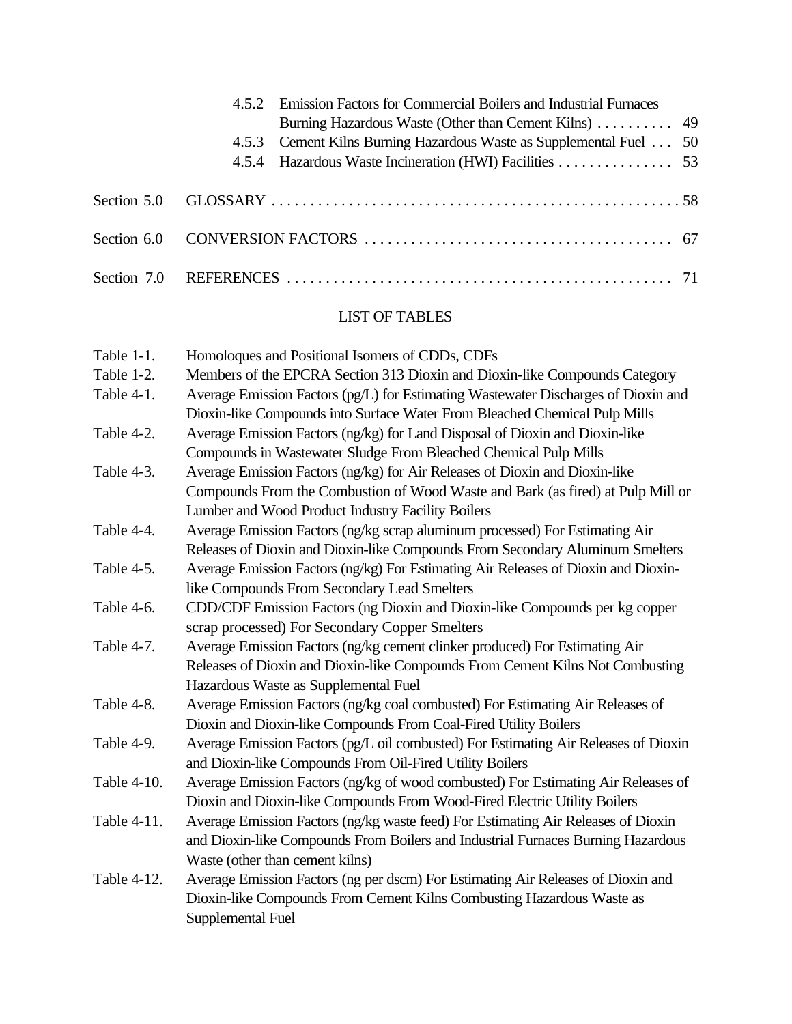|  | 4.5.2 Emission Factors for Commercial Boilers and Industrial Furnaces<br>4.5.3 Cement Kilns Burning Hazardous Waste as Supplemental Fuel 50<br>4.5.4 Hazardous Waste Incineration (HWI) Facilities 53 |  |
|--|-------------------------------------------------------------------------------------------------------------------------------------------------------------------------------------------------------|--|
|  |                                                                                                                                                                                                       |  |
|  |                                                                                                                                                                                                       |  |
|  |                                                                                                                                                                                                       |  |

# LIST OF TABLES

| Table 1-1.  | Homoloques and Positional Isomers of CDDs, CDFs                                     |
|-------------|-------------------------------------------------------------------------------------|
| Table 1-2.  | Members of the EPCRA Section 313 Dioxin and Dioxin-like Compounds Category          |
| Table 4-1.  | Average Emission Factors (pg/L) for Estimating Wastewater Discharges of Dioxin and  |
|             | Dioxin-like Compounds into Surface Water From Bleached Chemical Pulp Mills          |
| Table 4-2.  | Average Emission Factors (ng/kg) for Land Disposal of Dioxin and Dioxin-like        |
|             | Compounds in Wastewater Sludge From Bleached Chemical Pulp Mills                    |
| Table 4-3.  | Average Emission Factors (ng/kg) for Air Releases of Dioxin and Dioxin-like         |
|             | Compounds From the Combustion of Wood Waste and Bark (as fired) at Pulp Mill or     |
|             | Lumber and Wood Product Industry Facility Boilers                                   |
| Table 4-4.  | Average Emission Factors (ng/kg scrap aluminum processed) For Estimating Air        |
|             | Releases of Dioxin and Dioxin-like Compounds From Secondary Aluminum Smelters       |
| Table 4-5.  | Average Emission Factors (ng/kg) For Estimating Air Releases of Dioxin and Dioxin-  |
|             | like Compounds From Secondary Lead Smelters                                         |
| Table 4-6.  | CDD/CDF Emission Factors (ng Dioxin and Dioxin-like Compounds per kg copper         |
|             | scrap processed) For Secondary Copper Smelters                                      |
| Table 4-7.  | Average Emission Factors (ng/kg cement clinker produced) For Estimating Air         |
|             | Releases of Dioxin and Dioxin-like Compounds From Cement Kilns Not Combusting       |
|             | Hazardous Waste as Supplemental Fuel                                                |
| Table 4-8.  | Average Emission Factors (ng/kg coal combusted) For Estimating Air Releases of      |
|             | Dioxin and Dioxin-like Compounds From Coal-Fired Utility Boilers                    |
| Table 4-9.  | Average Emission Factors (pg/L oil combusted) For Estimating Air Releases of Dioxin |
|             | and Dioxin-like Compounds From Oil-Fired Utility Boilers                            |
| Table 4-10. | Average Emission Factors (ng/kg of wood combusted) For Estimating Air Releases of   |
|             | Dioxin and Dioxin-like Compounds From Wood-Fired Electric Utility Boilers           |
| Table 4-11. | Average Emission Factors (ng/kg waste feed) For Estimating Air Releases of Dioxin   |
|             | and Dioxin-like Compounds From Boilers and Industrial Furnaces Burning Hazardous    |
|             | Waste (other than cement kilns)                                                     |
| Table 4-12. | Average Emission Factors (ng per dscm) For Estimating Air Releases of Dioxin and    |
|             | Dioxin-like Compounds From Cement Kilns Combusting Hazardous Waste as               |
|             | Supplemental Fuel                                                                   |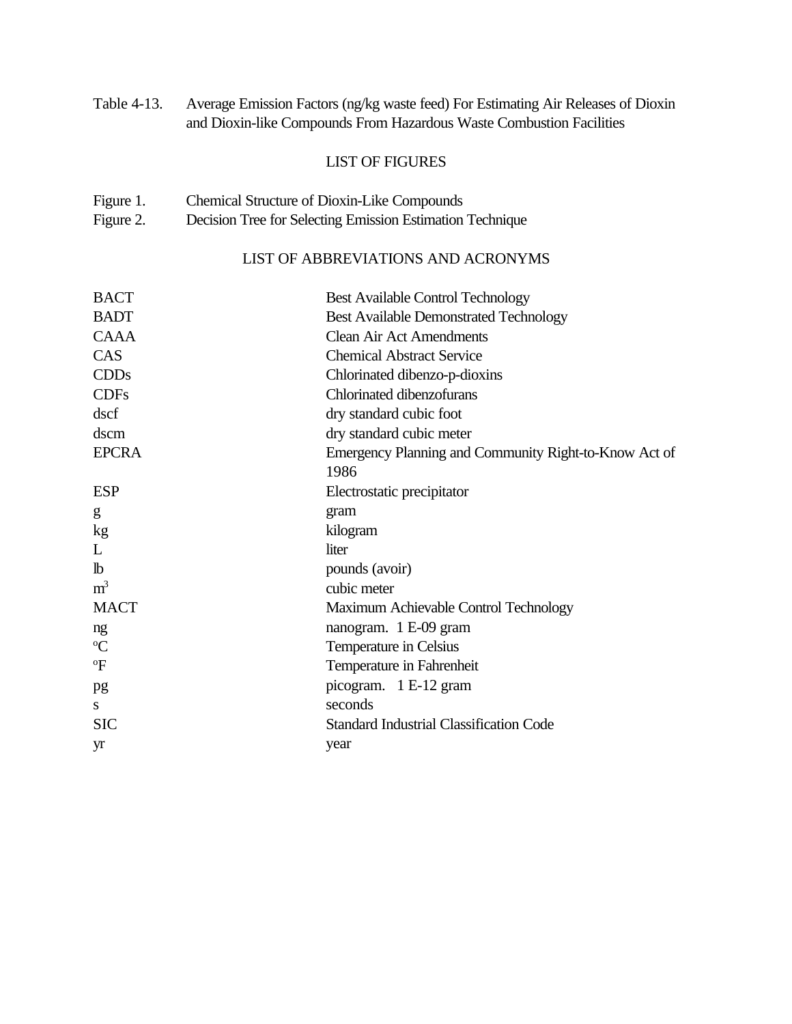Table 4-13. Average Emission Factors (ng/kg waste feed) For Estimating Air Releases of Dioxin and Dioxin-like Compounds From Hazardous Waste Combustion Facilities

### LIST OF FIGURES

- Figure 1. Chemical Structure of Dioxin-Like Compounds
- Figure 2. Decision Tree for Selecting Emission Estimation Technique

# LIST OF ABBREVIATIONS AND ACRONYMS

| <b>BACT</b>    | <b>Best Available Control Technology</b>                      |
|----------------|---------------------------------------------------------------|
| <b>BADT</b>    | <b>Best Available Demonstrated Technology</b>                 |
| <b>CAAA</b>    | <b>Clean Air Act Amendments</b>                               |
| CAS            | <b>Chemical Abstract Service</b>                              |
| <b>CDDs</b>    | Chlorinated dibenzo-p-dioxins                                 |
| <b>CDFs</b>    | Chlorinated dibenzofurans                                     |
| dscf           | dry standard cubic foot                                       |
| dscm           | dry standard cubic meter                                      |
| <b>EPCRA</b>   | Emergency Planning and Community Right-to-Know Act of<br>1986 |
| <b>ESP</b>     | Electrostatic precipitator                                    |
| g              | gram                                                          |
| kg             | kilogram                                                      |
| L              | liter                                                         |
| $\mathbf{b}$   | pounds (avoir)                                                |
| m <sup>3</sup> | cubic meter                                                   |
| <b>MACT</b>    | Maximum Achievable Control Technology                         |
| ng             | nanogram. 1 E-09 gram                                         |
| $\rm ^{o}C$    | Temperature in Celsius                                        |
| $\mathrm{P}$   | Temperature in Fahrenheit                                     |
| pg             | picogram. 1 E-12 gram                                         |
| S              | seconds                                                       |
| <b>SIC</b>     | <b>Standard Industrial Classification Code</b>                |
| yr             | year                                                          |
|                |                                                               |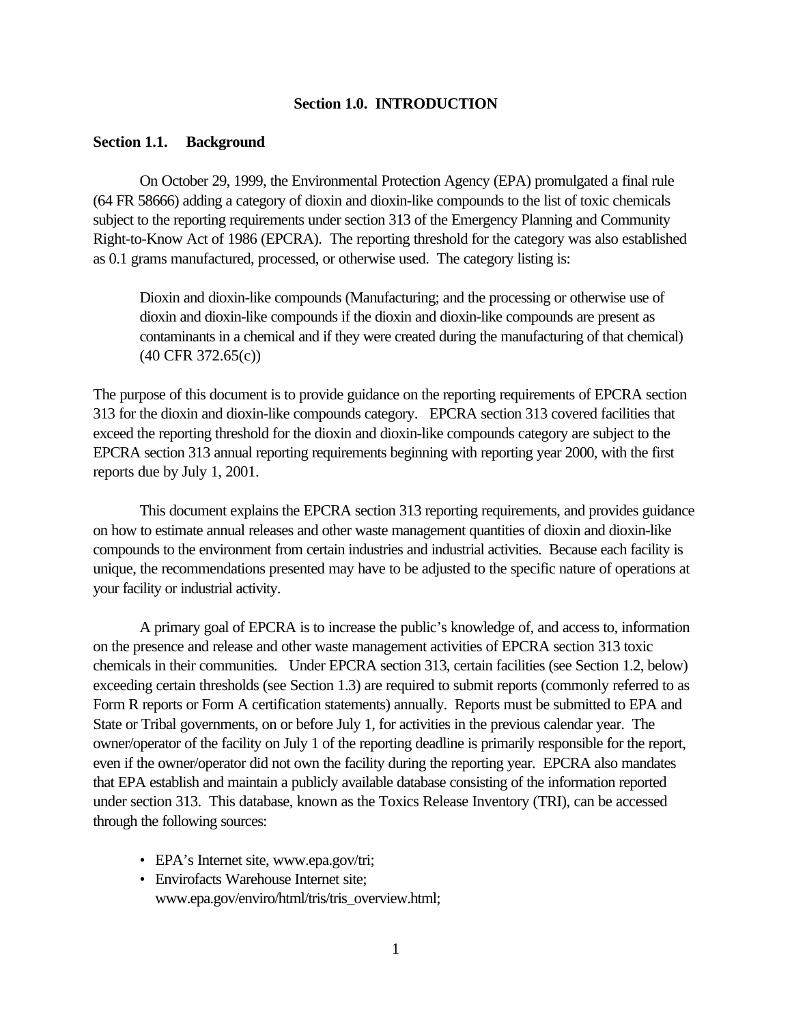### **Section 1.0. INTRODUCTION**

#### **Section 1.1. Background**

On October 29, 1999, the Environmental Protection Agency (EPA) promulgated a final rule (64 FR 58666) adding a category of dioxin and dioxin-like compounds to the list of toxic chemicals subject to the reporting requirements under section 313 of the Emergency Planning and Community Right-to-Know Act of 1986 (EPCRA). The reporting threshold for the category was also established as 0.1 grams manufactured, processed, or otherwise used. The category listing is:

Dioxin and dioxin-like compounds (Manufacturing; and the processing or otherwise use of dioxin and dioxin-like compounds if the dioxin and dioxin-like compounds are present as contaminants in a chemical and if they were created during the manufacturing of that chemical) (40 CFR 372.65(c))

The purpose of this document is to provide guidance on the reporting requirements of EPCRA section 313 for the dioxin and dioxin-like compounds category. EPCRA section 313 covered facilities that exceed the reporting threshold for the dioxin and dioxin-like compounds category are subject to the EPCRA section 313 annual reporting requirements beginning with reporting year 2000, with the first reports due by July 1, 2001.

This document explains the EPCRA section 313 reporting requirements, and provides guidance on how to estimate annual releases and other waste management quantities of dioxin and dioxin-like compounds to the environment from certain industries and industrial activities. Because each facility is unique, the recommendations presented may have to be adjusted to the specific nature of operations at your facility or industrial activity.

A primary goal of EPCRA is to increase the public's knowledge of, and access to, information on the presence and release and other waste management activities of EPCRA section 313 toxic chemicals in their communities. Under EPCRA section 313, certain facilities (see Section 1.2, below) exceeding certain thresholds (see Section 1.3) are required to submit reports (commonly referred to as Form R reports or Form A certification statements) annually. Reports must be submitted to EPA and State or Tribal governments, on or before July 1, for activities in the previous calendar year. The owner/operator of the facility on July 1 of the reporting deadline is primarily responsible for the report, even if the owner/operator did not own the facility during the reporting year. EPCRA also mandates that EPA establish and maintain a publicly available database consisting of the information reported under section 313. This database, known as the Toxics Release Inventory (TRI), can be accessed through the following sources:

- EPA's Internet site, www.epa.gov/tri;
- Envirofacts Warehouse Internet site; www.epa.gov/enviro/html/tris/tris\_overview.html;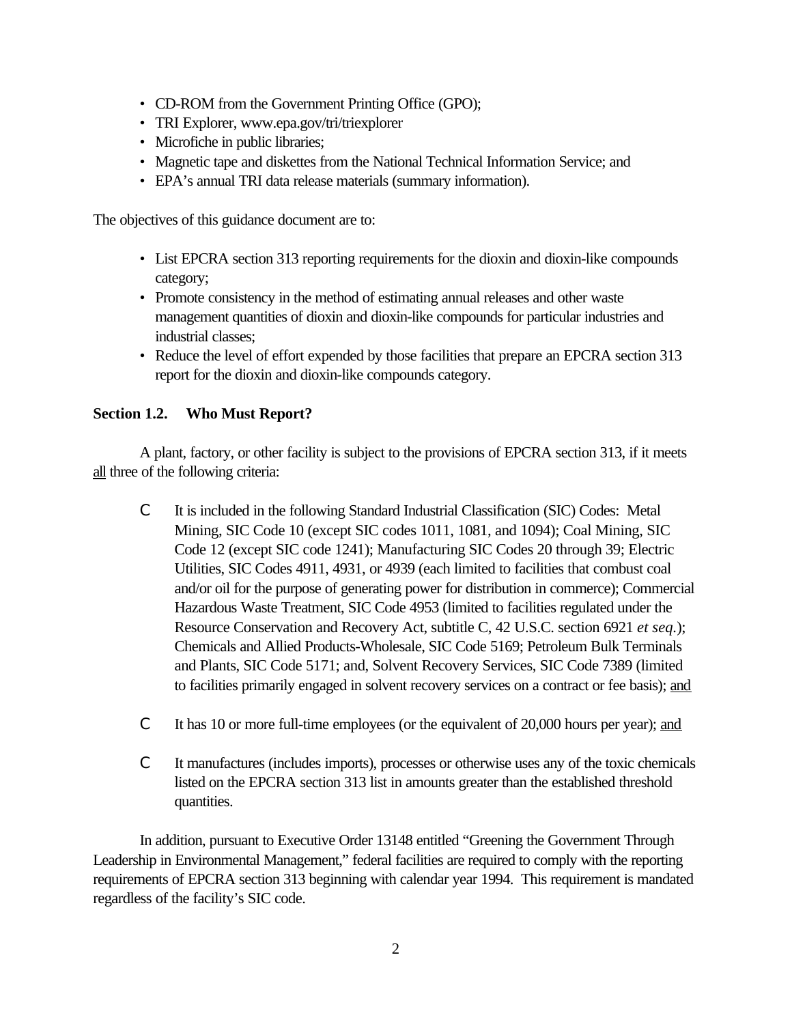- CD-ROM from the Government Printing Office (GPO);
- TRI Explorer, www.epa.gov/tri/triexplorer
- Microfiche in public libraries;
- Magnetic tape and diskettes from the National Technical Information Service; and
- EPA's annual TRI data release materials (summary information).

The objectives of this guidance document are to:

- List EPCRA section 313 reporting requirements for the dioxin and dioxin-like compounds category;
- Promote consistency in the method of estimating annual releases and other waste management quantities of dioxin and dioxin-like compounds for particular industries and industrial classes;
- Reduce the level of effort expended by those facilities that prepare an EPCRA section 313 report for the dioxin and dioxin-like compounds category.

# **Section 1.2. Who Must Report?**

A plant, factory, or other facility is subject to the provisions of EPCRA section 313, if it meets all three of the following criteria:

- C It is included in the following Standard Industrial Classification (SIC) Codes: Metal Mining, SIC Code 10 (except SIC codes 1011, 1081, and 1094); Coal Mining, SIC Code 12 (except SIC code 1241); Manufacturing SIC Codes 20 through 39; Electric Utilities, SIC Codes 4911, 4931, or 4939 (each limited to facilities that combust coal and/or oil for the purpose of generating power for distribution in commerce); Commercial Hazardous Waste Treatment, SIC Code 4953 (limited to facilities regulated under the Resource Conservation and Recovery Act, subtitle C, 42 U.S.C. section 6921 *et seq.*); Chemicals and Allied Products-Wholesale, SIC Code 5169; Petroleum Bulk Terminals and Plants, SIC Code 5171; and, Solvent Recovery Services, SIC Code 7389 (limited to facilities primarily engaged in solvent recovery services on a contract or fee basis); and
- C It has 10 or more full-time employees (or the equivalent of 20,000 hours per year); and
- C It manufactures (includes imports), processes or otherwise uses any of the toxic chemicals listed on the EPCRA section 313 list in amounts greater than the established threshold quantities.

In addition, pursuant to Executive Order 13148 entitled "Greening the Government Through Leadership in Environmental Management," federal facilities are required to comply with the reporting requirements of EPCRA section 313 beginning with calendar year 1994. This requirement is mandated regardless of the facility's SIC code.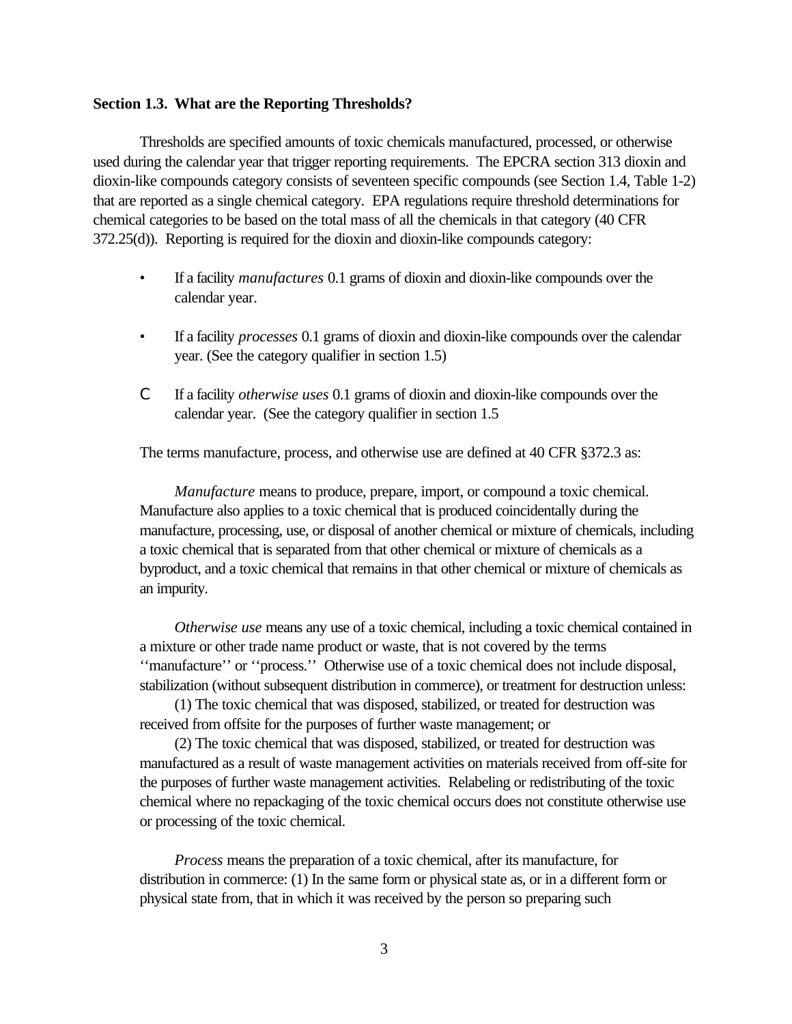#### **Section 1.3. What are the Reporting Thresholds?**

Thresholds are specified amounts of toxic chemicals manufactured, processed, or otherwise used during the calendar year that trigger reporting requirements. The EPCRA section 313 dioxin and dioxin-like compounds category consists of seventeen specific compounds (see Section 1.4, Table 1-2) that are reported as a single chemical category. EPA regulations require threshold determinations for chemical categories to be based on the total mass of all the chemicals in that category (40 CFR 372.25(d)). Reporting is required for the dioxin and dioxin-like compounds category:

- If a facility *manufactures* 0.1 grams of dioxin and dioxin-like compounds over the calendar year.
- If a facility *processes* 0.1 grams of dioxin and dioxin-like compounds over the calendar year. (See the category qualifier in section 1.5)
- C If a facility *otherwise uses* 0.1 grams of dioxin and dioxin-like compounds over the calendar year. (See the category qualifier in section 1.5

The terms manufacture, process, and otherwise use are defined at 40 CFR §372.3 as:

*Manufacture* means to produce, prepare, import, or compound a toxic chemical. Manufacture also applies to a toxic chemical that is produced coincidentally during the manufacture, processing, use, or disposal of another chemical or mixture of chemicals, including a toxic chemical that is separated from that other chemical or mixture of chemicals as a byproduct, and a toxic chemical that remains in that other chemical or mixture of chemicals as an impurity.

*Otherwise use* means any use of a toxic chemical, including a toxic chemical contained in a mixture or other trade name product or waste, that is not covered by the terms ''manufacture'' or ''process.'' Otherwise use of a toxic chemical does not include disposal, stabilization (without subsequent distribution in commerce), or treatment for destruction unless:

(1) The toxic chemical that was disposed, stabilized, or treated for destruction was received from offsite for the purposes of further waste management; or

(2) The toxic chemical that was disposed, stabilized, or treated for destruction was manufactured as a result of waste management activities on materials received from off-site for the purposes of further waste management activities. Relabeling or redistributing of the toxic chemical where no repackaging of the toxic chemical occurs does not constitute otherwise use or processing of the toxic chemical.

*Process* means the preparation of a toxic chemical, after its manufacture, for distribution in commerce: (1) In the same form or physical state as, or in a different form or physical state from, that in which it was received by the person so preparing such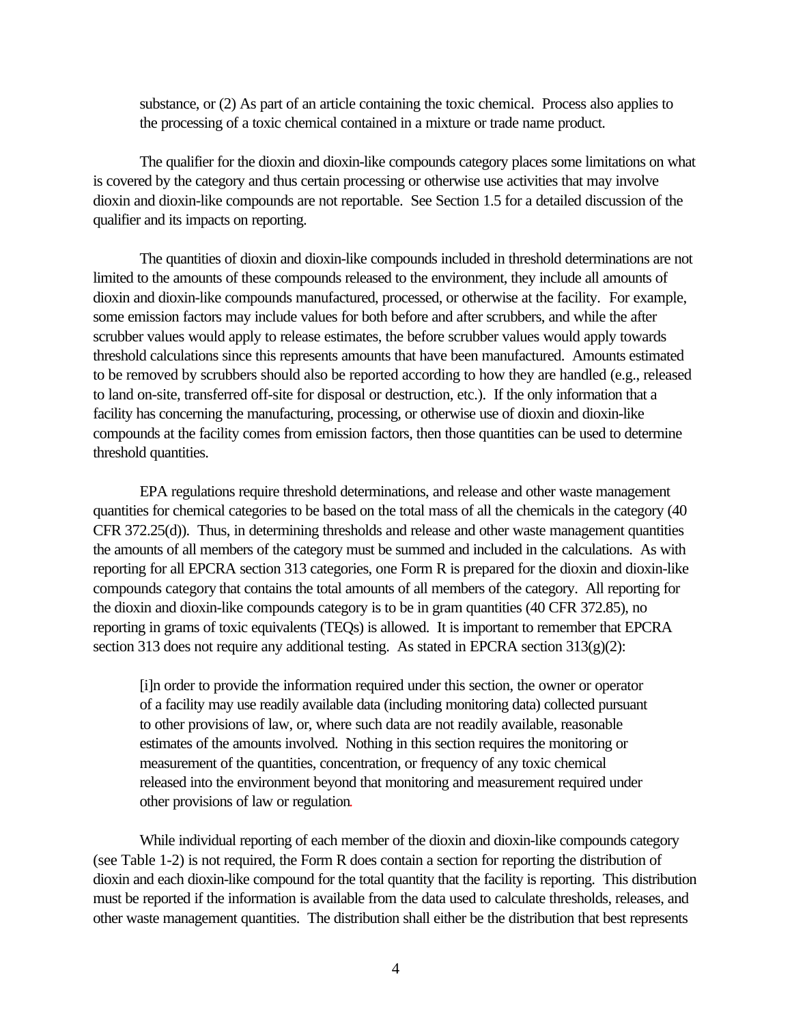substance, or (2) As part of an article containing the toxic chemical. Process also applies to the processing of a toxic chemical contained in a mixture or trade name product.

The qualifier for the dioxin and dioxin-like compounds category places some limitations on what is covered by the category and thus certain processing or otherwise use activities that may involve dioxin and dioxin-like compounds are not reportable. See Section 1.5 for a detailed discussion of the qualifier and its impacts on reporting.

The quantities of dioxin and dioxin-like compounds included in threshold determinations are not limited to the amounts of these compounds released to the environment, they include all amounts of dioxin and dioxin-like compounds manufactured, processed, or otherwise at the facility.For example, some emission factors may include values for both before and after scrubbers, and while the after scrubber values would apply to release estimates, the before scrubber values would apply towards threshold calculations since this represents amounts that have been manufactured.Amounts estimated to be removed by scrubbers should also be reported according to how they are handled (e.g., released to land on-site, transferred off-site for disposal or destruction, etc.).If the only information that a facility has concerning the manufacturing, processing, or otherwise use of dioxin and dioxin-like compounds at the facility comes from emission factors, then those quantities can be used to determine threshold quantities.

EPA regulations require threshold determinations, and release and other waste management quantities for chemical categories to be based on the total mass of all the chemicals in the category (40 CFR 372.25(d)). Thus, in determining thresholds and release and other waste management quantities the amounts of all members of the category must be summed and included in the calculations. As with reporting for all EPCRA section 313 categories, one Form R is prepared for the dioxin and dioxin-like compounds category that contains the total amounts of all members of the category. All reporting for the dioxin and dioxin-like compounds category is to be in gram quantities (40 CFR 372.85), no reporting in grams of toxic equivalents (TEQs) is allowed. It is important to remember that EPCRA section 313 does not require any additional testing. As stated in EPCRA section 313(g)(2):

[i]n order to provide the information required under this section, the owner or operator of a facility may use readily available data (including monitoring data) collected pursuant to other provisions of law, or, where such data are not readily available, reasonable estimates of the amounts involved. Nothing in this section requires the monitoring or measurement of the quantities, concentration, or frequency of any toxic chemical released into the environment beyond that monitoring and measurement required under other provisions of law or regulation.

While individual reporting of each member of the dioxin and dioxin-like compounds category (see Table 1-2) is not required, the Form R does contain a section for reporting the distribution of dioxin and each dioxin-like compound for the total quantity that the facility is reporting. This distribution must be reported if the information is available from the data used to calculate thresholds, releases, and other waste management quantities. The distribution shall either be the distribution that best represents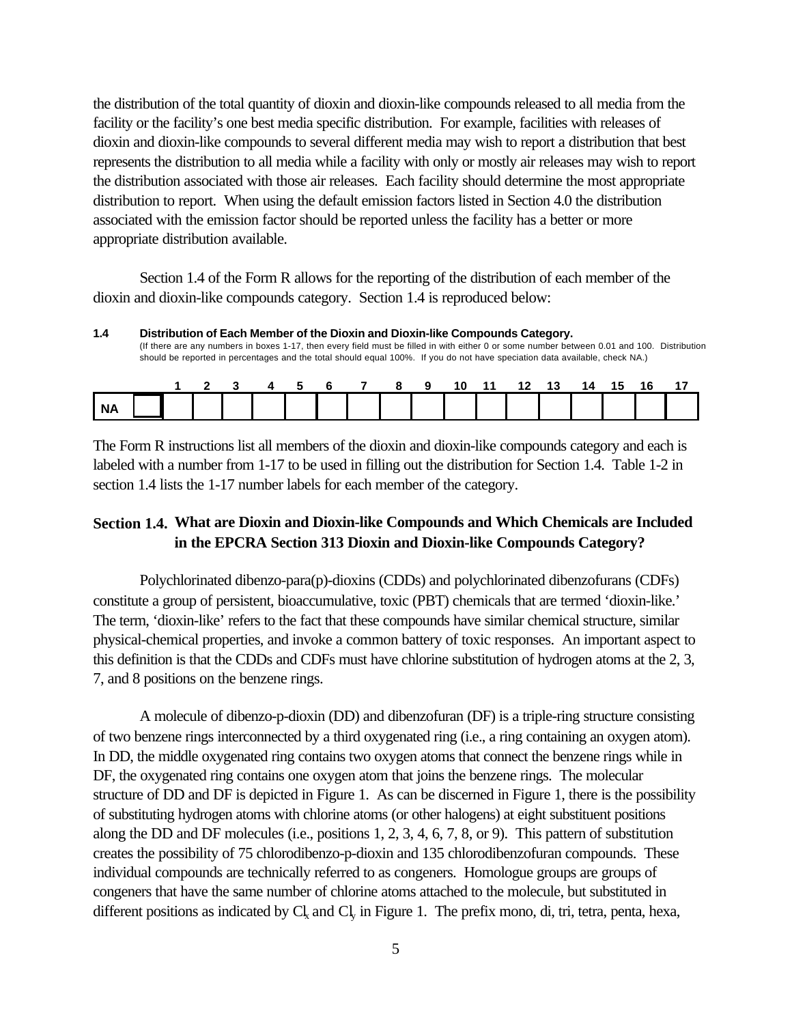the distribution of the total quantity of dioxin and dioxin-like compounds released to all media from the facility or the facility's one best media specific distribution. For example, facilities with releases of dioxin and dioxin-like compounds to several different media may wish to report a distribution that best represents the distribution to all media while a facility with only or mostly air releases may wish to report the distribution associated with those air releases. Each facility should determine the most appropriate distribution to report. When using the default emission factors listed in Section 4.0 the distribution associated with the emission factor should be reported unless the facility has a better or more appropriate distribution available.

Section 1.4 of the Form R allows for the reporting of the distribution of each member of the dioxin and dioxin-like compounds category. Section 1.4 is reproduced below:

**<sup>1.4</sup> Distribution of Each Member of the Dioxin and Dioxin-like Compounds Category.** (If there are any numbers in boxes 1-17, then every field must be filled in with either 0 or some number between 0.01 and 100. Distribution should be reported in percentages and the total should equal 100%. If you do not have speciation data available, check NA.)

|    |  | 3 4 5 6 7 |  | 89 |  | 10 11 12 13 |  | 14 15 | 16 |  |
|----|--|-----------|--|----|--|-------------|--|-------|----|--|
| ΝA |  |           |  |    |  |             |  |       |    |  |

The Form R instructions list all members of the dioxin and dioxin-like compounds category and each is labeled with a number from 1-17 to be used in filling out the distribution for Section 1.4. Table 1-2 in section 1.4 lists the 1-17 number labels for each member of the category.

### **Section 1.4. What are Dioxin and Dioxin-like Compounds and Which Chemicals are Included in the EPCRA Section 313 Dioxin and Dioxin-like Compounds Category?**

Polychlorinated dibenzo-para(p)-dioxins (CDDs) and polychlorinated dibenzofurans (CDFs) constitute a group of persistent, bioaccumulative, toxic (PBT) chemicals that are termed 'dioxin-like.' The term, 'dioxin-like' refers to the fact that these compounds have similar chemical structure, similar physical-chemical properties, and invoke a common battery of toxic responses. An important aspect to this definition is that the CDDs and CDFs must have chlorine substitution of hydrogen atoms at the 2, 3, 7, and 8 positions on the benzene rings.

A molecule of dibenzo-p-dioxin (DD) and dibenzofuran (DF) is a triple-ring structure consisting of two benzene rings interconnected by a third oxygenated ring (i.e., a ring containing an oxygen atom). In DD, the middle oxygenated ring contains two oxygen atoms that connect the benzene rings while in DF, the oxygenated ring contains one oxygen atom that joins the benzene rings. The molecular structure of DD and DF is depicted in Figure 1. As can be discerned in Figure 1, there is the possibility of substituting hydrogen atoms with chlorine atoms (or other halogens) at eight substituent positions along the DD and DF molecules (i.e., positions 1, 2, 3, 4, 6, 7, 8, or 9). This pattern of substitution creates the possibility of 75 chlorodibenzo-p-dioxin and 135 chlorodibenzofuran compounds. These individual compounds are technically referred to as congeners. Homologue groups are groups of congeners that have the same number of chlorine atoms attached to the molecule, but substituted in different positions as indicated by  $Cl<sub>x</sub>$  and  $Cl<sub>y</sub>$  in Figure 1. The prefix mono, di, tri, tetra, penta, hexa,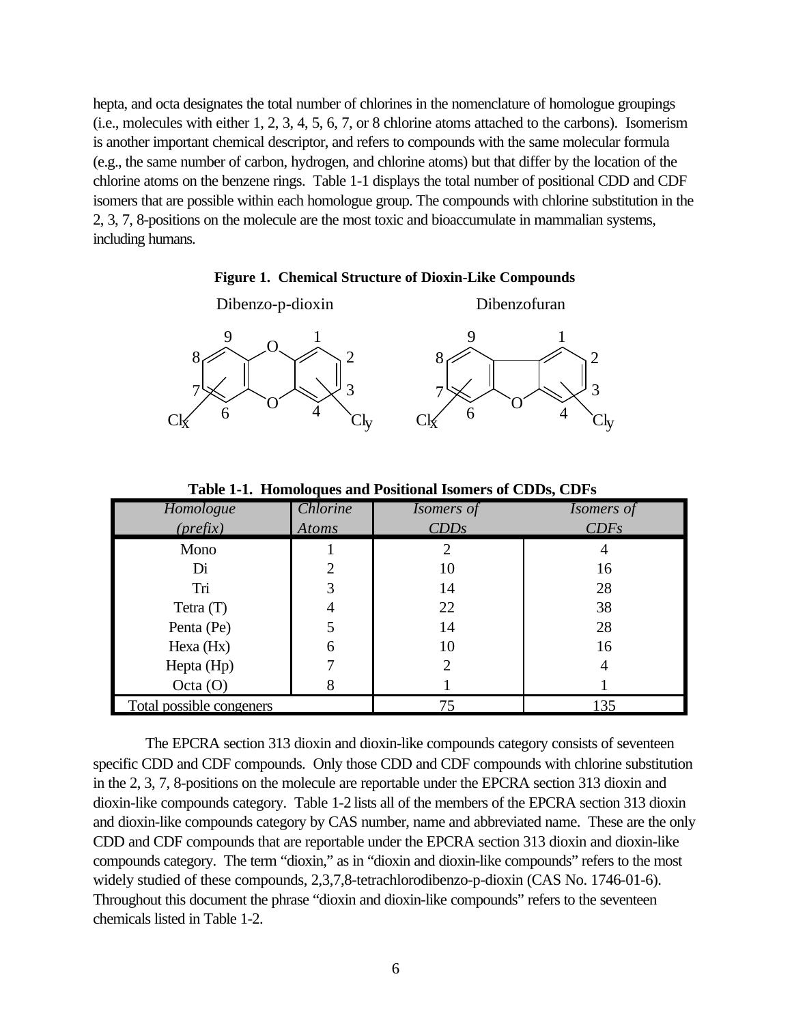hepta, and octa designates the total number of chlorines in the nomenclature of homologue groupings (i.e., molecules with either 1, 2, 3, 4, 5, 6, 7, or 8 chlorine atoms attached to the carbons). Isomerism is another important chemical descriptor, and refers to compounds with the same molecular formula (e.g., the same number of carbon, hydrogen, and chlorine atoms) but that differ by the location of the chlorine atoms on the benzene rings. Table 1-1 displays the total number of positional CDD and CDF isomers that are possible within each homologue group. The compounds with chlorine substitution in the 2, 3, 7, 8-positions on the molecule are the most toxic and bioaccumulate in mammalian systems, including humans.

**Figure 1. Chemical Structure of Dioxin-Like Compounds**



*Homologue (prefix) Chlorine Atoms Isomers of CDDs Isomers of CDFs* Mono Di Tri Tetra (T) Penta (Pe) Hexa (Hx) Hepta (Hp) Octa (O) 1 2 3 4 5 6 7 8 2 10 14 22 14 10 2 1 4 16 28 38 28 16 4 1 Total possible congeners 200 135

**Table 1-1. Homoloques and Positional Isomers of CDDs, CDFs**

The EPCRA section 313 dioxin and dioxin-like compounds category consists of seventeen specific CDD and CDF compounds. Only those CDD and CDF compounds with chlorine substitution in the 2, 3, 7, 8-positions on the molecule are reportable under the EPCRA section 313 dioxin and dioxin-like compounds category. Table 1-2 lists all of the members of the EPCRA section 313 dioxin and dioxin-like compounds category by CAS number, name and abbreviated name. These are the only CDD and CDF compounds that are reportable under the EPCRA section 313 dioxin and dioxin-like compounds category. The term "dioxin," as in "dioxin and dioxin-like compounds" refers to the most widely studied of these compounds, 2,3,7,8-tetrachlorodibenzo-p-dioxin (CAS No. 1746-01-6). Throughout this document the phrase "dioxin and dioxin-like compounds" refers to the seventeen chemicals listed in Table 1-2.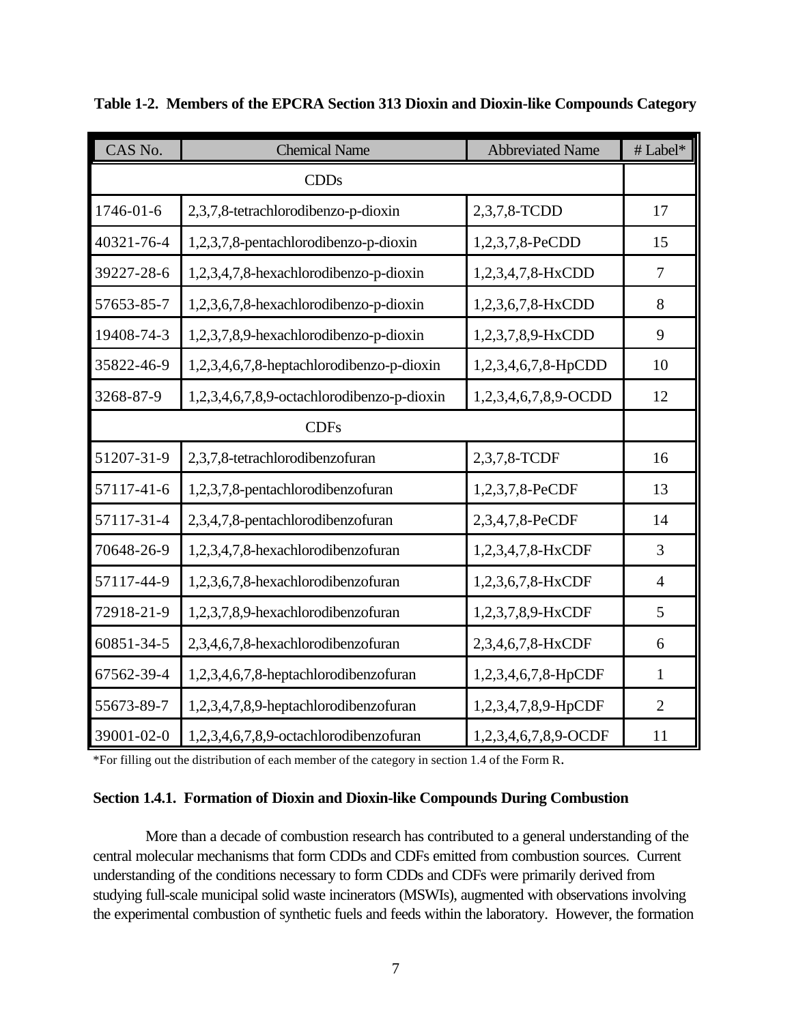| CAS No.     | <b>Chemical Name</b>                       | <b>Abbreviated Name</b> | # Label*       |  |  |  |  |
|-------------|--------------------------------------------|-------------------------|----------------|--|--|--|--|
| <b>CDDs</b> |                                            |                         |                |  |  |  |  |
| 1746-01-6   | 2,3,7,8-tetrachlorodibenzo-p-dioxin        | 2,3,7,8-TCDD            | 17             |  |  |  |  |
| 40321-76-4  | 1,2,3,7,8-pentachlorodibenzo-p-dioxin      | 1,2,3,7,8-PeCDD         | 15             |  |  |  |  |
| 39227-28-6  | 1,2,3,4,7,8-hexachlorodibenzo-p-dioxin     | 1,2,3,4,7,8-HxCDD       | 7              |  |  |  |  |
| 57653-85-7  | 1,2,3,6,7,8-hexachlorodibenzo-p-dioxin     | 1,2,3,6,7,8-HxCDD       | 8              |  |  |  |  |
| 19408-74-3  | 1,2,3,7,8,9-hexachlorodibenzo-p-dioxin     | 1,2,3,7,8,9-HxCDD       | 9              |  |  |  |  |
| 35822-46-9  | 1,2,3,4,6,7,8-heptachlorodibenzo-p-dioxin  | 1,2,3,4,6,7,8-HpCDD     | 10             |  |  |  |  |
| 3268-87-9   | 1,2,3,4,6,7,8,9-octachlorodibenzo-p-dioxin | 1,2,3,4,6,7,8,9-OCDD    | 12             |  |  |  |  |
| <b>CDFs</b> |                                            |                         |                |  |  |  |  |
| 51207-31-9  | 2,3,7,8-tetrachlorodibenzofuran            | 2,3,7,8-TCDF            | 16             |  |  |  |  |
| 57117-41-6  | 1,2,3,7,8-pentachlorodibenzofuran          | 1,2,3,7,8-PeCDF         | 13             |  |  |  |  |
| 57117-31-4  | 2,3,4,7,8-pentachlorodibenzofuran          | 2,3,4,7,8-PeCDF         | 14             |  |  |  |  |
| 70648-26-9  | 1,2,3,4,7,8-hexachlorodibenzofuran         | 1,2,3,4,7,8-HxCDF       | 3              |  |  |  |  |
| 57117-44-9  | 1,2,3,6,7,8-hexachlorodibenzofuran         | 1,2,3,6,7,8-HxCDF       | $\overline{4}$ |  |  |  |  |
| 72918-21-9  | 1,2,3,7,8,9-hexachlorodibenzofuran         | 1,2,3,7,8,9-HxCDF       | 5              |  |  |  |  |
| 60851-34-5  | 2,3,4,6,7,8-hexachlorodibenzofuran         | 2,3,4,6,7,8-HxCDF       | 6              |  |  |  |  |
| 67562-39-4  | 1,2,3,4,6,7,8-heptachlorodibenzofuran      | 1,2,3,4,6,7,8-HpCDF     | $\mathbf{1}$   |  |  |  |  |
| 55673-89-7  | 1,2,3,4,7,8,9-heptachlorodibenzofuran      | 1,2,3,4,7,8,9-HpCDF     | $\overline{2}$ |  |  |  |  |
| 39001-02-0  | 1,2,3,4,6,7,8,9-octachlorodibenzofuran     | 1,2,3,4,6,7,8,9-OCDF    | 11             |  |  |  |  |

**Table 1-2. Members of the EPCRA Section 313 Dioxin and Dioxin-like Compounds Category**

\*For filling out the distribution of each member of the category in section 1.4 of the Form R.

#### **Section 1.4.1. Formation of Dioxin and Dioxin-like Compounds During Combustion**

More than a decade of combustion research has contributed to a general understanding of the central molecular mechanisms that form CDDs and CDFs emitted from combustion sources. Current understanding of the conditions necessary to form CDDs and CDFs were primarily derived from studying full-scale municipal solid waste incinerators (MSWIs), augmented with observations involving the experimental combustion of synthetic fuels and feeds within the laboratory. However, the formation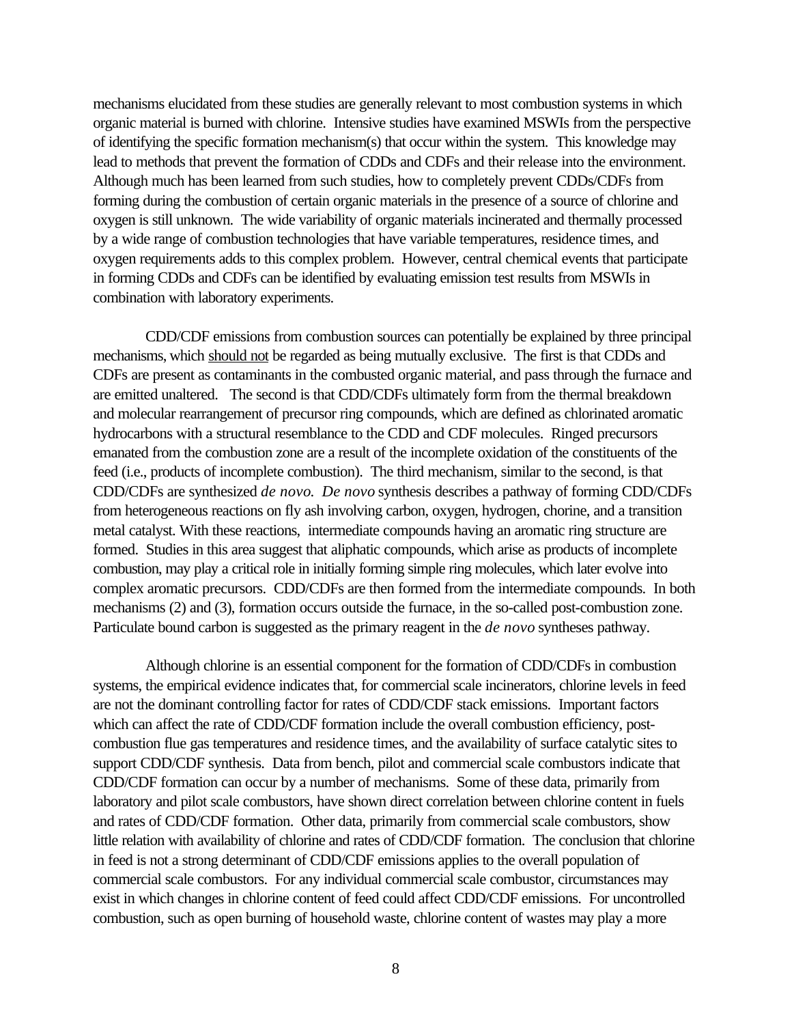mechanisms elucidated from these studies are generally relevant to most combustion systems in which organic material is burned with chlorine. Intensive studies have examined MSWIs from the perspective of identifying the specific formation mechanism(s) that occur within the system. This knowledge may lead to methods that prevent the formation of CDDs and CDFs and their release into the environment. Although much has been learned from such studies, how to completely prevent CDDs/CDFs from forming during the combustion of certain organic materials in the presence of a source of chlorine and oxygen is still unknown. The wide variability of organic materials incinerated and thermally processed by a wide range of combustion technologies that have variable temperatures, residence times, and oxygen requirements adds to this complex problem. However, central chemical events that participate in forming CDDs and CDFs can be identified by evaluating emission test results from MSWIs in combination with laboratory experiments.

CDD/CDF emissions from combustion sources can potentially be explained by three principal mechanisms, which should not be regarded as being mutually exclusive. The first is that CDDs and CDFs are present as contaminants in the combusted organic material, and pass through the furnace and are emitted unaltered. The second is that CDD/CDFs ultimately form from the thermal breakdown and molecular rearrangement of precursor ring compounds, which are defined as chlorinated aromatic hydrocarbons with a structural resemblance to the CDD and CDF molecules. Ringed precursors emanated from the combustion zone are a result of the incomplete oxidation of the constituents of the feed (i.e., products of incomplete combustion). The third mechanism, similar to the second, is that CDD/CDFs are synthesized *de novo*. *De novo* synthesis describes a pathway of forming CDD/CDFs from heterogeneous reactions on fly ash involving carbon, oxygen, hydrogen, chorine, and a transition metal catalyst. With these reactions, intermediate compounds having an aromatic ring structure are formed. Studies in this area suggest that aliphatic compounds, which arise as products of incomplete combustion, may play a critical role in initially forming simple ring molecules, which later evolve into complex aromatic precursors. CDD/CDFs are then formed from the intermediate compounds. In both mechanisms (2) and (3), formation occurs outside the furnace, in the so-called post-combustion zone. Particulate bound carbon is suggested as the primary reagent in the *de novo* syntheses pathway.

Although chlorine is an essential component for the formation of CDD/CDFs in combustion systems, the empirical evidence indicates that, for commercial scale incinerators, chlorine levels in feed are not the dominant controlling factor for rates of CDD/CDF stack emissions. Important factors which can affect the rate of CDD/CDF formation include the overall combustion efficiency, postcombustion flue gas temperatures and residence times, and the availability of surface catalytic sites to support CDD/CDF synthesis. Data from bench, pilot and commercial scale combustors indicate that CDD/CDF formation can occur by a number of mechanisms. Some of these data, primarily from laboratory and pilot scale combustors, have shown direct correlation between chlorine content in fuels and rates of CDD/CDF formation. Other data, primarily from commercial scale combustors, show little relation with availability of chlorine and rates of CDD/CDF formation. The conclusion that chlorine in feed is not a strong determinant of CDD/CDF emissions applies to the overall population of commercial scale combustors. For any individual commercial scale combustor, circumstances may exist in which changes in chlorine content of feed could affect CDD/CDF emissions. For uncontrolled combustion, such as open burning of household waste, chlorine content of wastes may play a more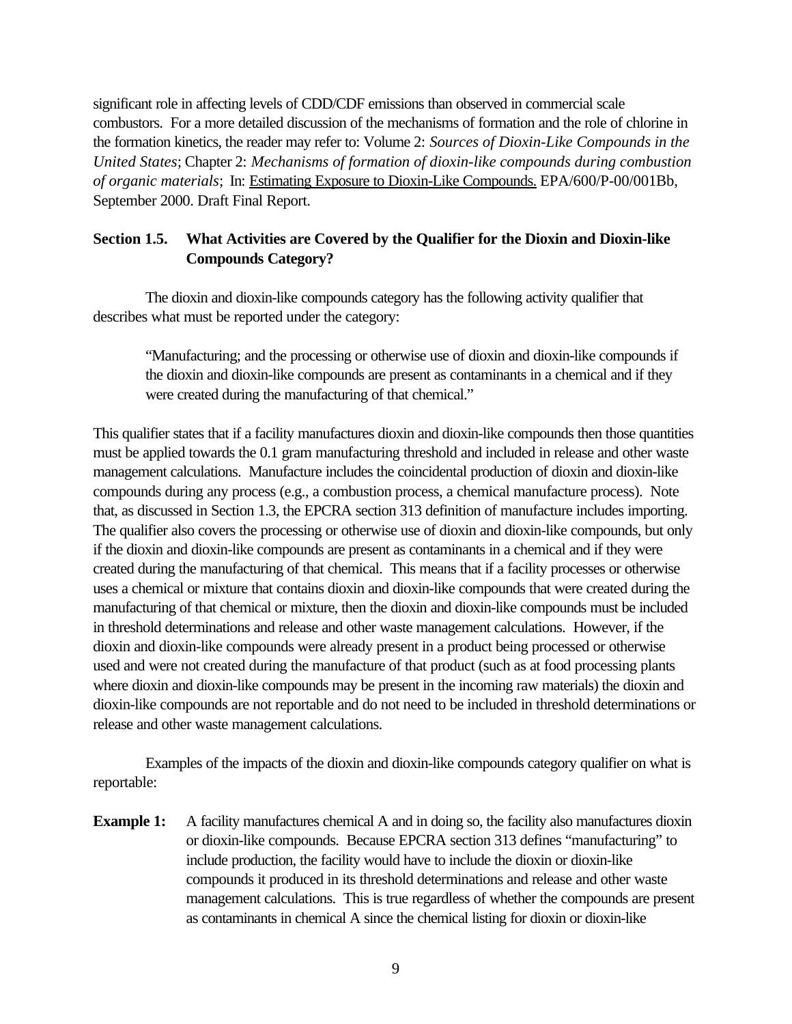significant role in affecting levels of CDD/CDF emissions than observed in commercial scale combustors. For a more detailed discussion of the mechanisms of formation and the role of chlorine in the formation kinetics, the reader may refer to: Volume 2: *Sources of Dioxin-Like Compounds in the United States*; Chapter 2: *Mechanisms of formation of dioxin-like compounds during combustion of organic materials*; In: Estimating Exposure to Dioxin-Like Compounds. EPA/600/P-00/001Bb, September 2000. Draft Final Report.

# **Section 1.5. What Activities are Covered by the Qualifier for the Dioxin and Dioxin-like Compounds Category?**

The dioxin and dioxin-like compounds category has the following activity qualifier that describes what must be reported under the category:

"Manufacturing; and the processing or otherwise use of dioxin and dioxin-like compounds if the dioxin and dioxin-like compounds are present as contaminants in a chemical and if they were created during the manufacturing of that chemical."

This qualifier states that if a facility manufactures dioxin and dioxin-like compounds then those quantities must be applied towards the 0.1 gram manufacturing threshold and included in release and other waste management calculations. Manufacture includes the coincidental production of dioxin and dioxin-like compounds during any process (e.g., a combustion process, a chemical manufacture process). Note that, as discussed in Section 1.3, the EPCRA section 313 definition of manufacture includes importing. The qualifier also covers the processing or otherwise use of dioxin and dioxin-like compounds, but only if the dioxin and dioxin-like compounds are present as contaminants in a chemical and if they were created during the manufacturing of that chemical. This means that if a facility processes or otherwise uses a chemical or mixture that contains dioxin and dioxin-like compounds that were created during the manufacturing of that chemical or mixture, then the dioxin and dioxin-like compounds must be included in threshold determinations and release and other waste management calculations. However, if the dioxin and dioxin-like compounds were already present in a product being processed or otherwise used and were not created during the manufacture of that product (such as at food processing plants where dioxin and dioxin-like compounds may be present in the incoming raw materials) the dioxin and dioxin-like compounds are not reportable and do not need to be included in threshold determinations or release and other waste management calculations.

Examples of the impacts of the dioxin and dioxin-like compounds category qualifier on what is reportable:

**Example 1:** A facility manufactures chemical A and in doing so, the facility also manufactures dioxin or dioxin-like compounds. Because EPCRA section 313 defines "manufacturing" to include production, the facility would have to include the dioxin or dioxin-like compounds it produced in its threshold determinations and release and other waste management calculations. This is true regardless of whether the compounds are present as contaminants in chemical A since the chemical listing for dioxin or dioxin-like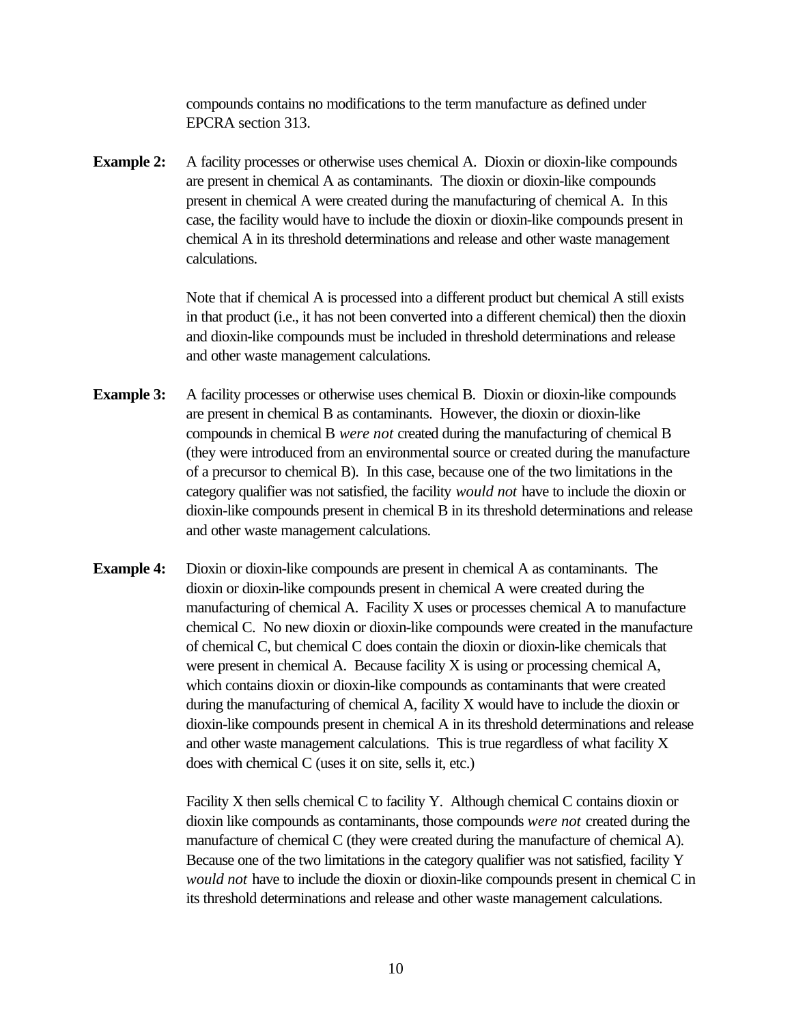compounds contains no modifications to the term manufacture as defined under EPCRA section 313.

**Example 2:** A facility processes or otherwise uses chemical A. Dioxin or dioxin-like compounds are present in chemical A as contaminants. The dioxin or dioxin-like compounds present in chemical A were created during the manufacturing of chemical A. In this case, the facility would have to include the dioxin or dioxin-like compounds present in chemical A in its threshold determinations and release and other waste management calculations.

> Note that if chemical A is processed into a different product but chemical A still exists in that product (i.e., it has not been converted into a different chemical) then the dioxin and dioxin-like compounds must be included in threshold determinations and release and other waste management calculations.

- **Example 3:** A facility processes or otherwise uses chemical B. Dioxin or dioxin-like compounds are present in chemical B as contaminants. However, the dioxin or dioxin-like compounds in chemical B *were not* created during the manufacturing of chemical B (they were introduced from an environmental source or created during the manufacture of a precursor to chemical B). In this case, because one of the two limitations in the category qualifier was not satisfied, the facility *would not* have to include the dioxin or dioxin-like compounds present in chemical B in its threshold determinations and release and other waste management calculations.
- **Example 4:** Dioxin or dioxin-like compounds are present in chemical A as contaminants. The dioxin or dioxin-like compounds present in chemical A were created during the manufacturing of chemical A. Facility X uses or processes chemical A to manufacture chemical C. No new dioxin or dioxin-like compounds were created in the manufacture of chemical C, but chemical C does contain the dioxin or dioxin-like chemicals that were present in chemical A. Because facility X is using or processing chemical A, which contains dioxin or dioxin-like compounds as contaminants that were created during the manufacturing of chemical A, facility X would have to include the dioxin or dioxin-like compounds present in chemical A in its threshold determinations and release and other waste management calculations. This is true regardless of what facility X does with chemical C (uses it on site, sells it, etc.)

Facility X then sells chemical C to facility Y. Although chemical C contains dioxin or dioxin like compounds as contaminants, those compounds *were not* created during the manufacture of chemical C (they were created during the manufacture of chemical A). Because one of the two limitations in the category qualifier was not satisfied, facility Y *would not* have to include the dioxin or dioxin-like compounds present in chemical C in its threshold determinations and release and other waste management calculations.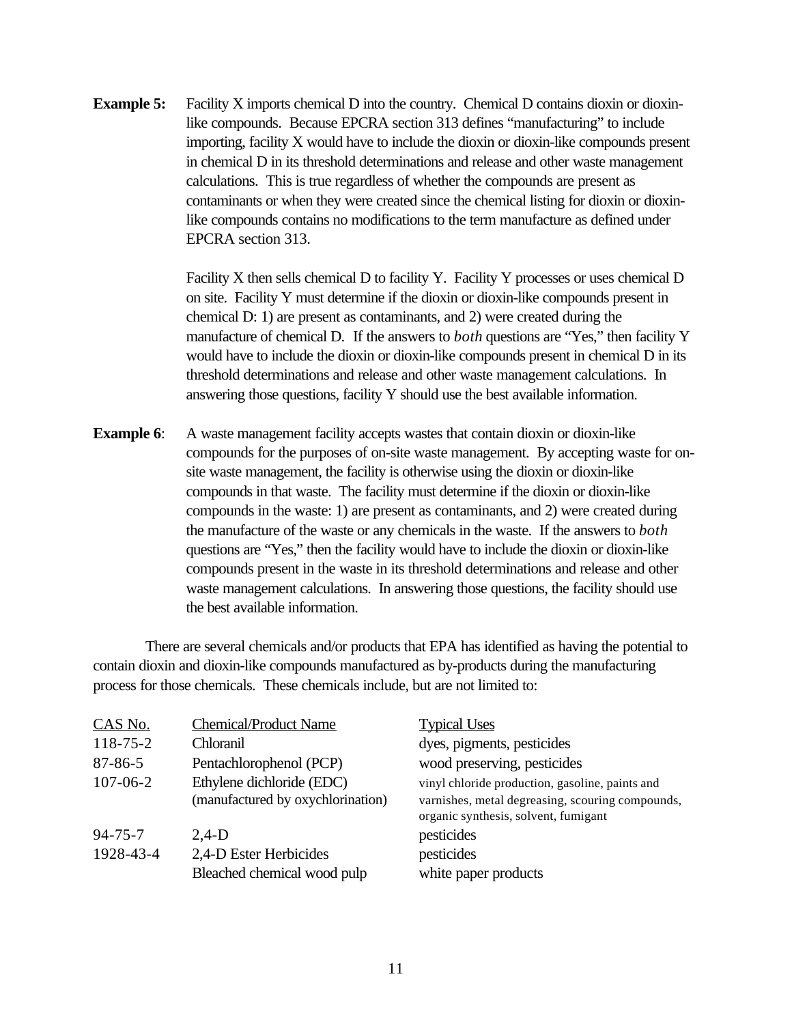**Example 5:** Facility X imports chemical D into the country. Chemical D contains dioxin or dioxinlike compounds. Because EPCRA section 313 defines "manufacturing" to include importing, facility X would have to include the dioxin or dioxin-like compounds present in chemical D in its threshold determinations and release and other waste management calculations. This is true regardless of whether the compounds are present as contaminants or when they were created since the chemical listing for dioxin or dioxinlike compounds contains no modifications to the term manufacture as defined under EPCRA section 313.

> Facility X then sells chemical D to facility Y. Facility Y processes or uses chemical D on site. Facility Y must determine if the dioxin or dioxin-like compounds present in chemical D: 1) are present as contaminants, and 2) were created during the manufacture of chemical D.If the answers to *both* questions are "Yes," then facility Y would have to include the dioxin or dioxin-like compounds present in chemical D in its threshold determinations and release and other waste management calculations. In answering those questions, facility Y should use the best available information.

**Example 6:** A waste management facility accepts wastes that contain dioxin or dioxin-like compounds for the purposes of on-site waste management. By accepting waste for onsite waste management, the facility is otherwise using the dioxin or dioxin-like compounds in that waste. The facility must determine if the dioxin or dioxin-like compounds in the waste: 1) are present as contaminants, and 2) were created during the manufacture of the waste or any chemicals in the waste. If the answers to *both* questions are "Yes," then the facility would have to include the dioxin or dioxin-like compounds present in the waste in its threshold determinations and release and other waste management calculations. In answering those questions, the facility should use the best available information.

There are several chemicals and/or products that EPA has identified as having the potential to contain dioxin and dioxin-like compounds manufactured as by-products during the manufacturing process for those chemicals. These chemicals include, but are not limited to:

| CAS No.        | <b>Chemical/Product Name</b>      | <b>Typical Uses</b>                                                                      |
|----------------|-----------------------------------|------------------------------------------------------------------------------------------|
| $118 - 75 - 2$ | Chloranil                         | dyes, pigments, pesticides                                                               |
| $87 - 86 - 5$  | Pentachlorophenol (PCP)           | wood preserving, pesticides                                                              |
| $107 - 06 - 2$ | Ethylene dichloride (EDC)         | vinyl chloride production, gasoline, paints and                                          |
|                | (manufactured by oxychlorination) | varnishes, metal degreasing, scouring compounds,<br>organic synthesis, solvent, fumigant |
| $94 - 75 - 7$  | $2.4-D$                           | pesticides                                                                               |
| 1928-43-4      | 2,4-D Ester Herbicides            | pesticides                                                                               |
|                | Bleached chemical wood pulp       | white paper products                                                                     |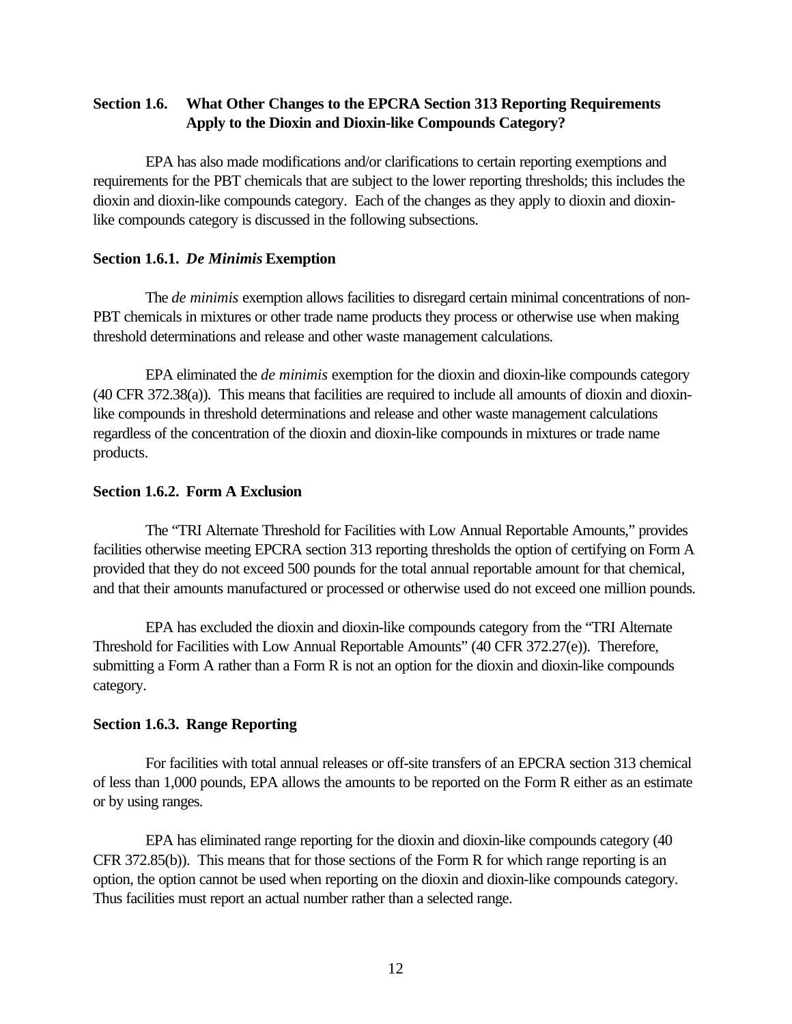# **Section 1.6. What Other Changes to the EPCRA Section 313 Reporting Requirements Apply to the Dioxin and Dioxin-like Compounds Category?**

EPA has also made modifications and/or clarifications to certain reporting exemptions and requirements for the PBT chemicals that are subject to the lower reporting thresholds; this includes the dioxin and dioxin-like compounds category. Each of the changes as they apply to dioxin and dioxinlike compounds category is discussed in the following subsections.

#### **Section 1.6.1.** *De Minimis* **Exemption**

The *de minimis* exemption allows facilities to disregard certain minimal concentrations of non-PBT chemicals in mixtures or other trade name products they process or otherwise use when making threshold determinations and release and other waste management calculations.

EPA eliminated the *de minimis* exemption for the dioxin and dioxin-like compounds category (40 CFR 372.38(a)). This means that facilities are required to include all amounts of dioxin and dioxinlike compounds in threshold determinations and release and other waste management calculations regardless of the concentration of the dioxin and dioxin-like compounds in mixtures or trade name products.

### **Section 1.6.2. Form A Exclusion**

The "TRI Alternate Threshold for Facilities with Low Annual Reportable Amounts," provides facilities otherwise meeting EPCRA section 313 reporting thresholds the option of certifying on Form A provided that they do not exceed 500 pounds for the total annual reportable amount for that chemical, and that their amounts manufactured or processed or otherwise used do not exceed one million pounds.

EPA has excluded the dioxin and dioxin-like compounds category from the "TRI Alternate Threshold for Facilities with Low Annual Reportable Amounts" (40 CFR 372.27(e)). Therefore, submitting a Form A rather than a Form R is not an option for the dioxin and dioxin-like compounds category.

### **Section 1.6.3. Range Reporting**

For facilities with total annual releases or off-site transfers of an EPCRA section 313 chemical of less than 1,000 pounds, EPA allows the amounts to be reported on the Form R either as an estimate or by using ranges.

EPA has eliminated range reporting for the dioxin and dioxin-like compounds category (40 CFR 372.85(b)). This means that for those sections of the Form R for which range reporting is an option, the option cannot be used when reporting on the dioxin and dioxin-like compounds category. Thus facilities must report an actual number rather than a selected range.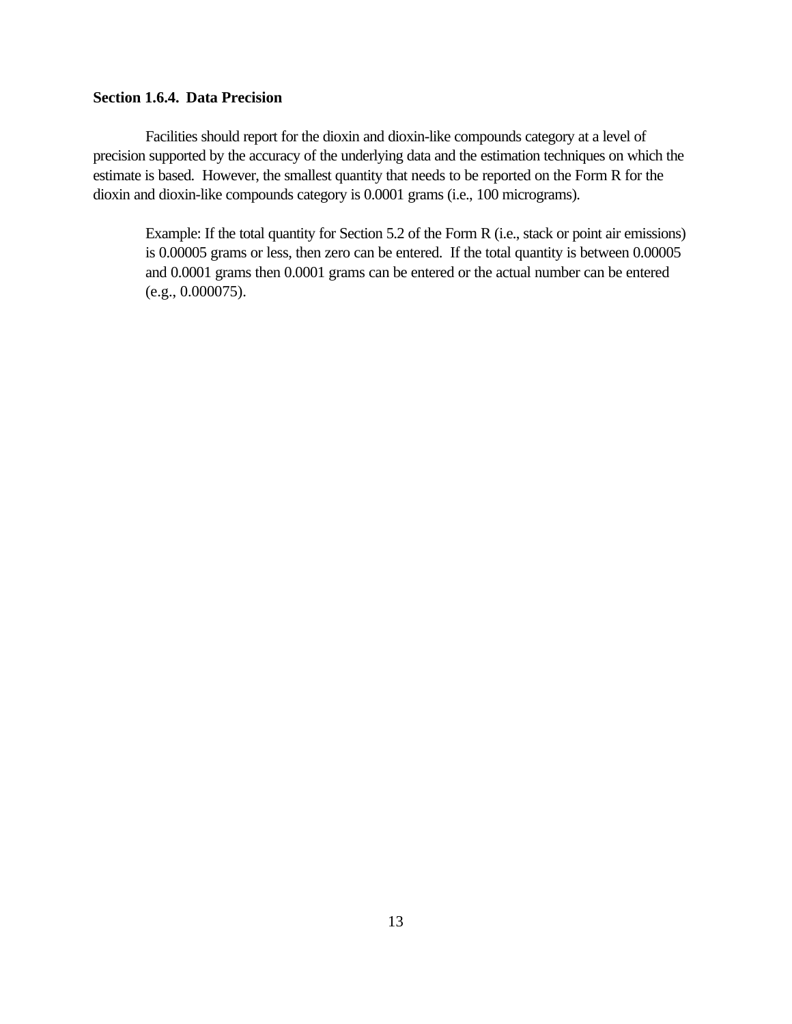### **Section 1.6.4. Data Precision**

Facilities should report for the dioxin and dioxin-like compounds category at a level of precision supported by the accuracy of the underlying data and the estimation techniques on which the estimate is based. However, the smallest quantity that needs to be reported on the Form R for the dioxin and dioxin-like compounds category is 0.0001 grams (i.e., 100 micrograms).

Example: If the total quantity for Section 5.2 of the Form R (i.e., stack or point air emissions) is 0.00005 grams or less, then zero can be entered. If the total quantity is between 0.00005 and 0.0001 grams then 0.0001 grams can be entered or the actual number can be entered (e.g., 0.000075).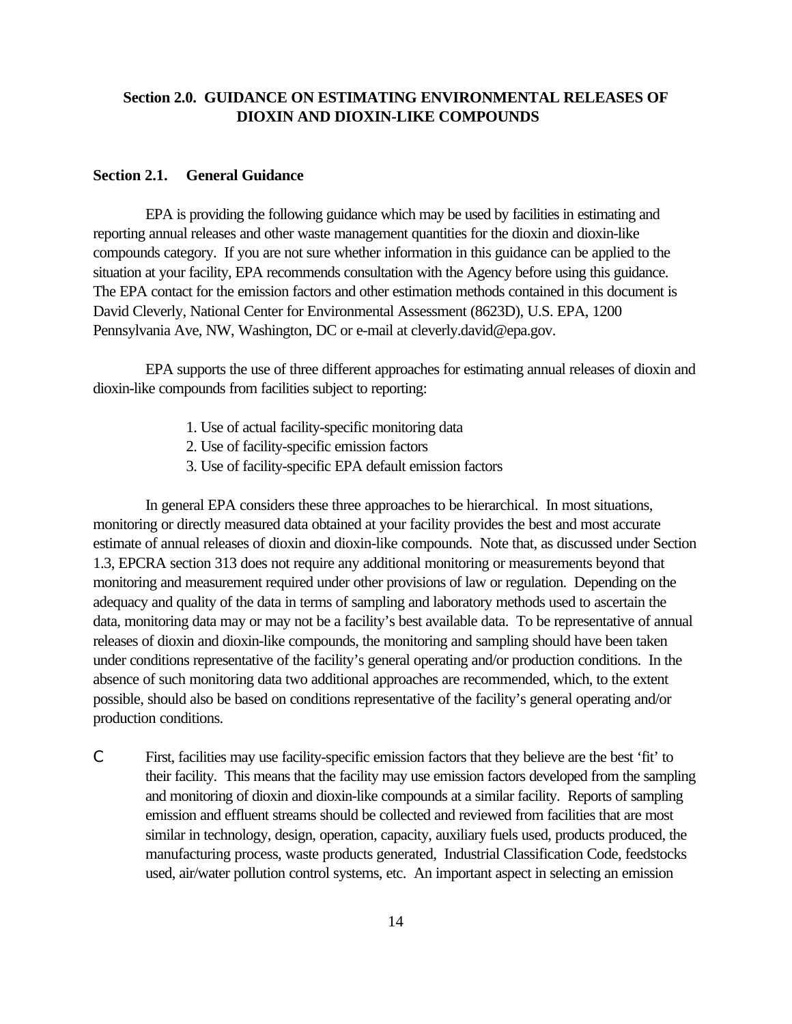### **Section 2.0. GUIDANCE ON ESTIMATING ENVIRONMENTAL RELEASES OF DIOXIN AND DIOXIN-LIKE COMPOUNDS**

#### **Section 2.1. General Guidance**

EPA is providing the following guidance which may be used by facilities in estimating and reporting annual releases and other waste management quantities for the dioxin and dioxin-like compounds category. If you are not sure whether information in this guidance can be applied to the situation at your facility, EPA recommends consultation with the Agency before using this guidance. The EPA contact for the emission factors and other estimation methods contained in this document is David Cleverly, National Center for Environmental Assessment (8623D), U.S. EPA, 1200 Pennsylvania Ave, NW, Washington, DC or e-mail at cleverly.david@epa.gov.

EPA supports the use of three different approaches for estimating annual releases of dioxin and dioxin-like compounds from facilities subject to reporting:

- 1. Use of actual facility-specific monitoring data
- 2. Use of facility-specific emission factors
- 3. Use of facility-specific EPA default emission factors

In general EPA considers these three approaches to be hierarchical. In most situations, monitoring or directly measured data obtained at your facility provides the best and most accurate estimate of annual releases of dioxin and dioxin-like compounds. Note that, as discussed under Section 1.3, EPCRA section 313 does not require any additional monitoring or measurements beyond that monitoring and measurement required under other provisions of law or regulation. Depending on the adequacy and quality of the data in terms of sampling and laboratory methods used to ascertain the data, monitoring data may or may not be a facility's best available data. To be representative of annual releases of dioxin and dioxin-like compounds, the monitoring and sampling should have been taken under conditions representative of the facility's general operating and/or production conditions. In the absence of such monitoring data two additional approaches are recommended, which, to the extent possible, should also be based on conditions representative of the facility's general operating and/or production conditions.

C First, facilities may use facility-specific emission factors that they believe are the best 'fit' to their facility. This means that the facility may use emission factors developed from the sampling and monitoring of dioxin and dioxin-like compounds at a similar facility. Reports of sampling emission and effluent streams should be collected and reviewed from facilities that are most similar in technology, design, operation, capacity, auxiliary fuels used, products produced, the manufacturing process, waste products generated, Industrial Classification Code, feedstocks used, air/water pollution control systems, etc. An important aspect in selecting an emission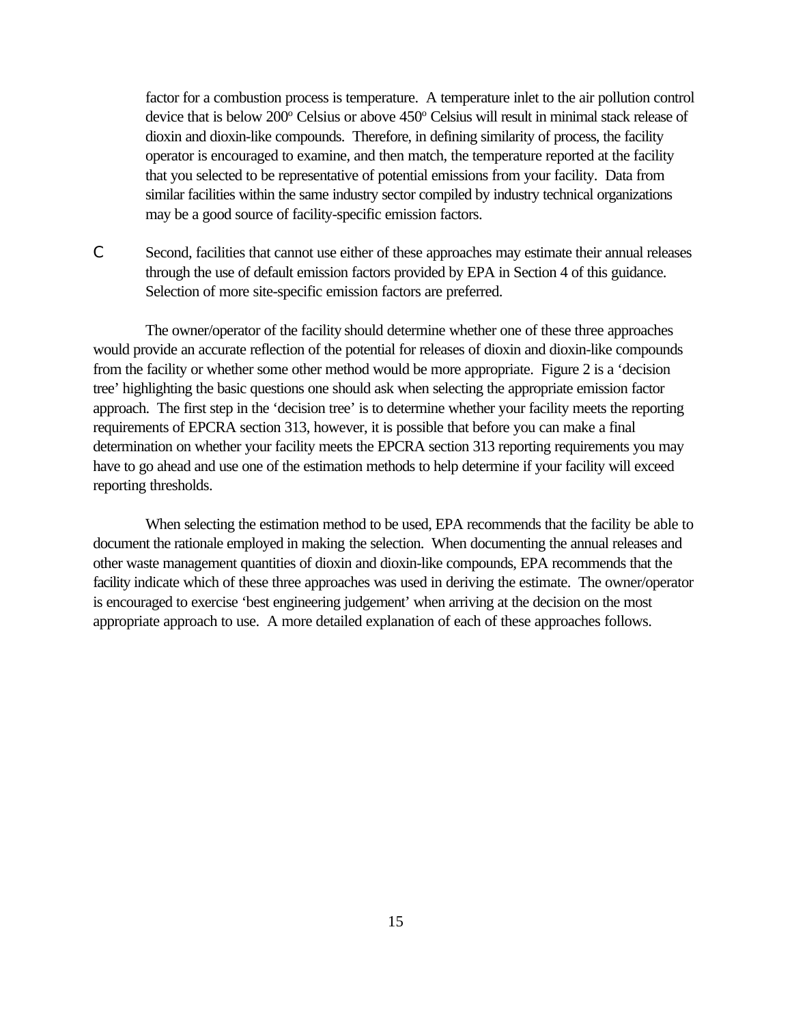factor for a combustion process is temperature. A temperature inlet to the air pollution control device that is below 200° Celsius or above 450° Celsius will result in minimal stack release of dioxin and dioxin-like compounds. Therefore, in defining similarity of process, the facility operator is encouraged to examine, and then match, the temperature reported at the facility that you selected to be representative of potential emissions from your facility. Data from similar facilities within the same industry sector compiled by industry technical organizations may be a good source of facility-specific emission factors.

C Second, facilities that cannot use either of these approaches may estimate their annual releases through the use of default emission factors provided by EPA in Section 4 of this guidance. Selection of more site-specific emission factors are preferred.

The owner/operator of the facility should determine whether one of these three approaches would provide an accurate reflection of the potential for releases of dioxin and dioxin-like compounds from the facility or whether some other method would be more appropriate. Figure 2 is a 'decision tree' highlighting the basic questions one should ask when selecting the appropriate emission factor approach. The first step in the 'decision tree' is to determine whether your facility meets the reporting requirements of EPCRA section 313, however, it is possible that before you can make a final determination on whether your facility meets the EPCRA section 313 reporting requirements you may have to go ahead and use one of the estimation methods to help determine if your facility will exceed reporting thresholds.

When selecting the estimation method to be used, EPA recommends that the facility be able to document the rationale employed in making the selection. When documenting the annual releases and other waste management quantities of dioxin and dioxin-like compounds, EPA recommends that the facility indicate which of these three approaches was used in deriving the estimate. The owner/operator is encouraged to exercise 'best engineering judgement' when arriving at the decision on the most appropriate approach to use. A more detailed explanation of each of these approaches follows.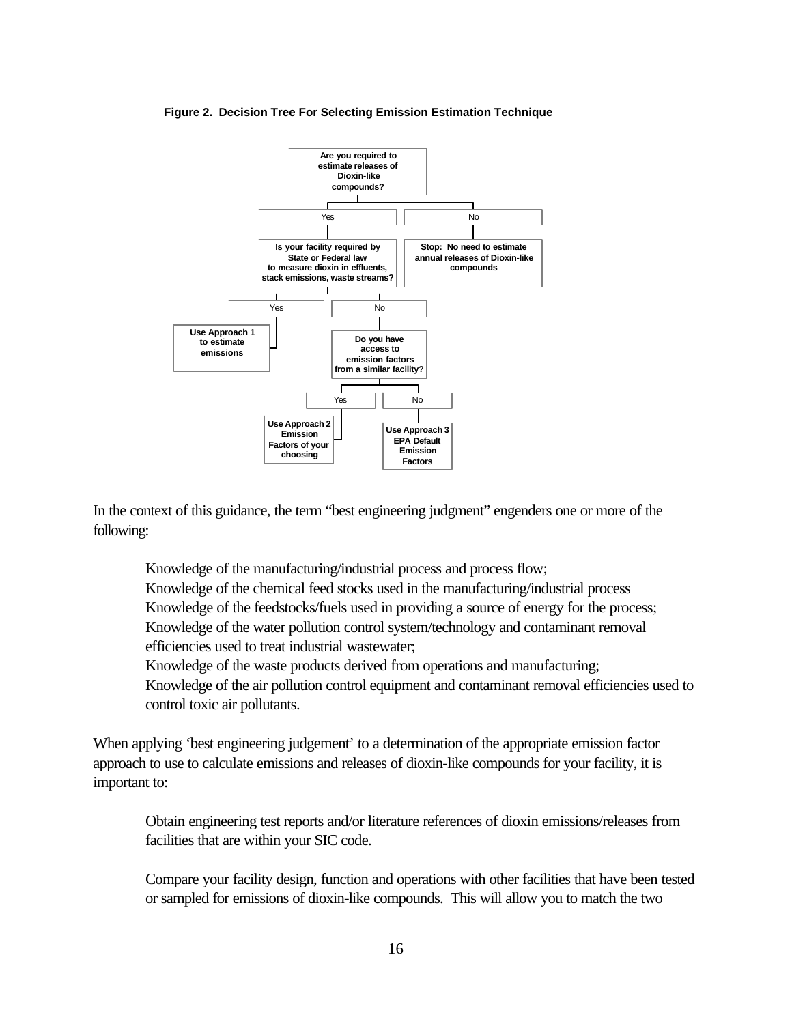

#### **Figure 2. Decision Tree For Selecting Emission Estimation Technique**

In the context of this guidance, the term "best engineering judgment" engenders one or more of the following:

Knowledge of the manufacturing/industrial process and process flow;

Knowledge of the chemical feed stocks used in the manufacturing/industrial process Knowledge of the feedstocks/fuels used in providing a source of energy for the process; Knowledge of the water pollution control system/technology and contaminant removal efficiencies used to treat industrial wastewater;

Knowledge of the waste products derived from operations and manufacturing;

Knowledge of the air pollution control equipment and contaminant removal efficiencies used to control toxic air pollutants.

When applying 'best engineering judgement' to a determination of the appropriate emission factor approach to use to calculate emissions and releases of dioxin-like compounds for your facility, it is important to:

Obtain engineering test reports and/or literature references of dioxin emissions/releases from facilities that are within your SIC code.

Compare your facility design, function and operations with other facilities that have been tested or sampled for emissions of dioxin-like compounds. This will allow you to match the two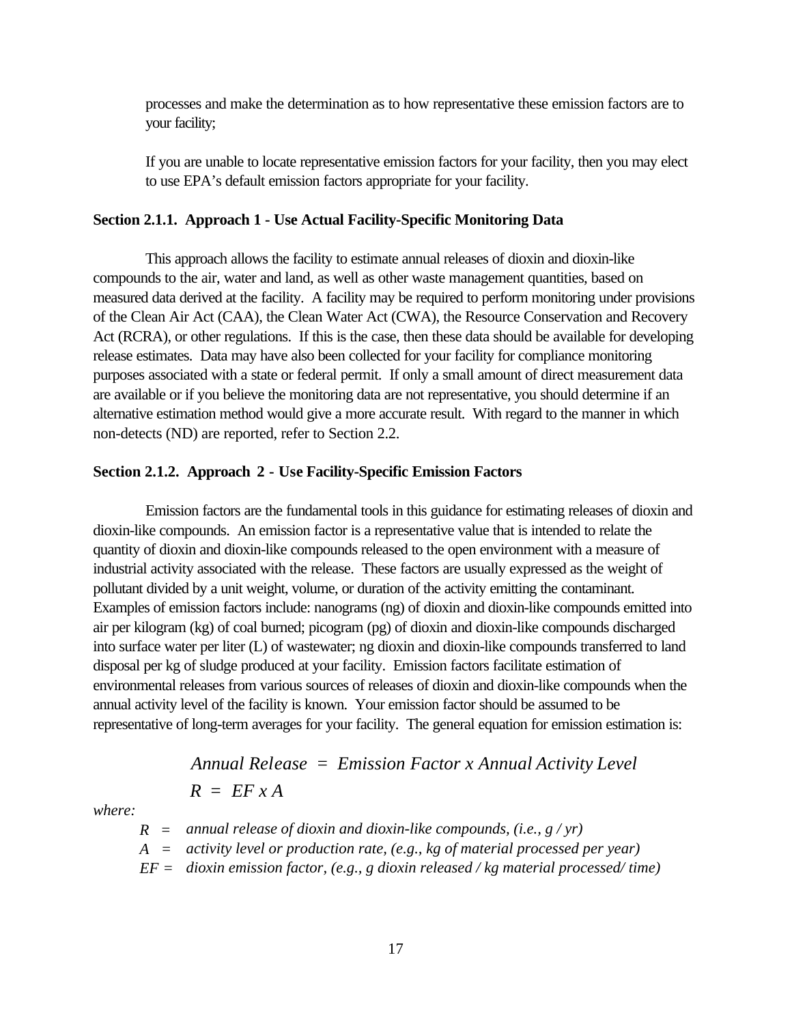processes and make the determination as to how representative these emission factors are to your facility;

If you are unable to locate representative emission factors for your facility, then you may elect to use EPA's default emission factors appropriate for your facility.

### **Section 2.1.1. Approach 1 - Use Actual Facility-Specific Monitoring Data**

This approach allows the facility to estimate annual releases of dioxin and dioxin-like compounds to the air, water and land, as well as other waste management quantities, based on measured data derived at the facility. A facility may be required to perform monitoring under provisions of the Clean Air Act (CAA), the Clean Water Act (CWA), the Resource Conservation and Recovery Act (RCRA), or other regulations. If this is the case, then these data should be available for developing release estimates. Data may have also been collected for your facility for compliance monitoring purposes associated with a state or federal permit. If only a small amount of direct measurement data are available or if you believe the monitoring data are not representative, you should determine if an alternative estimation method would give a more accurate result. With regard to the manner in which non-detects (ND) are reported, refer to Section 2.2.

#### **Section 2.1.2.****Approach 2 - Use Facility-Specific Emission Factors**

Emission factors are the fundamental tools in this guidance for estimating releases of dioxin and dioxin-like compounds. An emission factor is a representative value that is intended to relate the quantity of dioxin and dioxin-like compounds released to the open environment with a measure of industrial activity associated with the release. These factors are usually expressed as the weight of pollutant divided by a unit weight, volume, or duration of the activity emitting the contaminant. Examples of emission factors include: nanograms (ng) of dioxin and dioxin-like compounds emitted into air per kilogram (kg) of coal burned; picogram (pg) of dioxin and dioxin-like compounds discharged into surface water per liter (L) of wastewater; ng dioxin and dioxin-like compounds transferred to land disposal per kg of sludge produced at your facility. Emission factors facilitate estimation of environmental releases from various sources of releases of dioxin and dioxin-like compounds when the annual activity level of the facility is known. Your emission factor should be assumed to be representative of long-term averages for your facility. The general equation for emission estimation is:

*Annual Release* = *Emission Factor x Annual Activity Level*  

$$
R = EF \times A
$$

*where:*

$$
R
$$
 = annual release of dioxin and dioxin-like compounds, (i.e.,  $g/yr$ )

- *A = activity level or production rate, (e.g., kg of material processed per year)*
- *EF = dioxin emission factor, (e.g., g dioxin released / kg material processed/ time)*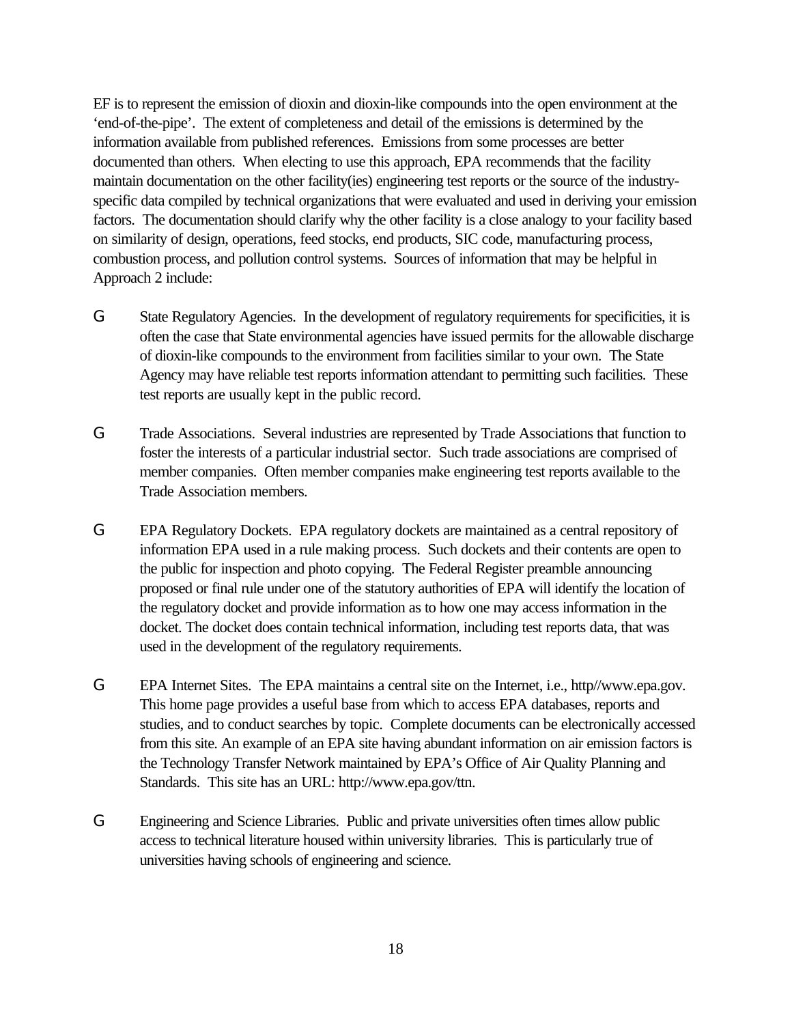EF is to represent the emission of dioxin and dioxin-like compounds into the open environment at the 'end-of-the-pipe'. The extent of completeness and detail of the emissions is determined by the information available from published references. Emissions from some processes are better documented than others. When electing to use this approach, EPA recommends that the facility maintain documentation on the other facility(ies) engineering test reports or the source of the industryspecific data compiled by technical organizations that were evaluated and used in deriving your emission factors. The documentation should clarify why the other facility is a close analogy to your facility based on similarity of design, operations, feed stocks, end products, SIC code, manufacturing process, combustion process, and pollution control systems. Sources of information that may be helpful in Approach 2 include:

- G State Regulatory Agencies. In the development of regulatory requirements for specificities, it is often the case that State environmental agencies have issued permits for the allowable discharge of dioxin-like compounds to the environment from facilities similar to your own. The State Agency may have reliable test reports information attendant to permitting such facilities. These test reports are usually kept in the public record.
- G Trade Associations. Several industries are represented by Trade Associations that function to foster the interests of a particular industrial sector. Such trade associations are comprised of member companies. Often member companies make engineering test reports available to the Trade Association members.
- G EPA Regulatory Dockets. EPA regulatory dockets are maintained as a central repository of information EPA used in a rule making process. Such dockets and their contents are open to the public for inspection and photo copying. The Federal Register preamble announcing proposed or final rule under one of the statutory authorities of EPA will identify the location of the regulatory docket and provide information as to how one may access information in the docket. The docket does contain technical information, including test reports data, that was used in the development of the regulatory requirements.
- G EPA Internet Sites. The EPA maintains a central site on the Internet, i.e., http//www.epa.gov. This home page provides a useful base from which to access EPA databases, reports and studies, and to conduct searches by topic. Complete documents can be electronically accessed from this site. An example of an EPA site having abundant information on air emission factors is the Technology Transfer Network maintained by EPA's Office of Air Quality Planning and Standards. This site has an URL: http://www.epa.gov/ttn.
- G Engineering and Science Libraries. Public and private universities often times allow public access to technical literature housed within university libraries. This is particularly true of universities having schools of engineering and science.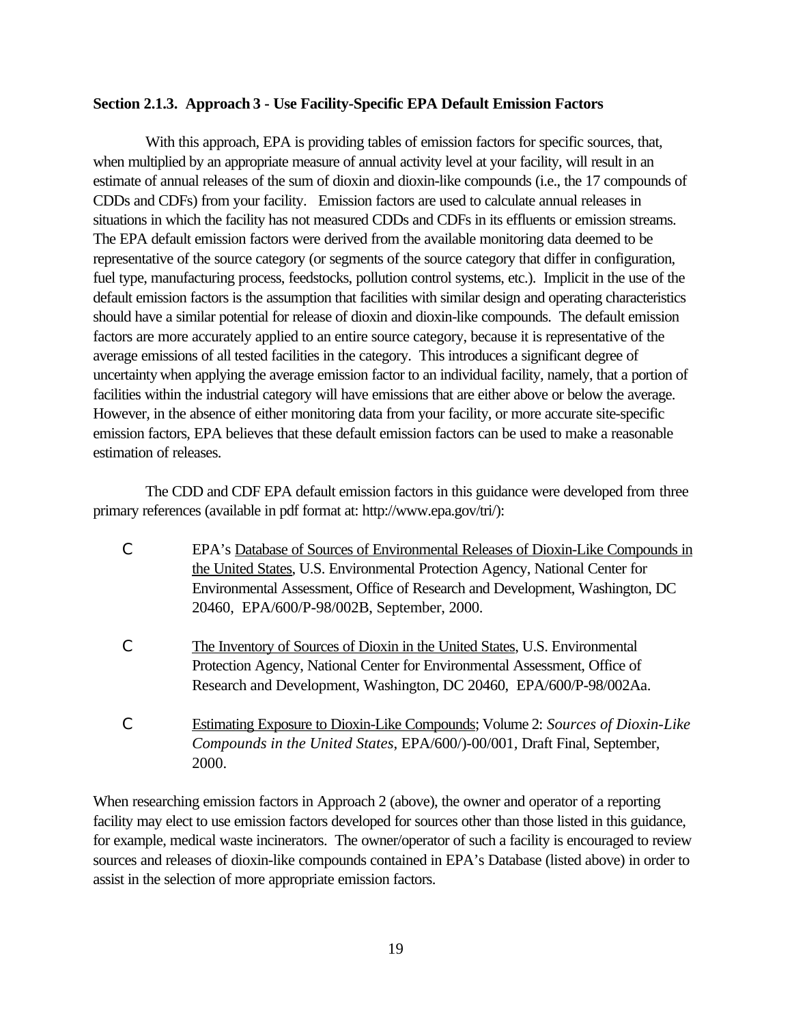### **Section 2.1.3. Approach 3 - Use Facility-Specific EPA Default Emission Factors**

With this approach, EPA is providing tables of emission factors for specific sources, that, when multiplied by an appropriate measure of annual activity level at your facility, will result in an estimate of annual releases of the sum of dioxin and dioxin-like compounds (i.e., the 17 compounds of CDDs and CDFs) from your facility. Emission factors are used to calculate annual releases in situations in which the facility has not measured CDDs and CDFs in its effluents or emission streams. The EPA default emission factors were derived from the available monitoring data deemed to be representative of the source category (or segments of the source category that differ in configuration, fuel type, manufacturing process, feedstocks, pollution control systems, etc.). Implicit in the use of the default emission factors is the assumption that facilities with similar design and operating characteristics should have a similar potential for release of dioxin and dioxin-like compounds. The default emission factors are more accurately applied to an entire source category, because it is representative of the average emissions of all tested facilities in the category. This introduces a significant degree of uncertainty when applying the average emission factor to an individual facility, namely, that a portion of facilities within the industrial category will have emissions that are either above or below the average. However, in the absence of either monitoring data from your facility, or more accurate site-specific emission factors, EPA believes that these default emission factors can be used to make a reasonable estimation of releases.

The CDD and CDF EPA default emission factors in this guidance were developed from three primary references (available in pdf format at: http://www.epa.gov/tri/):

- C EPA's Database of Sources of Environmental Releases of Dioxin-Like Compounds in the United States, U.S. Environmental Protection Agency, National Center for Environmental Assessment, Office of Research and Development, Washington, DC 20460, EPA/600/P-98/002B, September, 2000.
- C The Inventory of Sources of Dioxin in the United States, U.S. Environmental Protection Agency, National Center for Environmental Assessment, Office of Research and Development, Washington, DC 20460, EPA/600/P-98/002Aa.
- C Estimating Exposure to Dioxin-Like Compounds; Volume 2: *Sources of Dioxin-Like Compounds in the United States*, EPA/600/)-00/001*,* Draft Final, September, 2000.

When researching emission factors in Approach 2 (above), the owner and operator of a reporting facility may elect to use emission factors developed for sources other than those listed in this guidance, for example, medical waste incinerators. The owner/operator of such a facility is encouraged to review sources and releases of dioxin-like compounds contained in EPA's Database (listed above) in order to assist in the selection of more appropriate emission factors.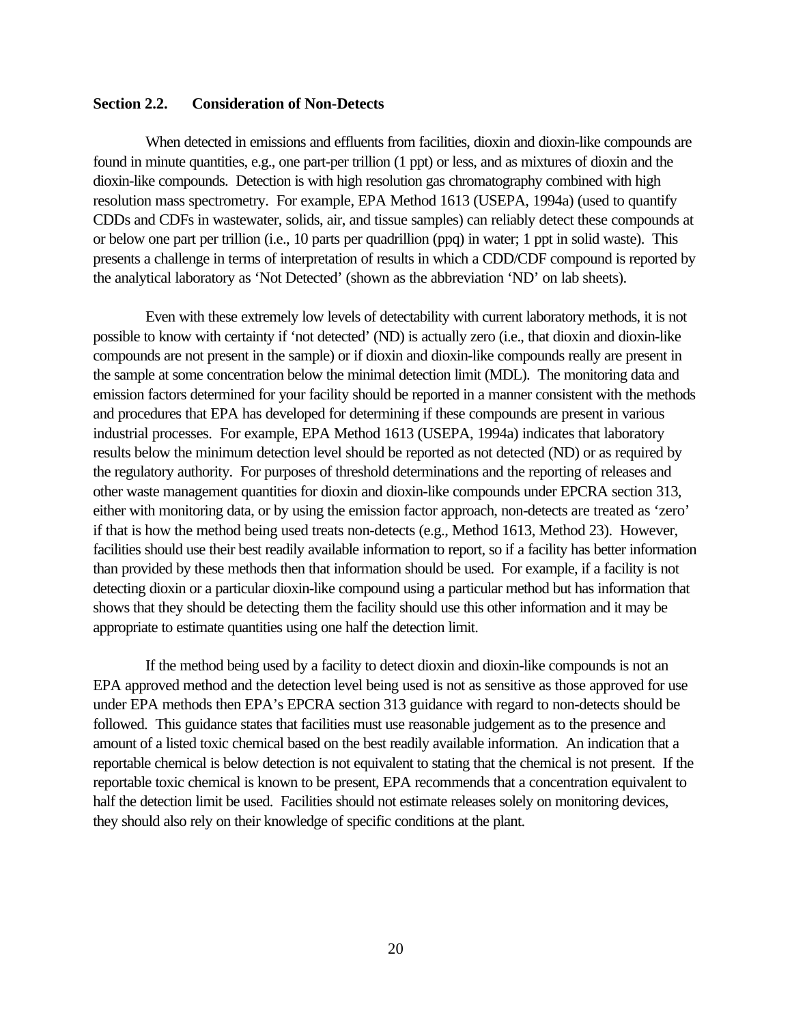### **Section 2.2. Consideration of Non-Detects**

When detected in emissions and effluents from facilities, dioxin and dioxin-like compounds are found in minute quantities, e.g., one part-per trillion (1 ppt) or less, and as mixtures of dioxin and the dioxin-like compounds. Detection is with high resolution gas chromatography combined with high resolution mass spectrometry. For example, EPA Method 1613 (USEPA, 1994a) (used to quantify CDDs and CDFs in wastewater, solids, air, and tissue samples) can reliably detect these compounds at or below one part per trillion (i.e., 10 parts per quadrillion (ppq) in water; 1 ppt in solid waste). This presents a challenge in terms of interpretation of results in which a CDD/CDF compound is reported by the analytical laboratory as 'Not Detected' (shown as the abbreviation 'ND' on lab sheets).

Even with these extremely low levels of detectability with current laboratory methods, it is not possible to know with certainty if 'not detected' (ND) is actually zero (i.e., that dioxin and dioxin-like compounds are not present in the sample) or if dioxin and dioxin-like compounds really are present in the sample at some concentration below the minimal detection limit (MDL). The monitoring data and emission factors determined for your facility should be reported in a manner consistent with the methods and procedures that EPA has developed for determining if these compounds are present in various industrial processes. For example, EPA Method 1613 (USEPA, 1994a) indicates that laboratory results below the minimum detection level should be reported as not detected (ND) or as required by the regulatory authority. For purposes of threshold determinations and the reporting of releases and other waste management quantities for dioxin and dioxin-like compounds under EPCRA section 313, either with monitoring data, or by using the emission factor approach, non-detects are treated as 'zero' if that is how the method being used treats non-detects (e.g., Method 1613, Method 23). However, facilities should use their best readily available information to report, so if a facility has better information than provided by these methods then that information should be used. For example, if a facility is not detecting dioxin or a particular dioxin-like compound using a particular method but has information that shows that they should be detecting them the facility should use this other information and it may be appropriate to estimate quantities using one half the detection limit.

If the method being used by a facility to detect dioxin and dioxin-like compounds is not an EPA approved method and the detection level being used is not as sensitive as those approved for use under EPA methods then EPA's EPCRA section 313 guidance with regard to non-detects should be followed. This guidance states that facilities must use reasonable judgement as to the presence and amount of a listed toxic chemical based on the best readily available information. An indication that a reportable chemical is below detection is not equivalent to stating that the chemical is not present. If the reportable toxic chemical is known to be present, EPA recommends that a concentration equivalent to half the detection limit be used. Facilities should not estimate releases solely on monitoring devices, they should also rely on their knowledge of specific conditions at the plant.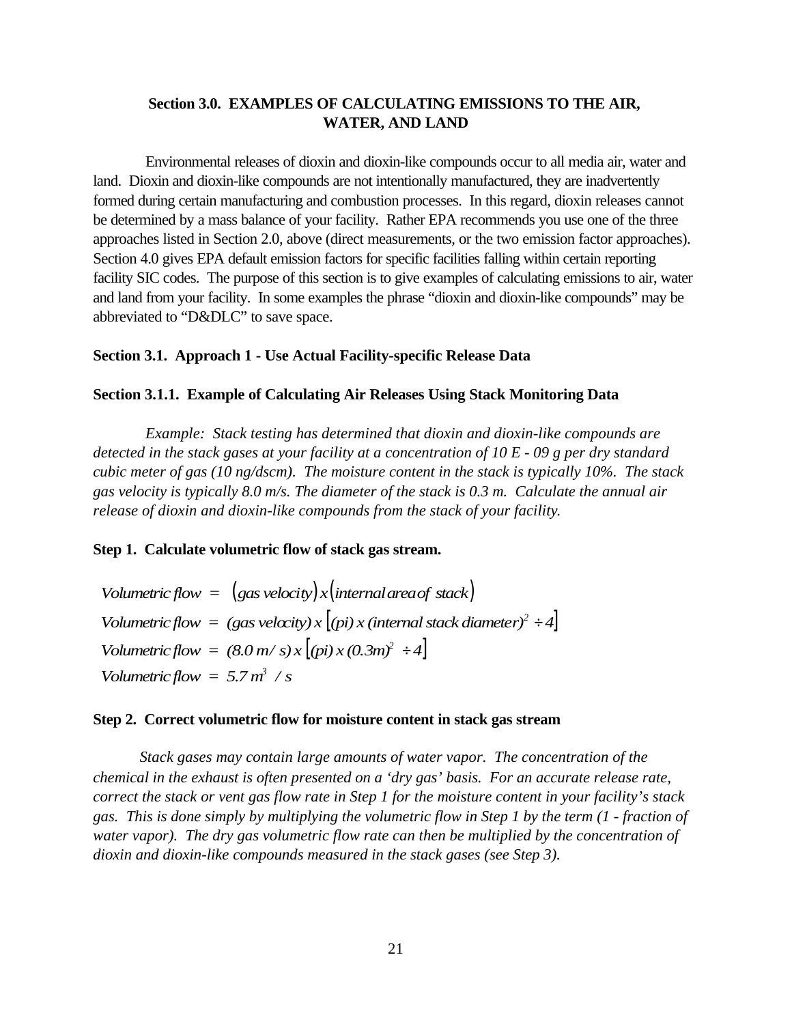### **Section 3.0. EXAMPLES OF CALCULATING EMISSIONS TO THE AIR, WATER, AND LAND**

Environmental releases of dioxin and dioxin-like compounds occur to all media air, water and land. Dioxin and dioxin-like compounds are not intentionally manufactured, they are inadvertently formed during certain manufacturing and combustion processes. In this regard, dioxin releases cannot be determined by a mass balance of your facility. Rather EPA recommends you use one of the three approaches listed in Section 2.0, above (direct measurements, or the two emission factor approaches). Section 4.0 gives EPA default emission factors for specific facilities falling within certain reporting facility SIC codes. The purpose of this section is to give examples of calculating emissions to air, water and land from your facility. In some examples the phrase "dioxin and dioxin-like compounds" may be abbreviated to "D&DLC" to save space.

### **Section 3.1. Approach 1 - Use Actual Facility-specific Release Data**

#### **Section 3.1.1.****Example of Calculating Air Releases Using Stack Monitoring Data**

*Example: Stack testing has determined that dioxin and dioxin-like compounds are detected in the stack gases at your facility at a concentration of 10 E - 09 g per dry standard cubic meter of gas (10 ng/dscm). The moisture content in the stack is typically 10%. The stack gas velocity is typically 8.0 m/s. The diameter of the stack is 0.3 m. Calculate the annual air release of dioxin and dioxin-like compounds from the stack of your facility*.

**Step 1. Calculate volumetric flow of stack gas stream.**

 $Volume for *f* low = (gas velocity) x (internal area of stack)$ *Volumetric flow* = (gas velocity) x  $(pi)$  x (internal stack diameter)<sup>2</sup> ÷ 4  $Volumetric flow = (8.0 m/s)x [(pi)x(0.3m)^2 + 4]$ *Volumetric flow =*  $5.7 m^3 / s$ 

#### **Step 2. Correct volumetric flow for moisture content in stack gas stream**

*Stack gases may contain large amounts of water vapor. The concentration of the chemical in the exhaust is often presented on a 'dry gas' basis. For an accurate release rate, correct the stack or vent gas flow rate in Step 1 for the moisture content in your facility's stack gas. This is done simply by multiplying the volumetric flow in Step 1 by the term (1 - fraction of water vapor). The dry gas volumetric flow rate can then be multiplied by the concentration of dioxin and dioxin-like compounds measured in the stack gases (see Step 3).*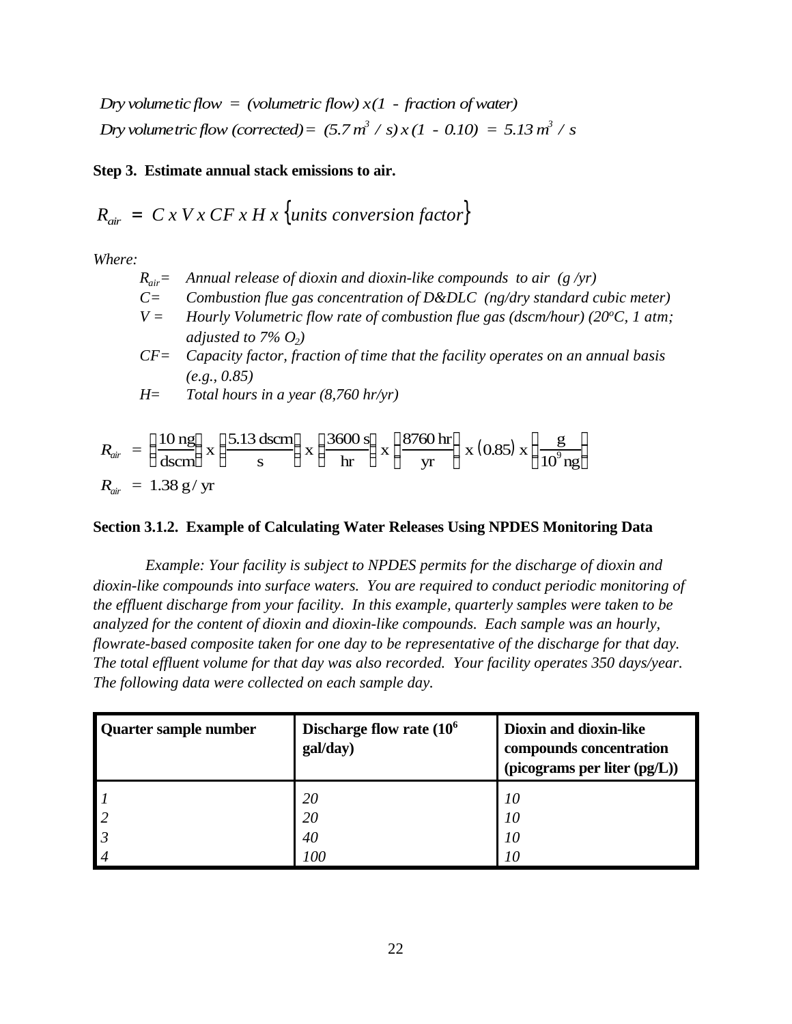*Dry volumetic flow = (volumetric flow)*  $x(1 -$  *fraction of water) Dry volume tric flow (corrected)* =  $(5.7 \text{ m}^3 / \text{ s}) x (1 - 0.10) = 5.13 \text{ m}^3 / \text{ s}$ 

**Step 3. Estimate annual stack emissions to air.**

$$
R_{air} = C x V x C F x H x \{units conversion factor\}
$$

*Where:*

- $R_{air}$  *Annual release of dioxin and dioxin-like compounds to air (g/yr)*
- *C= Combustion flue gas concentration of D&DLC (ng/dry standard cubic meter)*
- *V* = *Hourly Volumetric flow rate of combustion flue gas (dscm/hour) (20* $^{\circ}$ *C, 1 atm; adjusted to 7% O<sup>2</sup> )*
- *CF= Capacity factor, fraction of time that the facility operates on an annual basis (e.g., 0.85)*

*H= Total hours in a year (8,760 hr/yr)*

$$
R_{air} = \left(\frac{10 \text{ ng}}{\text{dscm}}\right) \text{x} \left(\frac{5.13 \text{ dscm}}{\text{s}}\right) \text{x} \left(\frac{3600 \text{ s}}{\text{hr}}\right) \text{x} \left(\frac{8760 \text{ hr}}{\text{yr}}\right) \text{x} (0.85) \text{ x} \left(\frac{\text{g}}{10^9 \text{ ng}}\right)
$$
  

$$
R_{air} = 1.38 \text{ g/ yr}
$$

## **Section 3.1.2. Example of Calculating Water Releases Using NPDES Monitoring Data**

*Example: Your facility is subject to NPDES permits for the discharge of dioxin and dioxin-like compounds into surface waters. You are required to conduct periodic monitoring of the effluent discharge from your facility. In this example, quarterly samples were taken to be analyzed for the content of dioxin and dioxin-like compounds. Each sample was an hourly, flowrate-based composite taken for one day to be representative of the discharge for that day. The total effluent volume for that day was also recorded. Your facility operates 350 days/year. The following data were collected on each sample day.*

| Quarter sample number | Discharge flow rate $(106$<br>gal/day) | <b>Dioxin and dioxin-like</b><br>compounds concentration<br>(picograms per liter (pg/L)) |
|-----------------------|----------------------------------------|------------------------------------------------------------------------------------------|
|                       | <b>20</b>                              | 10                                                                                       |
| $\mathsf{I}2$         | 20                                     | 10                                                                                       |
|                       | 40                                     | 10                                                                                       |
| $\vert 4$             | 100                                    | 10                                                                                       |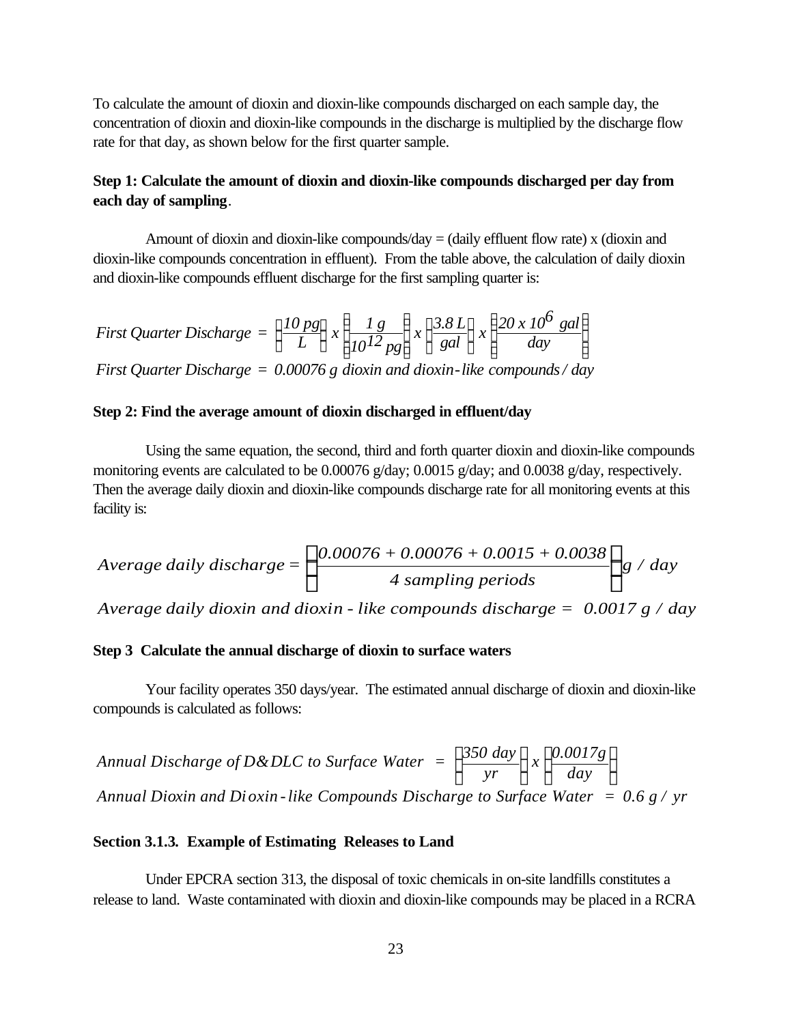To calculate the amount of dioxin and dioxin-like compounds discharged on each sample day, the concentration of dioxin and dioxin-like compounds in the discharge is multiplied by the discharge flow rate for that day, as shown below for the first quarter sample.

### **Step 1: Calculate the amount of dioxin and dioxin-like compounds discharged per day from each day of sampling**.

Amount of dioxin and dioxin-like compounds/day  $=$  (daily effluent flow rate) x (dioxin and dioxin-like compounds concentration in effluent). From the table above, the calculation of daily dioxin and dioxin-like compounds effluent discharge for the first sampling quarter is:

First Quarterly Discharge = 
$$
\left\{ \frac{10 \text{ ps}}{L} \right\} x \left\{ \frac{1 \text{ g}}{10^{12} \text{ ps}} \right\} x \left\{ \frac{3.8 \text{ L}}{\text{gal}} \right\} x \left\{ \frac{20 x 10^6 \text{ gal}}{\text{day}} \right\}
$$

*First Quarter Discharge = 0.00076 g dioxin and dioxin-like compounds/ day*

### **Step 2: Find the average amount of dioxin discharged in effluent/day**

Using the same equation, the second, third and forth quarter dioxin and dioxin-like compounds monitoring events are calculated to be 0.00076 g/day; 0.0015 g/day; and 0.0038 g/day, respectively. Then the average daily dioxin and dioxin-like compounds discharge rate for all monitoring events at this facility is:

$$
Average daily discharge = \left\{ \frac{0.00076 + 0.00076 + 0.0015 + 0.0038}{4 \text{ sampling periods}} \right\} g / day
$$

*Average daily dioxin and dioxin - like compounds discharge = 0.0017 g / day*

### **Step 3 Calculate the annual discharge of dioxin to surface waters**

Your facility operates 350 days/year. The estimated annual discharge of dioxin and dioxin-like compounds is calculated as follows:

*Annual Discharge of D&DLC to Surface Water* = 
$$
\left\{\frac{350 \text{ day}}{\text{yr}}\right\} x \left\{\frac{0.0017g}{\text{day}}\right\}
$$
  
*Annual Dioxin and Dioxin-like Compounds Discharge to Surface Water* = 0.6 g / yr

### **Section 3.1.3***.* **Example of Estimating Releases to Land**

Under EPCRA section 313, the disposal of toxic chemicals in on-site landfills constitutes a release to land. Waste contaminated with dioxin and dioxin-like compounds may be placed in a RCRA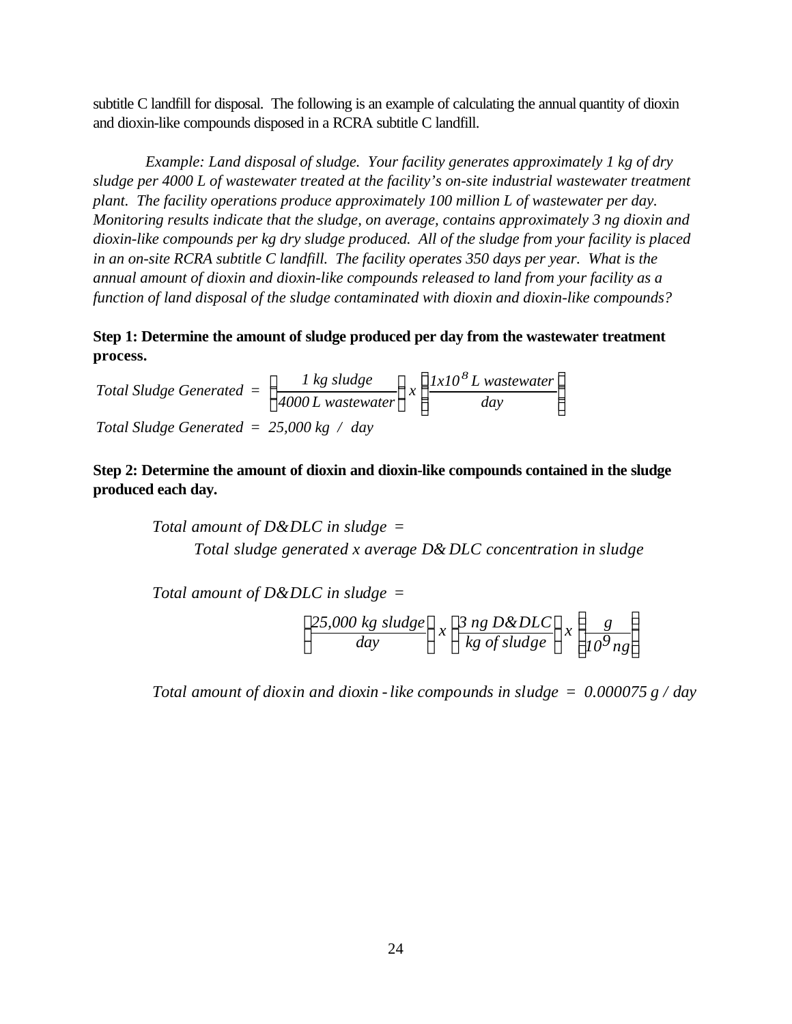subtitle C landfill for disposal. The following is an example of calculating the annual quantity of dioxin and dioxin-like compounds disposed in a RCRA subtitle C landfill.

*Example: Land disposal of sludge. Your facility generates approximately 1 kg of dry sludge per 4000 L of wastewater treated at the facility's on-site industrial wastewater treatment plant. The facility operations produce approximately 100 million L of wastewater per day. Monitoring results indicate that the sludge, on average, contains approximately 3 ng dioxin and dioxin-like compounds per kg dry sludge produced. All of the sludge from your facility is placed in an on-site RCRA subtitle C landfill. The facility operates 350 days per year. What is the annual amount of dioxin and dioxin-like compounds released to land from your facility as a function of land disposal of the sludge contaminated with dioxin and dioxin-like compounds?*

**Step 1: Determine the amount of sludge produced per day from the wastewater treatment process.**

*Total Sludge Generated L wastewat L wastewat day Total Sludge Generated = 25,000 kg / day = 1 kg sludge er*  $\int x \left\{ \frac{lxl0^8L}{l} \right.$  *mastewater 4000*  $\mathbf{I}$ ↑  $\mathsf{l}$  $\overline{ }$ ł J  $\mathsf{l}$ ↑  $\mathsf{I}$  $\mathsf{l}$  $\mathsf{l}$ ł  $\overline{1}$ J

**Step 2: Determine the amount of dioxin and dioxin-like compounds contained in the sludge produced each day.**

> *Total amount of D&DLC in sludge = Total sludge generated x average D& DLC concentration in sludge*

*Total amount of D&DLC in sludge =*

$$
\left\{\frac{25,000 \text{ kg sludge}}{day}\right\} x \left\{\frac{3 \text{ ng D&DLC}}{kg \text{ of sludge}}\right\} x \left\{\frac{g}{10^9 \text{ ng}}\right\}
$$

*Total amount of dioxin and dioxin -like compounds in sludge = 0.000075 g / day*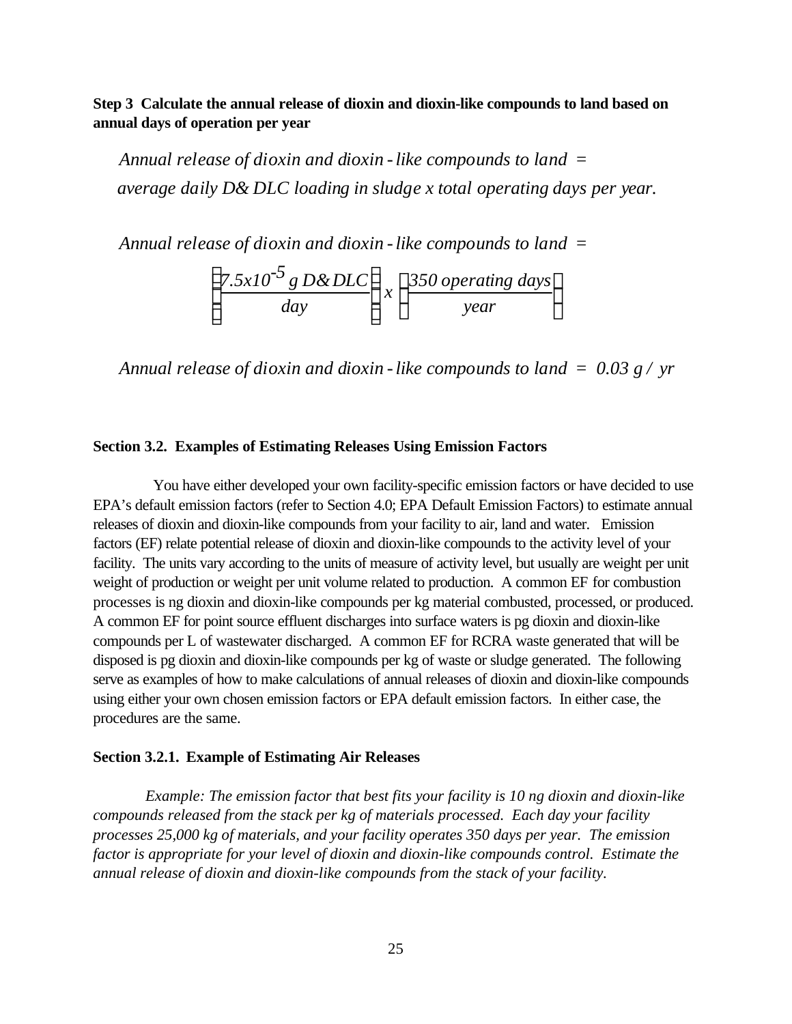**Step 3 Calculate the annual release of dioxin and dioxin-like compounds to land based on annual days of operation per year**

*Annual release of dioxin and dioxin -like compounds to land = average daily D& DLC loading in sludge x total operating days per year.*

*Annual release of dioxin and dioxin -like compounds to land =*

$$
\left\{\frac{7.5 \times 10^{-5} \text{ g D& DLC}}{day}\right\} \times \left\{\frac{350 \text{ operating days}}{\text{year}}\right\}
$$

*Annual release of dioxin and dioxin -like compounds to land = 0.03 g / yr*

#### **Section 3.2. Examples of Estimating Releases Using Emission Factors**

 You have either developed your own facility-specific emission factors or have decided to use EPA's default emission factors (refer to Section 4.0; EPA Default Emission Factors) to estimate annual releases of dioxin and dioxin-like compounds from your facility to air, land and water. Emission factors (EF) relate potential release of dioxin and dioxin-like compounds to the activity level of your facility. The units vary according to the units of measure of activity level, but usually are weight per unit weight of production or weight per unit volume related to production. A common EF for combustion processes is ng dioxin and dioxin-like compounds per kg material combusted, processed, or produced. A common EF for point source effluent discharges into surface waters is pg dioxin and dioxin-like compounds per L of wastewater discharged. A common EF for RCRA waste generated that will be disposed is pg dioxin and dioxin-like compounds per kg of waste or sludge generated. The following serve as examples of how to make calculations of annual releases of dioxin and dioxin-like compounds using either your own chosen emission factors or EPA default emission factors. In either case, the procedures are the same.

#### **Section 3.2.1. Example of Estimating Air Releases**

*Example: The emission factor that best fits your facility is 10 ng dioxin and dioxin-like compounds released from the stack per kg of materials processed. Each day your facility processes 25,000 kg of materials, and your facility operates 350 days per year. The emission factor is appropriate for your level of dioxin and dioxin-like compounds control. Estimate the annual release of dioxin and dioxin-like compounds from the stack of your facility.*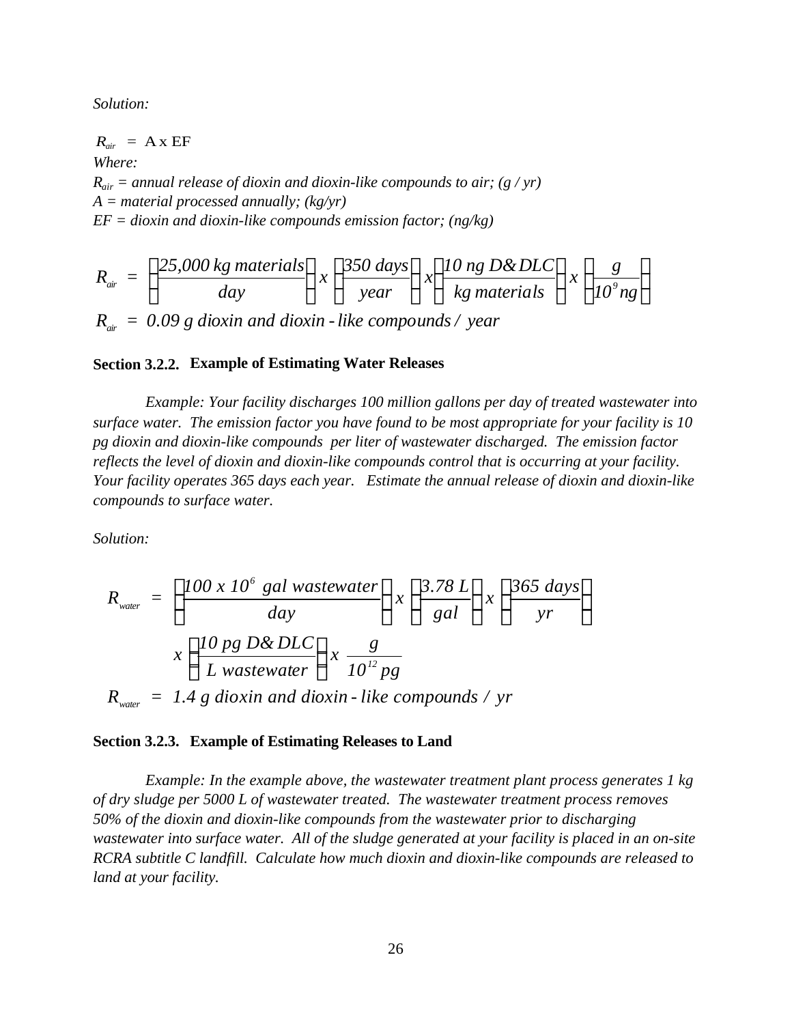*Solution:*

 $R_{air}$  = A x EF *Where:*  $R_{air}$  = annual release of dioxin and dioxin-like compounds to air; (g / yr) *A = material processed annually; (kg/yr) EF = dioxin and dioxin-like compounds emission factor; (ng/kg)*

$$
R_{\text{air}} = \left\{ \frac{25,000 \text{ kg materials}}{day} \right\} x \left\{ \frac{350 \text{ days}}{\text{year}} \right\} x \left\{ \frac{10 \text{ ng D& DLC}}{kg \text{ materials}} \right\} x \left\{ \frac{g}{10^{\circ} \text{ ng}} \right\}
$$
  

$$
R_{\text{air}} = 0.09 \text{ g dioxin and dioxin-like compounds} / year
$$

#### **Section 3.2.2. Example of Estimating Water Releases**

*Example: Your facility discharges 100 million gallons per day of treated wastewater into surface water. The emission factor you have found to be most appropriate for your facility is 10 pg dioxin and dioxin-like compounds per liter of wastewater discharged. The emission factor reflects the level of dioxin and dioxin-like compounds control that is occurring at your facility. Your facility operates 365 days each year. Estimate the annual release of dioxin and dioxin-like compounds to surface water.*

*Solution:*

$$
R_{\text{water}} = \left\{ \frac{100 \times 10^6 \text{ gal wastewater}}{\text{day}} \right\} \times \left\{ \frac{3.78 \text{ L}}{\text{gal}} \right\} \times \left\{ \frac{365 \text{ days}}{\text{yr}} \right\}
$$

$$
x \left\{ \frac{10 \text{ pg D& DLC}}{\text{L wastewater}} \right\} \times \frac{\text{g}}{10^{12} \text{ pg}}
$$

$$
R_{\text{water}} = 1.4 \text{ g dioxin and dioxin-like compounds} / \text{ yr}
$$

#### **Section 3.2.3. Example of Estimating Releases to Land**

*Example: In the example above, the wastewater treatment plant process generates 1 kg of dry sludge per 5000 L of wastewater treated. The wastewater treatment process removes 50% of the dioxin and dioxin-like compounds from the wastewater prior to discharging wastewater into surface water. All of the sludge generated at your facility is placed in an on-site RCRA subtitle C landfill. Calculate how much dioxin and dioxin-like compounds are released to land at your facility.*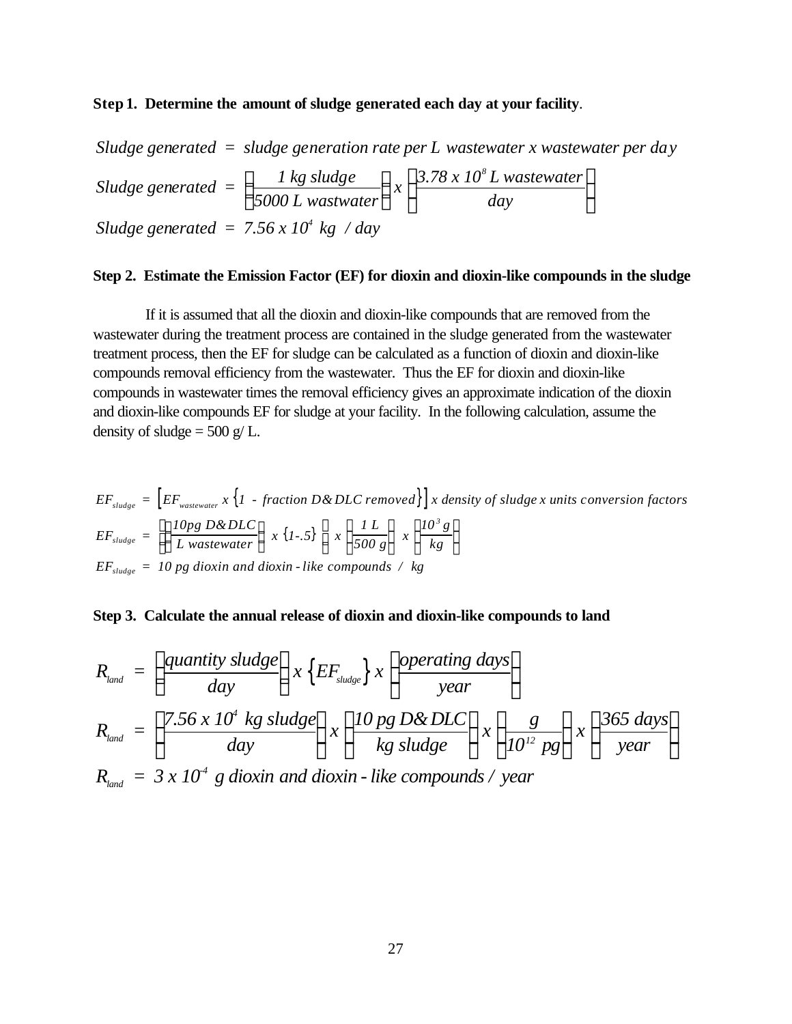#### **Step 1. Determine the amount of sludge generated each day at your facility**.

*Sludge generated = sludge generation rate per L wastewater x wastewater per day Sludge generated = 1 kg sludge 5000 L wastwater x 3.78 x 10 L wastewater day Sludge generated* =  $7.56 \times 10^4$  kg / *day*  $\int$  *l* kg sludge  $\int_{x}$  3.78 x 10<sup>8</sup> {  $\mathsf{L}$  $\mathbf{I}$  $\left\{ \right\}$ J  $\overline{\phantom{a}}$ {  $\mathfrak l$  $\mathsf{l}$  $\left\{ \right\}$ J

#### **Step 2. Estimate the Emission Factor (EF) for dioxin and dioxin-like compounds in the sludge**

If it is assumed that all the dioxin and dioxin-like compounds that are removed from the wastewater during the treatment process are contained in the sludge generated from the wastewater treatment process, then the EF for sludge can be calculated as a function of dioxin and dioxin-like compounds removal efficiency from the wastewater. Thus the EF for dioxin and dioxin-like compounds in wastewater times the removal efficiency gives an approximate indication of the dioxin and dioxin-like compounds EF for sludge at your facility. In the following calculation, assume the density of sludge  $= 500$  g/L.

$$
EF_{sludge} = \left[ EF_{wastewater} \times \left\{ 1 - fraction D & DLC removed \right\} \right] \times density of sludge x units conversion factors
$$
\n
$$
EF_{sludge} = \left[ \left\{ \frac{10pg D & DLC}{L wastewater} \right\} \times \left\{ 1-.5 \right\} \right] \times \left\{ \frac{1}{500 g} \right\} \times \left\{ \frac{10^3 g}{kg} \right\}
$$
\n
$$
EF_{sludge} = 10 pg dioxin and dioxin-like compounds / kg
$$

**Step 3. Calculate the annual release of dioxin and dioxin-like compounds to land**

$$
R_{land} = \left(\frac{quantity sludge}{day}\right) x \left\{ EF_{sludge} \right\} x \left\{ \frac{operating days}{year} \right\}
$$

$$
R_{land} = \left\{ \frac{7.56 x 104 kg sludge}{day} \right\} x \left\{ \frac{10 pg D& DLC}{kg sludge} \right\} x \left\{ \frac{g}{1012 pg} \right\} x \left\{ \frac{365 days}{year} \right\}
$$

 $R_{\rm land} \ = \ 3 \ x \ 10^4 \ \ g \ dioxin$  and dioxin - like compounds / year *-4*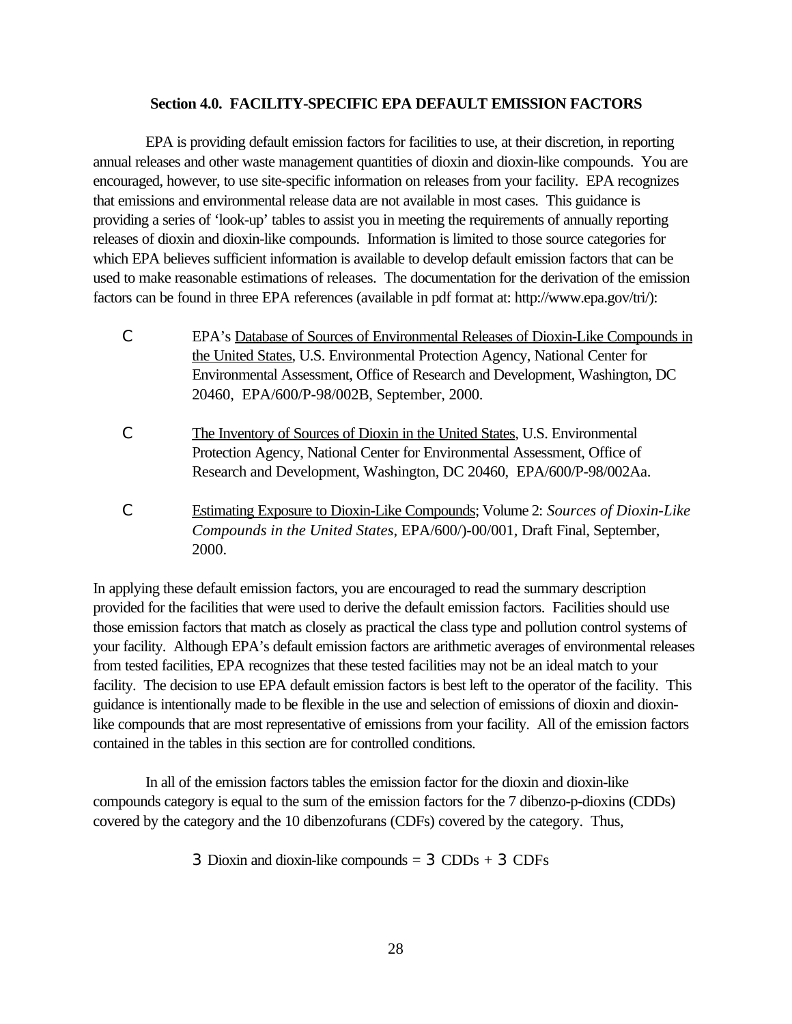### **Section 4.0. FACILITY-SPECIFIC EPA DEFAULT EMISSION FACTORS**

EPA is providing default emission factors for facilities to use, at their discretion, in reporting annual releases and other waste management quantities of dioxin and dioxin-like compounds. You are encouraged, however, to use site-specific information on releases from your facility. EPA recognizes that emissions and environmental release data are not available in most cases. This guidance is providing a series of 'look-up' tables to assist you in meeting the requirements of annually reporting releases of dioxin and dioxin-like compounds. Information is limited to those source categories for which EPA believes sufficient information is available to develop default emission factors that can be used to make reasonable estimations of releases.The documentation for the derivation of the emission factors can be found in three EPA references (available in pdf format at: http://www.epa.gov/tri/):

- C EPA's Database of Sources of Environmental Releases of Dioxin-Like Compounds in the United States, U.S. Environmental Protection Agency, National Center for Environmental Assessment, Office of Research and Development, Washington, DC 20460, EPA/600/P-98/002B, September, 2000.
- C The Inventory of Sources of Dioxin in the United States, U.S. Environmental Protection Agency, National Center for Environmental Assessment, Office of Research and Development, Washington, DC 20460, EPA/600/P-98/002Aa.
- C Estimating Exposure to Dioxin-Like Compounds; Volume 2: *Sources of Dioxin-Like Compounds in the United States*, EPA/600/)-00/001*,* Draft Final, September, 2000.

In applying these default emission factors, you are encouraged to read the summary description provided for the facilities that were used to derive the default emission factors. Facilities should use those emission factors that match as closely as practical the class type and pollution control systems of your facility. Although EPA's default emission factors are arithmetic averages of environmental releases from tested facilities, EPA recognizes that these tested facilities may not be an ideal match to your facility. The decision to use EPA default emission factors is best left to the operator of the facility. This guidance is intentionally made to be flexible in the use and selection of emissions of dioxin and dioxinlike compounds that are most representative of emissions from your facility. All of the emission factors contained in the tables in this section are for controlled conditions.

In all of the emission factors tables the emission factor for the dioxin and dioxin-like compounds category is equal to the sum of the emission factors for the 7 dibenzo-p-dioxins (CDDs) covered by the category and the 10 dibenzofurans (CDFs) covered by the category. Thus,

3 Dioxin and dioxin-like compounds *=* 3 CDDs *+* 3 CDFs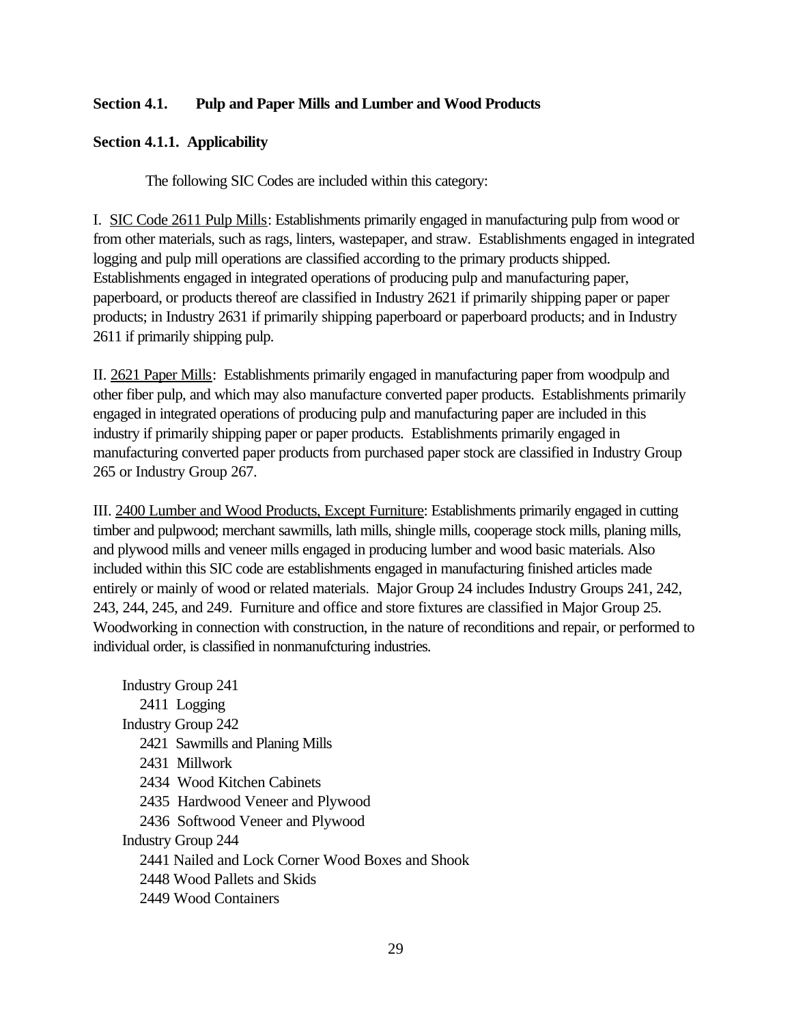# **Section 4.1. Pulp and Paper Mills and Lumber and Wood Products**

# **Section 4.1.1. Applicability**

The following SIC Codes are included within this category:

I. SIC Code 2611 Pulp Mills: Establishments primarily engaged in manufacturing pulp from wood or from other materials, such as rags, linters, wastepaper, and straw. Establishments engaged in integrated logging and pulp mill operations are classified according to the primary products shipped. Establishments engaged in integrated operations of producing pulp and manufacturing paper, paperboard, or products thereof are classified in Industry 2621 if primarily shipping paper or paper products; in Industry 2631 if primarily shipping paperboard or paperboard products; and in Industry 2611 if primarily shipping pulp.

II. 2621 Paper Mills: Establishments primarily engaged in manufacturing paper from woodpulp and other fiber pulp, and which may also manufacture converted paper products. Establishments primarily engaged in integrated operations of producing pulp and manufacturing paper are included in this industry if primarily shipping paper or paper products. Establishments primarily engaged in manufacturing converted paper products from purchased paper stock are classified in Industry Group 265 or Industry Group 267.

III. 2400 Lumber and Wood Products, Except Furniture: Establishments primarily engaged in cutting timber and pulpwood; merchant sawmills, lath mills, shingle mills, cooperage stock mills, planing mills, and plywood mills and veneer mills engaged in producing lumber and wood basic materials. Also included within this SIC code are establishments engaged in manufacturing finished articles made entirely or mainly of wood or related materials. Major Group 24 includes Industry Groups 241, 242, 243, 244, 245, and 249. Furniture and office and store fixtures are classified in Major Group 25. Woodworking in connection with construction, in the nature of reconditions and repair, or performed to individual order, is classified in nonmanufcturing industries.

Industry Group 241 2411 Logging Industry Group 242 2421 Sawmills and Planing Mills 2431 Millwork 2434 Wood Kitchen Cabinets 2435 Hardwood Veneer and Plywood 2436 Softwood Veneer and Plywood Industry Group 244 2441 Nailed and Lock Corner Wood Boxes and Shook 2448 Wood Pallets and Skids 2449 Wood Containers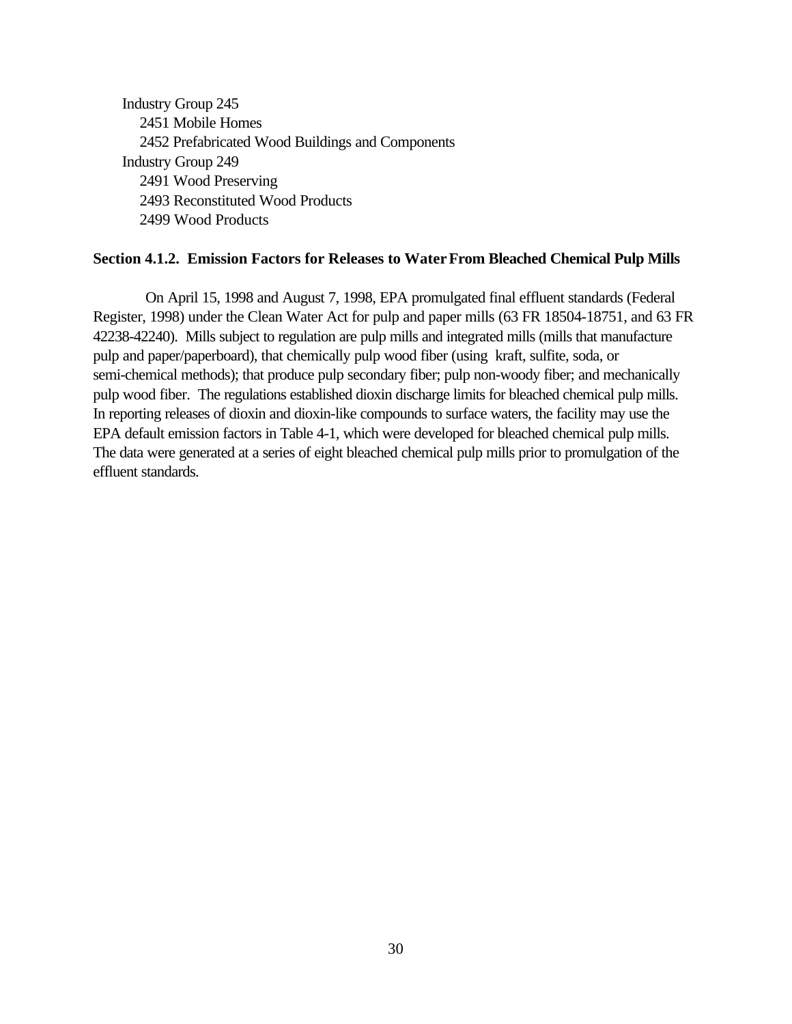Industry Group 245 2451 Mobile Homes 2452 Prefabricated Wood Buildings and Components Industry Group 249 2491 Wood Preserving 2493 Reconstituted Wood Products 2499 Wood Products

#### **Section 4.1.2. Emission Factors for Releases to WaterFrom Bleached Chemical Pulp Mills**

On April 15, 1998 and August 7, 1998, EPA promulgated final effluent standards (Federal Register, 1998) under the Clean Water Act for pulp and paper mills (63 FR 18504-18751, and 63 FR 42238-42240). Mills subject to regulation are pulp mills and integrated mills (mills that manufacture pulp and paper/paperboard), that chemically pulp wood fiber (using kraft, sulfite, soda, or semi-chemical methods); that produce pulp secondary fiber; pulp non-woody fiber; and mechanically pulp wood fiber. The regulations established dioxin discharge limits for bleached chemical pulp mills. In reporting releases of dioxin and dioxin-like compounds to surface waters, the facility may use the EPA default emission factors in Table 4-1, which were developed for bleached chemical pulp mills. The data were generated at a series of eight bleached chemical pulp mills prior to promulgation of the effluent standards.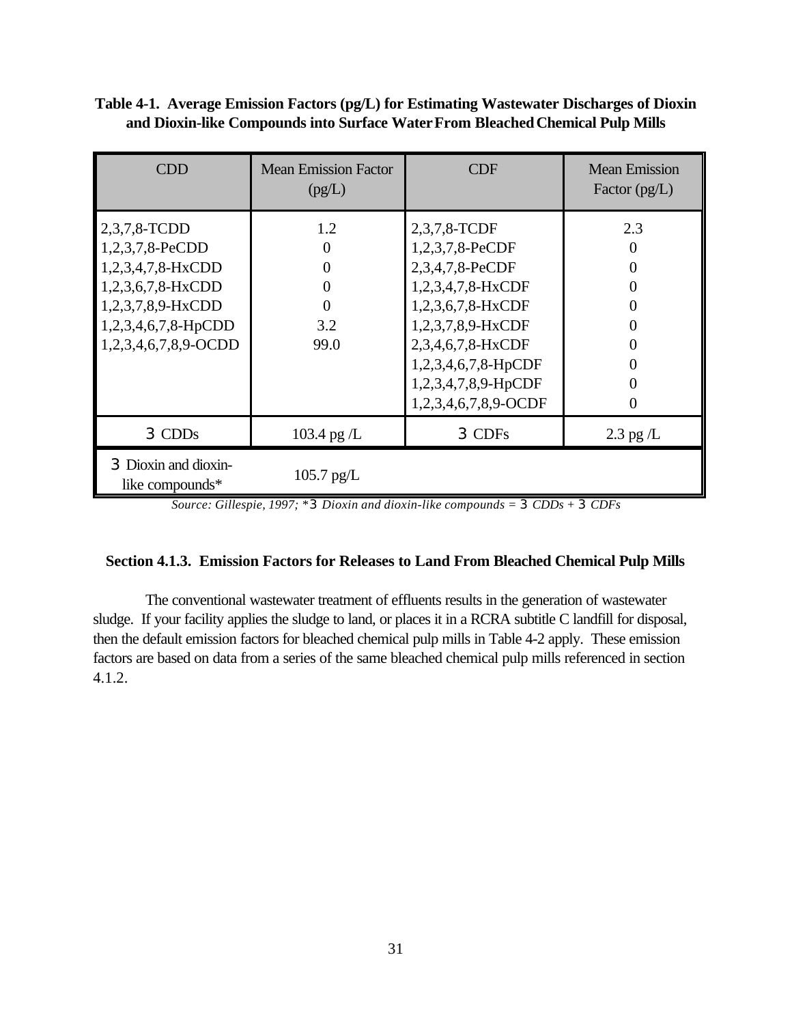**Table 4-1. Average Emission Factors (pg/L) for Estimating Wastewater Discharges of Dioxin and Dioxin-like Compounds into Surface WaterFrom Bleached Chemical Pulp Mills**

| <b>CDD</b>                                                                                                                                    | <b>Mean Emission Factor</b><br>(pg/L)  | <b>CDF</b>                                                                                                                                                                                                   | <b>Mean Emission</b><br>Factor $(pg/L)$ |
|-----------------------------------------------------------------------------------------------------------------------------------------------|----------------------------------------|--------------------------------------------------------------------------------------------------------------------------------------------------------------------------------------------------------------|-----------------------------------------|
| 2,3,7,8-TCDD<br>1,2,3,7,8-PeCDD<br>1,2,3,4,7,8-HxCDD<br>1,2,3,6,7,8-HxCDD<br>1,2,3,7,8,9-HxCDD<br>1,2,3,4,6,7,8-HpCDD<br>1,2,3,4,6,7,8,9-OCDD | 1.2<br>0<br>0<br>0<br>0<br>3.2<br>99.0 | 2,3,7,8-TCDF<br>1,2,3,7,8-PeCDF<br>2,3,4,7,8-PeCDF<br>1,2,3,4,7,8-HxCDF<br>1,2,3,6,7,8-HxCDF<br>1,2,3,7,8,9-HxCDF<br>2,3,4,6,7,8-HxCDF<br>1,2,3,4,6,7,8-HpCDF<br>1,2,3,4,7,8,9-HpCDF<br>1,2,3,4,6,7,8,9-OCDF | 2.3<br>0                                |
| 3 CDDs                                                                                                                                        | 103.4 pg $/L$                          | 3 CDFs                                                                                                                                                                                                       | $2.3$ pg $/L$                           |
| 3 Dioxin and dioxin-<br>like compounds*                                                                                                       | $105.7$ pg/L                           |                                                                                                                                                                                                              |                                         |

*Source: Gillespie, 1997; \*3 Dioxin and dioxin-like compounds = 3 CDDs + 3 CDFs*

# **Section 4.1.3. Emission Factors for Releases to Land From Bleached Chemical Pulp Mills**

The conventional wastewater treatment of effluents results in the generation of wastewater sludge. If your facility applies the sludge to land, or places it in a RCRA subtitle C landfill for disposal, then the default emission factors for bleached chemical pulp mills in Table 4-2 apply. These emission factors are based on data from a series of the same bleached chemical pulp mills referenced in section 4.1.2.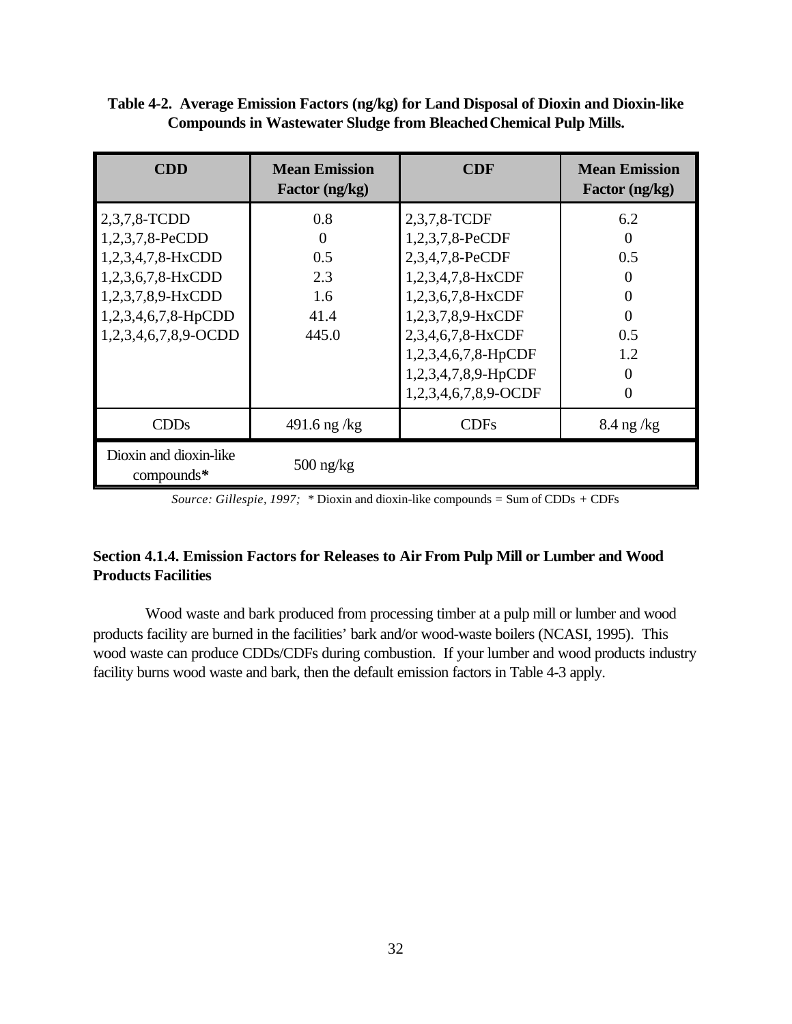## **Table 4-2. Average Emission Factors (ng/kg) for Land Disposal of Dioxin and Dioxin-like Compounds in Wastewater Sludge from Bleached Chemical Pulp Mills.**

| <b>CDD</b>                                                                                                                                    | <b>Mean Emission</b><br>Factor (ng/kg)                | <b>CDF</b>                                                                                                                                                                                                   | <b>Mean Emission</b><br>Factor (ng/kg) |
|-----------------------------------------------------------------------------------------------------------------------------------------------|-------------------------------------------------------|--------------------------------------------------------------------------------------------------------------------------------------------------------------------------------------------------------------|----------------------------------------|
| 2,3,7,8-TCDD<br>1,2,3,7,8-PeCDD<br>1,2,3,4,7,8-HxCDD<br>1,2,3,6,7,8-HxCDD<br>1,2,3,7,8,9-HxCDD<br>1,2,3,4,6,7,8-HpCDD<br>1,2,3,4,6,7,8,9-OCDD | 0.8<br>$\theta$<br>0.5<br>2.3<br>1.6<br>41.4<br>445.0 | 2,3,7,8-TCDF<br>1,2,3,7,8-PeCDF<br>2,3,4,7,8-PeCDF<br>1,2,3,4,7,8-HxCDF<br>1,2,3,6,7,8-HxCDF<br>1,2,3,7,8,9-HxCDF<br>2,3,4,6,7,8-HxCDF<br>1,2,3,4,6,7,8-HpCDF<br>1,2,3,4,7,8,9-HpCDF<br>1,2,3,4,6,7,8,9-OCDF | 6.2<br>0.5<br>0<br>0.5<br>1.2<br>0     |
| CDDs                                                                                                                                          | 491.6 ng /kg                                          | <b>CDFs</b>                                                                                                                                                                                                  | $8.4$ ng /kg                           |
| Dioxin and dioxin-like<br>$compounds*$                                                                                                        | $500$ ng/kg                                           |                                                                                                                                                                                                              |                                        |

*Source: Gillespie, 1997; \** Dioxin and dioxin-like compounds *=* Sum of CDDs *+* CDFs

# **Section 4.1.4. Emission Factors for Releases to Air From Pulp Mill or Lumber and Wood Products Facilities**

Wood waste and bark produced from processing timber at a pulp mill or lumber and wood products facility are burned in the facilities' bark and/or wood-waste boilers (NCASI, 1995). This wood waste can produce CDDs/CDFs during combustion. If your lumber and wood products industry facility burns wood waste and bark, then the default emission factors in Table 4-3 apply.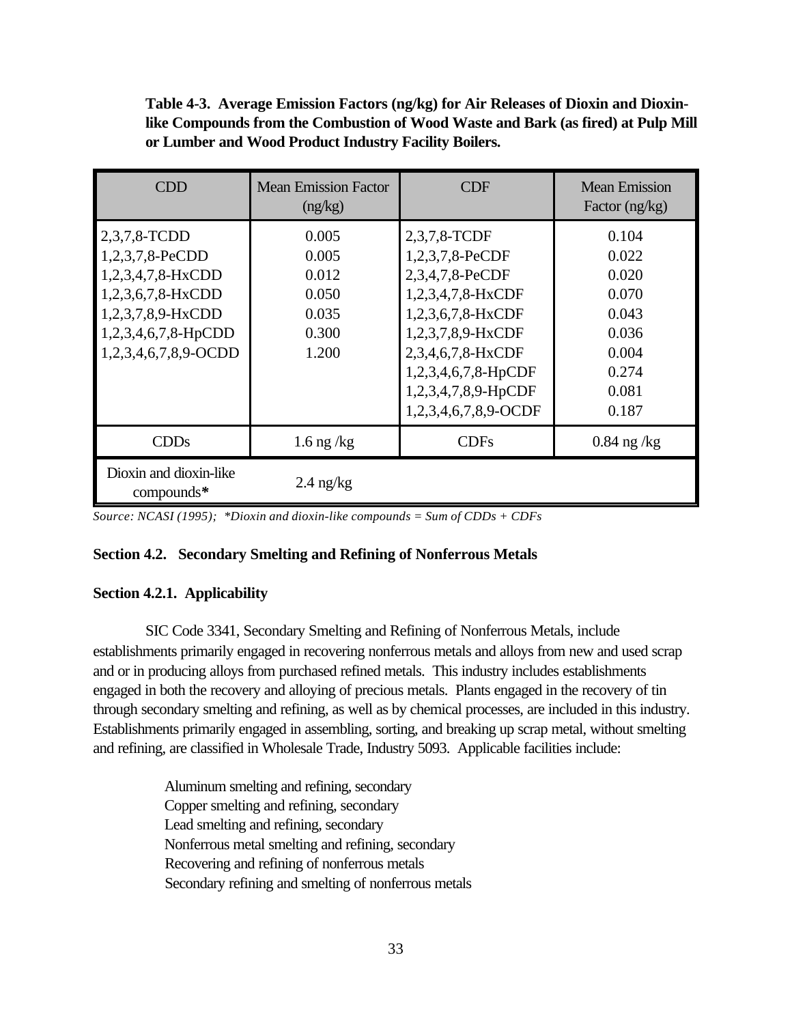**Table 4-3. Average Emission Factors (ng/kg) for Air Releases of Dioxin and Dioxinlike Compounds from the Combustion of Wood Waste and Bark (as fired) at Pulp Mill or Lumber and Wood Product Industry Facility Boilers.**

| <b>CDD</b>                                                                                                                                    | <b>Mean Emission Factor</b><br>(ng/kg)                      | CDF                                                                                                                                                                                                          | <b>Mean Emission</b><br>Factor $(ng/kg)$                                               |
|-----------------------------------------------------------------------------------------------------------------------------------------------|-------------------------------------------------------------|--------------------------------------------------------------------------------------------------------------------------------------------------------------------------------------------------------------|----------------------------------------------------------------------------------------|
| 2,3,7,8-TCDD<br>1,2,3,7,8-PeCDD<br>1,2,3,4,7,8-HxCDD<br>1,2,3,6,7,8-HxCDD<br>1,2,3,7,8,9-HxCDD<br>1,2,3,4,6,7,8-HpCDD<br>1,2,3,4,6,7,8,9-OCDD | 0.005<br>0.005<br>0.012<br>0.050<br>0.035<br>0.300<br>1.200 | 2,3,7,8-TCDF<br>1,2,3,7,8-PeCDF<br>2,3,4,7,8-PeCDF<br>1,2,3,4,7,8-HxCDF<br>1,2,3,6,7,8-HxCDF<br>1,2,3,7,8,9-HxCDF<br>2,3,4,6,7,8-HxCDF<br>1,2,3,4,6,7,8-HpCDF<br>1,2,3,4,7,8,9-HpCDF<br>1,2,3,4,6,7,8,9-OCDF | 0.104<br>0.022<br>0.020<br>0.070<br>0.043<br>0.036<br>0.004<br>0.274<br>0.081<br>0.187 |
| CDDs                                                                                                                                          | $1.6$ ng /kg                                                | <b>CDFs</b>                                                                                                                                                                                                  | $0.84$ ng /kg                                                                          |
| Dioxin and dioxin-like<br>compounds*                                                                                                          | $2.4$ ng/kg                                                 |                                                                                                                                                                                                              |                                                                                        |

*Source: NCASI (1995); \*Dioxin and dioxin-like compounds = Sum of CDDs + CDFs*

## **Section 4.2. Secondary Smelting and Refining of Nonferrous Metals**

# **Section 4.2.1. Applicability**

SIC Code 3341, Secondary Smelting and Refining of Nonferrous Metals, include establishments primarily engaged in recovering nonferrous metals and alloys from new and used scrap and or in producing alloys from purchased refined metals. This industry includes establishments engaged in both the recovery and alloying of precious metals. Plants engaged in the recovery of tin through secondary smelting and refining, as well as by chemical processes, are included in this industry. Establishments primarily engaged in assembling, sorting, and breaking up scrap metal, without smelting and refining, are classified in Wholesale Trade, Industry 5093. Applicable facilities include:

> Aluminum smelting and refining, secondary Copper smelting and refining, secondary Lead smelting and refining, secondary Nonferrous metal smelting and refining, secondary Recovering and refining of nonferrous metals Secondary refining and smelting of nonferrous metals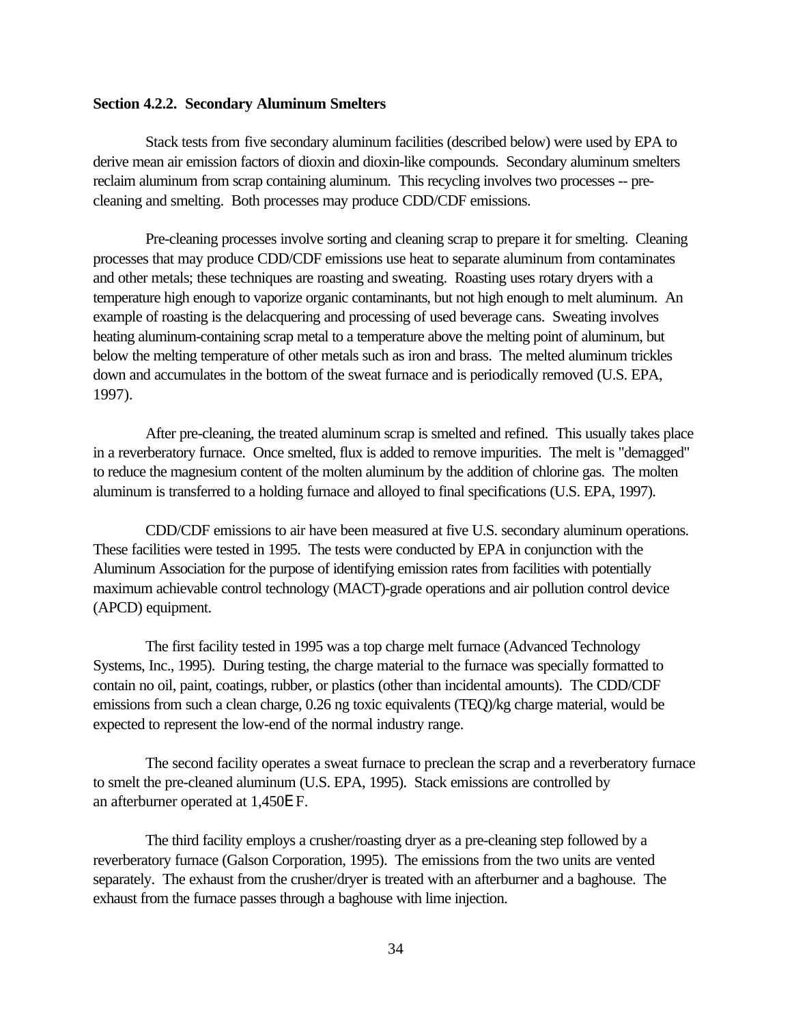### **Section 4.2.2. Secondary Aluminum Smelters**

Stack tests from five secondary aluminum facilities (described below) were used by EPA to derive mean air emission factors of dioxin and dioxin-like compounds. Secondary aluminum smelters reclaim aluminum from scrap containing aluminum. This recycling involves two processes -- precleaning and smelting. Both processes may produce CDD/CDF emissions.

Pre-cleaning processes involve sorting and cleaning scrap to prepare it for smelting. Cleaning processes that may produce CDD/CDF emissions use heat to separate aluminum from contaminates and other metals; these techniques are roasting and sweating. Roasting uses rotary dryers with a temperature high enough to vaporize organic contaminants, but not high enough to melt aluminum. An example of roasting is the delacquering and processing of used beverage cans. Sweating involves heating aluminum-containing scrap metal to a temperature above the melting point of aluminum, but below the melting temperature of other metals such as iron and brass. The melted aluminum trickles down and accumulates in the bottom of the sweat furnace and is periodically removed (U.S. EPA, 1997).

After pre-cleaning, the treated aluminum scrap is smelted and refined. This usually takes place in a reverberatory furnace. Once smelted, flux is added to remove impurities. The melt is "demagged" to reduce the magnesium content of the molten aluminum by the addition of chlorine gas. The molten aluminum is transferred to a holding furnace and alloyed to final specifications (U.S. EPA, 1997).

CDD/CDF emissions to air have been measured at five U.S. secondary aluminum operations. These facilities were tested in 1995. The tests were conducted by EPA in conjunction with the Aluminum Association for the purpose of identifying emission rates from facilities with potentially maximum achievable control technology (MACT)-grade operations and air pollution control device (APCD) equipment.

The first facility tested in 1995 was a top charge melt furnace (Advanced Technology Systems, Inc., 1995). During testing, the charge material to the furnace was specially formatted to contain no oil, paint, coatings, rubber, or plastics (other than incidental amounts). The CDD/CDF emissions from such a clean charge, 0.26 ng toxic equivalents (TEQ)/kg charge material, would be expected to represent the low-end of the normal industry range.

The second facility operates a sweat furnace to preclean the scrap and a reverberatory furnace to smelt the pre-cleaned aluminum (U.S. EPA, 1995). Stack emissions are controlled by an afterburner operated at 1,450E F.

The third facility employs a crusher/roasting dryer as a pre-cleaning step followed by a reverberatory furnace (Galson Corporation, 1995). The emissions from the two units are vented separately. The exhaust from the crusher/dryer is treated with an afterburner and a baghouse. The exhaust from the furnace passes through a baghouse with lime injection.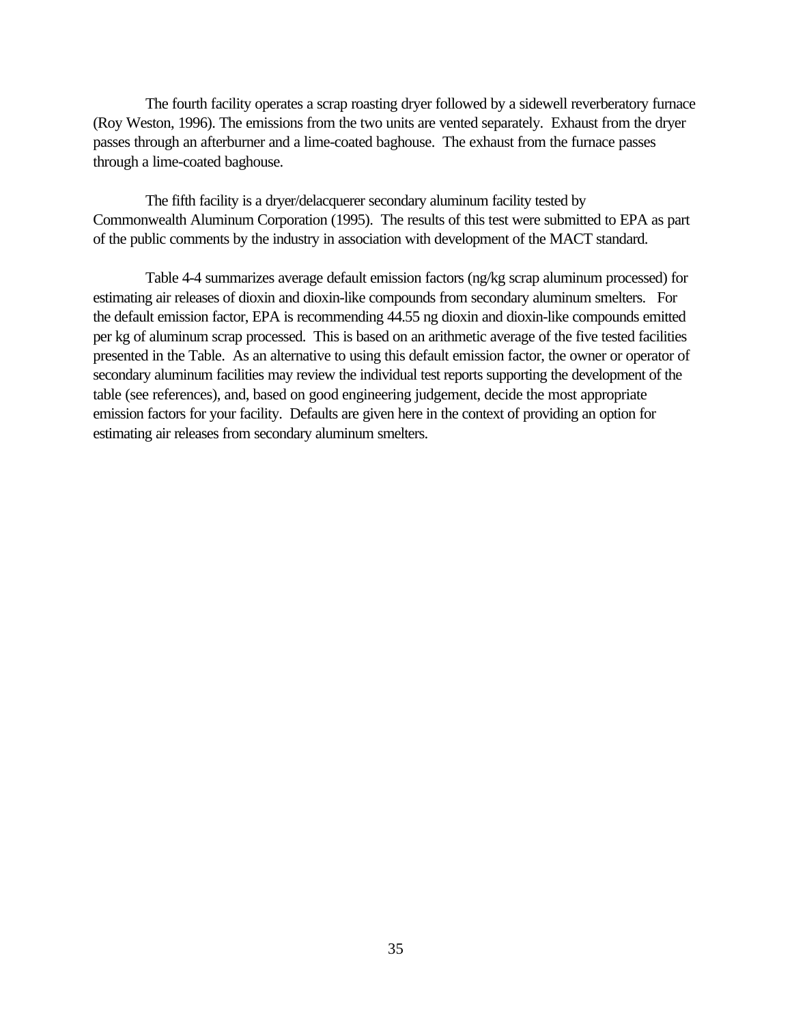The fourth facility operates a scrap roasting dryer followed by a sidewell reverberatory furnace (Roy Weston, 1996). The emissions from the two units are vented separately. Exhaust from the dryer passes through an afterburner and a lime-coated baghouse. The exhaust from the furnace passes through a lime-coated baghouse.

The fifth facility is a dryer/delacquerer secondary aluminum facility tested by Commonwealth Aluminum Corporation (1995). The results of this test were submitted to EPA as part of the public comments by the industry in association with development of the MACT standard.

Table 4-4 summarizes average default emission factors (ng/kg scrap aluminum processed) for estimating air releases of dioxin and dioxin-like compounds from secondary aluminum smelters. For the default emission factor, EPA is recommending 44.55 ng dioxin and dioxin-like compounds emitted per kg of aluminum scrap processed. This is based on an arithmetic average of the five tested facilities presented in the Table. As an alternative to using this default emission factor, the owner or operator of secondary aluminum facilities may review the individual test reports supporting the development of the table (see references), and, based on good engineering judgement, decide the most appropriate emission factors for your facility. Defaults are given here in the context of providing an option for estimating air releases from secondary aluminum smelters.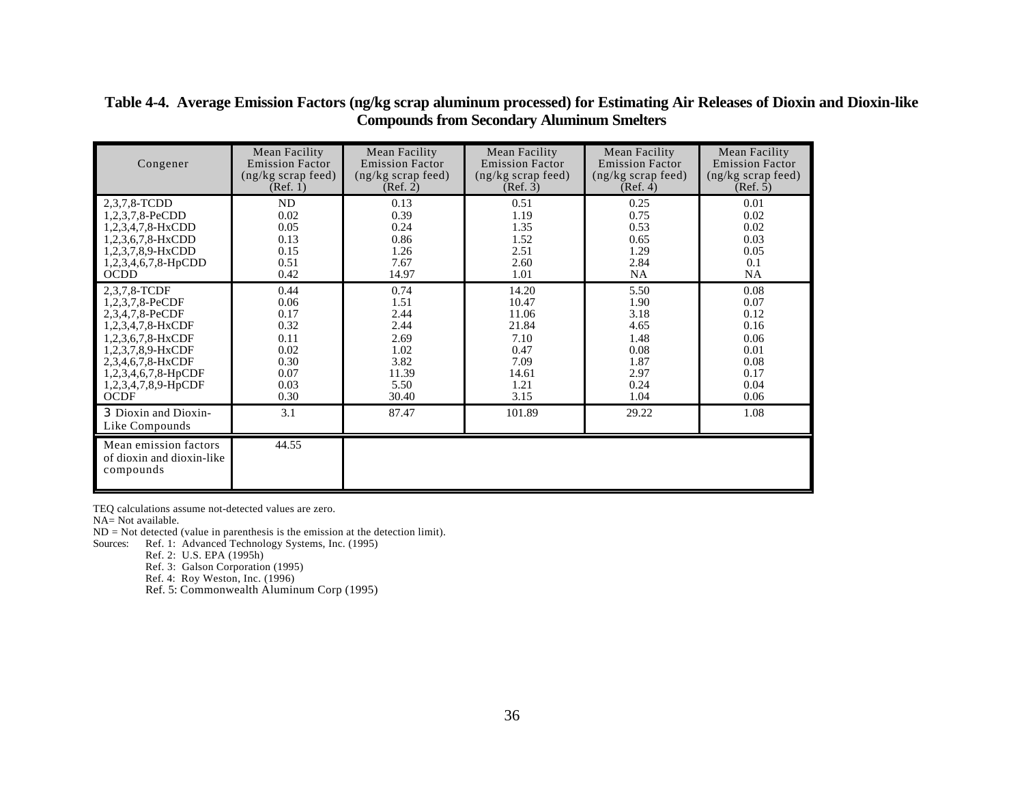| Congener                                                        | Mean Facility              | Mean Facility              | Mean Facility              | Mean Facility              | Mean Facility              |
|-----------------------------------------------------------------|----------------------------|----------------------------|----------------------------|----------------------------|----------------------------|
|                                                                 | <b>Emission Factor</b>     | <b>Emission Factor</b>     | <b>Emission Factor</b>     | <b>Emission Factor</b>     | <b>Emission Factor</b>     |
|                                                                 | $(ng/kg \, scrap \, feed)$ | $(ng/kg \, scrap \, feed)$ | $(ng/kg \, scrap \, feed)$ | $(ng/kg \, scrap \, feed)$ | $(ng/kg \, scrap \, feed)$ |
|                                                                 | (Ref. 1)                   | (Ref. 2)                   | (Ref. 3)                   | (Ref. 4)                   | (Ref. 5)                   |
| 2,3,7,8-TCDD                                                    | ND                         | 0.13                       | 0.51                       | 0.25                       | 0.01                       |
| 1,2,3,7,8-PeCDD                                                 | 0.02                       | 0.39                       | 1.19                       | 0.75                       | 0.02                       |
| 1,2,3,4,7,8-HxCDD                                               | 0.05                       | 0.24                       | 1.35                       | 0.53                       | 0.02                       |
| 1,2,3,6,7,8-HxCDD                                               | 0.13                       | 0.86                       | 1.52                       | 0.65                       | 0.03                       |
| 1,2,3,7,8,9-HxCDD                                               | 0.15                       | 1.26                       | 2.51                       | 1.29                       | 0.05                       |
| 1,2,3,4,6,7,8-HpCDD                                             | 0.51                       | 7.67                       | 2.60                       | 2.84                       | 0.1                        |
| <b>OCDD</b>                                                     | 0.42                       | 14.97                      | 1.01                       | NA.                        | <b>NA</b>                  |
| 2,3,7,8-TCDF                                                    | 0.44                       | 0.74                       | 14.20                      | 5.50                       | 0.08                       |
| 1,2,3,7,8-PeCDF                                                 | 0.06                       | 1.51                       | 10.47                      | 1.90                       | 0.07                       |
| 2,3,4,7,8-PeCDF                                                 | 0.17                       | 2.44                       | 11.06                      | 3.18                       | 0.12                       |
| 1,2,3,4,7,8-HxCDF                                               | 0.32                       | 2.44                       | 21.84                      | 4.65                       | 0.16                       |
| 1,2,3,6,7,8-HxCDF                                               | 0.11                       | 2.69                       | 7.10                       | 1.48                       | 0.06                       |
| 1,2,3,7,8,9-HxCDF                                               | 0.02                       | 1.02                       | 0.47                       | 0.08                       | 0.01                       |
| 2,3,4,6,7,8-HxCDF                                               | 0.30                       | 3.82                       | 7.09                       | 1.87                       | 0.08                       |
| $1,2,3,4,6,7,8-HpCDF$                                           | 0.07                       | 11.39                      | 14.61                      | 2.97                       | 0.17                       |
| 1,2,3,4,7,8,9-HpCDF                                             | 0.03                       | 5.50                       | 1.21                       | 0.24                       | 0.04                       |
| <b>OCDF</b>                                                     | 0.30                       | 30.40                      | 3.15                       | 1.04                       | 0.06                       |
| 3 Dioxin and Dioxin-<br>Like Compounds                          | 3.1                        | 87.47                      | 101.89                     | 29.22                      | 1.08                       |
| Mean emission factors<br>of dioxin and dioxin-like<br>compounds | 44.55                      |                            |                            |                            |                            |

## **Table 4-4. Average Emission Factors (ng/kg scrap aluminum processed) for Estimating Air Releases of Dioxin and Dioxin-like Compounds from Secondary Aluminum Smelters**

TEQ calculations assume not-detected values are zero. NA= Not available.

ND = Not detected (value in parenthesis is the emission at the detection limit).

Sources: Ref. 1: Advanced Technology Systems, Inc. (1995)

Ref. 2: U.S. EPA (1995h)

Ref. 3: Galson Corporation (1995)

Ref. 4: Roy Weston, Inc. (1996)

Ref. 5: Commonwealth Aluminum Corp (1995)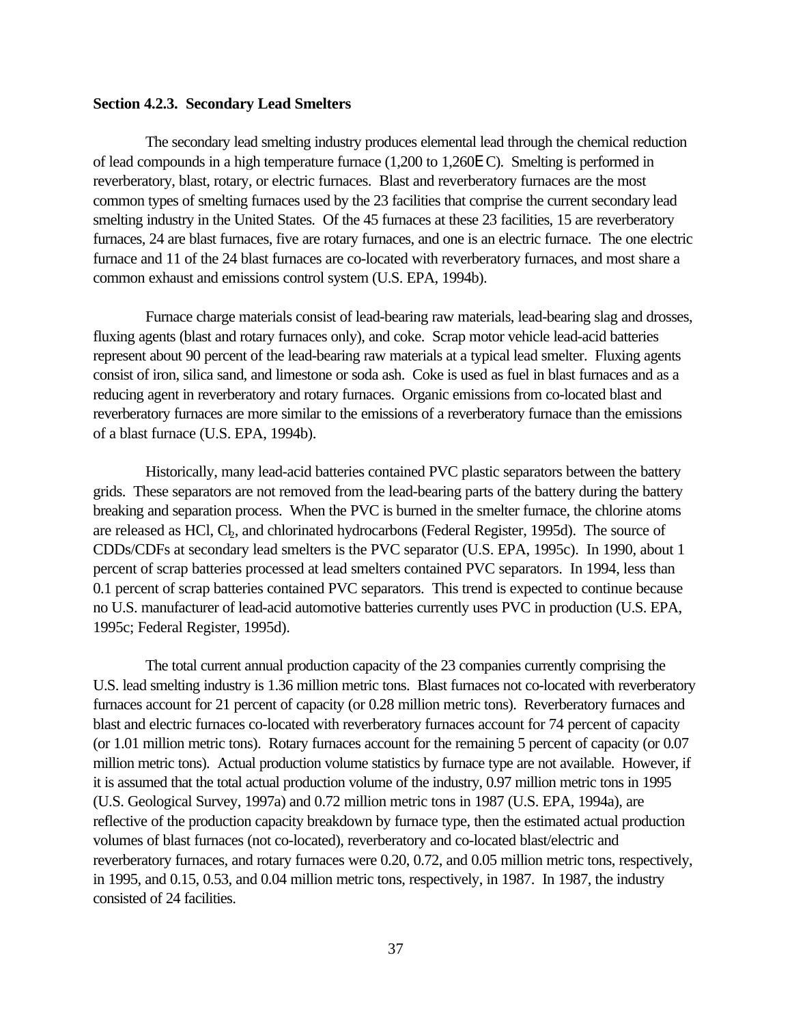### **Section 4.2.3. Secondary Lead Smelters**

The secondary lead smelting industry produces elemental lead through the chemical reduction of lead compounds in a high temperature furnace (1,200 to 1,260E C). Smelting is performed in reverberatory, blast, rotary, or electric furnaces. Blast and reverberatory furnaces are the most common types of smelting furnaces used by the 23 facilities that comprise the current secondary lead smelting industry in the United States. Of the 45 furnaces at these 23 facilities, 15 are reverberatory furnaces, 24 are blast furnaces, five are rotary furnaces, and one is an electric furnace. The one electric furnace and 11 of the 24 blast furnaces are co-located with reverberatory furnaces, and most share a common exhaust and emissions control system (U.S. EPA, 1994b).

Furnace charge materials consist of lead-bearing raw materials, lead-bearing slag and drosses, fluxing agents (blast and rotary furnaces only), and coke. Scrap motor vehicle lead-acid batteries represent about 90 percent of the lead-bearing raw materials at a typical lead smelter. Fluxing agents consist of iron, silica sand, and limestone or soda ash. Coke is used as fuel in blast furnaces and as a reducing agent in reverberatory and rotary furnaces. Organic emissions from co-located blast and reverberatory furnaces are more similar to the emissions of a reverberatory furnace than the emissions of a blast furnace (U.S. EPA, 1994b).

Historically, many lead-acid batteries contained PVC plastic separators between the battery grids. These separators are not removed from the lead-bearing parts of the battery during the battery breaking and separation process. When the PVC is burned in the smelter furnace, the chlorine atoms are released as HCl, Cl<sub>2</sub>, and chlorinated hydrocarbons (Federal Register, 1995d). The source of CDDs/CDFs at secondary lead smelters is the PVC separator (U.S. EPA, 1995c). In 1990, about 1 percent of scrap batteries processed at lead smelters contained PVC separators. In 1994, less than 0.1 percent of scrap batteries contained PVC separators. This trend is expected to continue because no U.S. manufacturer of lead-acid automotive batteries currently uses PVC in production (U.S. EPA, 1995c; Federal Register, 1995d).

The total current annual production capacity of the 23 companies currently comprising the U.S. lead smelting industry is 1.36 million metric tons. Blast furnaces not co-located with reverberatory furnaces account for 21 percent of capacity (or 0.28 million metric tons). Reverberatory furnaces and blast and electric furnaces co-located with reverberatory furnaces account for 74 percent of capacity (or 1.01 million metric tons). Rotary furnaces account for the remaining 5 percent of capacity (or 0.07 million metric tons). Actual production volume statistics by furnace type are not available. However, if it is assumed that the total actual production volume of the industry, 0.97 million metric tons in 1995 (U.S. Geological Survey, 1997a) and 0.72 million metric tons in 1987 (U.S. EPA, 1994a), are reflective of the production capacity breakdown by furnace type, then the estimated actual production volumes of blast furnaces (not co-located), reverberatory and co-located blast/electric and reverberatory furnaces, and rotary furnaces were 0.20, 0.72, and 0.05 million metric tons, respectively, in 1995, and 0.15, 0.53, and 0.04 million metric tons, respectively, in 1987. In 1987, the industry consisted of 24 facilities.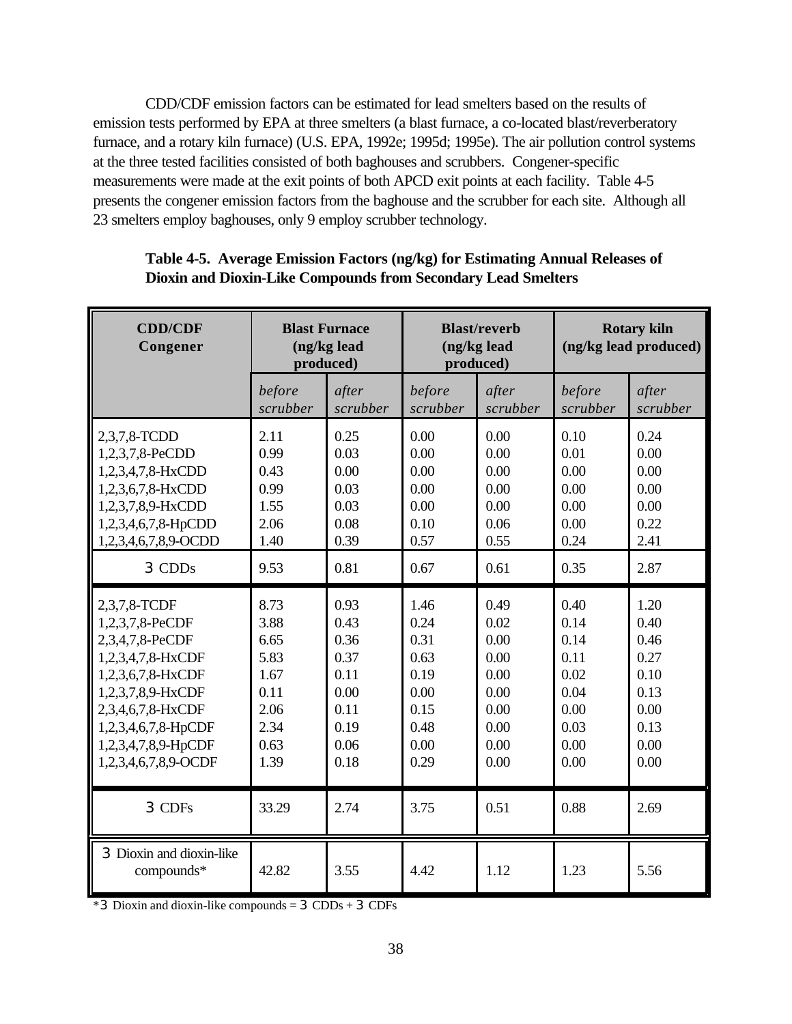CDD/CDF emission factors can be estimated for lead smelters based on the results of emission tests performed by EPA at three smelters (a blast furnace, a co-located blast/reverberatory furnace, and a rotary kiln furnace) (U.S. EPA, 1992e; 1995d; 1995e). The air pollution control systems at the three tested facilities consisted of both baghouses and scrubbers. Congener-specific measurements were made at the exit points of both APCD exit points at each facility. Table 4-5 presents the congener emission factors from the baghouse and the scrubber for each site. Although all 23 smelters employ baghouses, only 9 employ scrubber technology.

| <b>CDD/CDF</b><br>Congener             | <b>Blast Furnace</b><br>(ng/kg lead<br>produced) |          | <b>Blast/reverb</b><br>(ng/kg lead<br>produced) |          | <b>Rotary kiln</b><br>(ng/kg lead produced) |          |
|----------------------------------------|--------------------------------------------------|----------|-------------------------------------------------|----------|---------------------------------------------|----------|
|                                        | before                                           | after    | before                                          | after    | before                                      | after    |
|                                        | scrubber                                         | scrubber | scrubber                                        | scrubber | scrubber                                    | scrubber |
| 2,3,7,8-TCDD                           | 2.11                                             | 0.25     | 0.00                                            | 0.00     | 0.10                                        | 0.24     |
| 1,2,3,7,8-PeCDD                        | 0.99                                             | 0.03     | 0.00                                            | 0.00     | 0.01                                        | 0.00     |
| 1,2,3,4,7,8-HxCDD                      | 0.43                                             | 0.00     | 0.00                                            | 0.00     | 0.00                                        | 0.00     |
| 1,2,3,6,7,8-HxCDD                      | 0.99                                             | 0.03     | 0.00                                            | 0.00     | 0.00                                        | 0.00     |
| 1,2,3,7,8,9-HxCDD                      | 1.55                                             | 0.03     | 0.00                                            | 0.00     | 0.00                                        | 0.00     |
| 1,2,3,4,6,7,8-HpCDD                    | 2.06                                             | 0.08     | 0.10                                            | 0.06     | 0.00                                        | 0.22     |
| 1,2,3,4,6,7,8,9-OCDD                   | 1.40                                             | 0.39     | 0.57                                            | 0.55     | 0.24                                        | 2.41     |
| 3 CDDs                                 | 9.53                                             | 0.81     | 0.67                                            | 0.61     | 0.35                                        | 2.87     |
| 2,3,7,8-TCDF                           | 8.73                                             | 0.93     | 1.46                                            | 0.49     | 0.40                                        | 1.20     |
| 1,2,3,7,8-PeCDF                        | 3.88                                             | 0.43     | 0.24                                            | 0.02     | 0.14                                        | 0.40     |
| 2,3,4,7,8-PeCDF                        | 6.65                                             | 0.36     | 0.31                                            | 0.00     | 0.14                                        | 0.46     |
| 1,2,3,4,7,8-HxCDF                      | 5.83                                             | 0.37     | 0.63                                            | 0.00     | 0.11                                        | 0.27     |
| 1,2,3,6,7,8-HxCDF                      | 1.67                                             | 0.11     | 0.19                                            | 0.00     | 0.02                                        | 0.10     |
| 1,2,3,7,8,9-HxCDF                      | 0.11                                             | 0.00     | 0.00                                            | 0.00     | 0.04                                        | 0.13     |
| 2,3,4,6,7,8-HxCDF                      | 2.06                                             | 0.11     | 0.15                                            | 0.00     | 0.00                                        | 0.00     |
| 1,2,3,4,6,7,8-HpCDF                    | 2.34                                             | 0.19     | 0.48                                            | 0.00     | 0.03                                        | 0.13     |
| 1,2,3,4,7,8,9-HpCDF                    | 0.63                                             | 0.06     | 0.00                                            | 0.00     | 0.00                                        | 0.00     |
| 1,2,3,4,6,7,8,9-OCDF                   | 1.39                                             | 0.18     | 0.29                                            | 0.00     | 0.00                                        | 0.00     |
| 3 CDFs                                 | 33.29                                            | 2.74     | 3.75                                            | 0.51     | 0.88                                        | 2.69     |
| 3 Dioxin and dioxin-like<br>compounds* | 42.82                                            | 3.55     | 4.42                                            | 1.12     | 1.23                                        | 5.56     |

# **Table 4-5. Average Emission Factors (ng/kg) for Estimating Annual Releases of Dioxin and Dioxin-Like Compounds from Secondary Lead Smelters**

\*3 Dioxin and dioxin-like compounds = 3 CDDs + 3 CDFs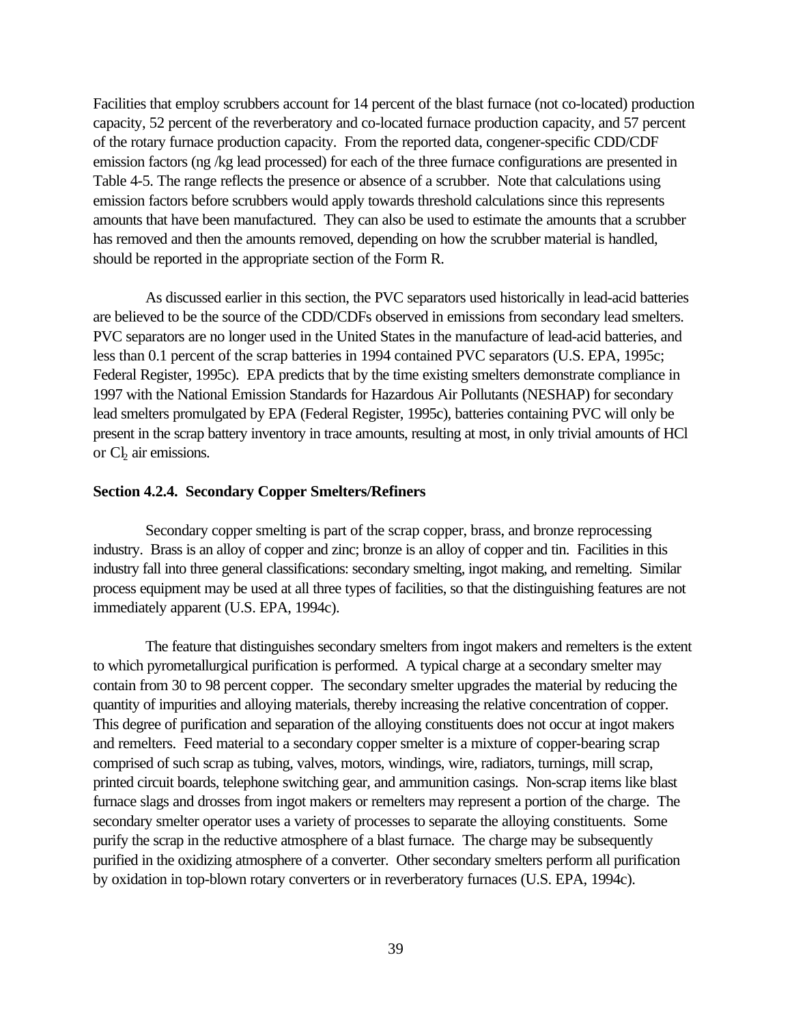Facilities that employ scrubbers account for 14 percent of the blast furnace (not co-located) production capacity, 52 percent of the reverberatory and co-located furnace production capacity, and 57 percent of the rotary furnace production capacity. From the reported data, congener-specific CDD/CDF emission factors (ng /kg lead processed) for each of the three furnace configurations are presented in Table 4-5. The range reflects the presence or absence of a scrubber. Note that calculations using emission factors before scrubbers would apply towards threshold calculations since this represents amounts that have been manufactured. They can also be used to estimate the amounts that a scrubber has removed and then the amounts removed, depending on how the scrubber material is handled, should be reported in the appropriate section of the Form R.

As discussed earlier in this section, the PVC separators used historically in lead-acid batteries are believed to be the source of the CDD/CDFs observed in emissions from secondary lead smelters. PVC separators are no longer used in the United States in the manufacture of lead-acid batteries, and less than 0.1 percent of the scrap batteries in 1994 contained PVC separators (U.S. EPA, 1995c; Federal Register, 1995c). EPA predicts that by the time existing smelters demonstrate compliance in 1997 with the National Emission Standards for Hazardous Air Pollutants (NESHAP) for secondary lead smelters promulgated by EPA (Federal Register, 1995c), batteries containing PVC will only be present in the scrap battery inventory in trace amounts, resulting at most, in only trivial amounts of HCl or  $Cl_2$  air emissions.

#### **Section 4.2.4. Secondary Copper Smelters/Refiners**

Secondary copper smelting is part of the scrap copper, brass, and bronze reprocessing industry. Brass is an alloy of copper and zinc; bronze is an alloy of copper and tin. Facilities in this industry fall into three general classifications: secondary smelting, ingot making, and remelting. Similar process equipment may be used at all three types of facilities, so that the distinguishing features are not immediately apparent (U.S. EPA, 1994c).

The feature that distinguishes secondary smelters from ingot makers and remelters is the extent to which pyrometallurgical purification is performed. A typical charge at a secondary smelter may contain from 30 to 98 percent copper. The secondary smelter upgrades the material by reducing the quantity of impurities and alloying materials, thereby increasing the relative concentration of copper. This degree of purification and separation of the alloying constituents does not occur at ingot makers and remelters. Feed material to a secondary copper smelter is a mixture of copper-bearing scrap comprised of such scrap as tubing, valves, motors, windings, wire, radiators, turnings, mill scrap, printed circuit boards, telephone switching gear, and ammunition casings. Non-scrap items like blast furnace slags and drosses from ingot makers or remelters may represent a portion of the charge. The secondary smelter operator uses a variety of processes to separate the alloying constituents. Some purify the scrap in the reductive atmosphere of a blast furnace. The charge may be subsequently purified in the oxidizing atmosphere of a converter. Other secondary smelters perform all purification by oxidation in top-blown rotary converters or in reverberatory furnaces (U.S. EPA, 1994c).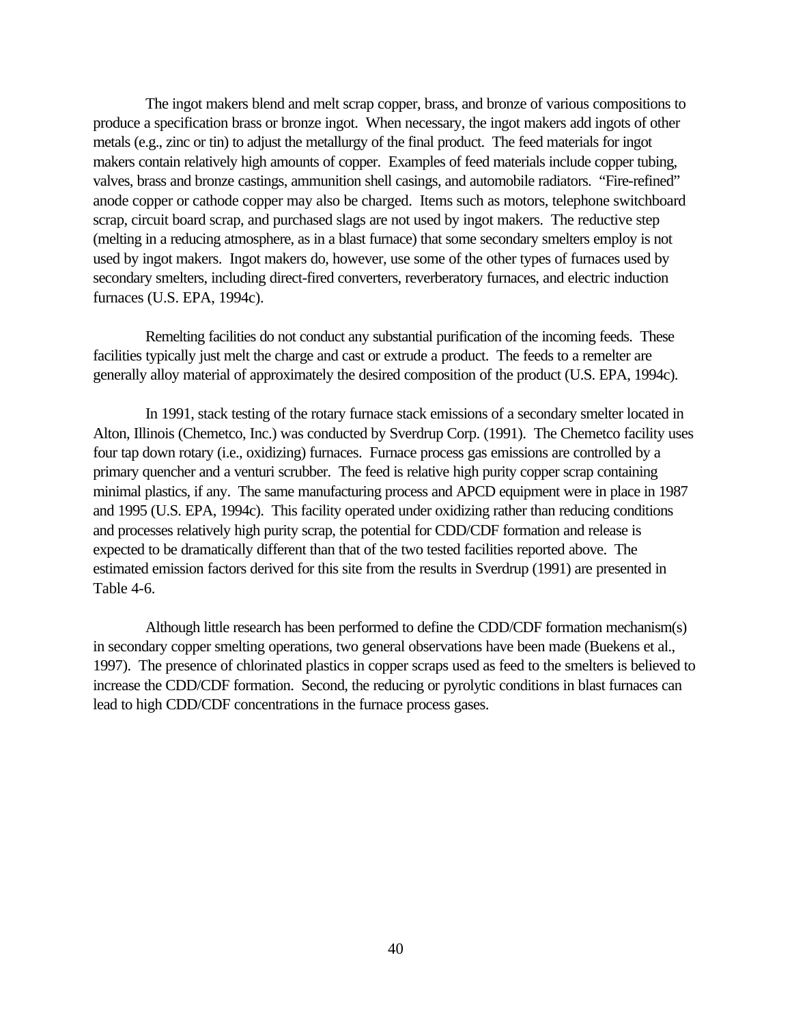The ingot makers blend and melt scrap copper, brass, and bronze of various compositions to produce a specification brass or bronze ingot. When necessary, the ingot makers add ingots of other metals (e.g., zinc or tin) to adjust the metallurgy of the final product. The feed materials for ingot makers contain relatively high amounts of copper. Examples of feed materials include copper tubing, valves, brass and bronze castings, ammunition shell casings, and automobile radiators. "Fire-refined" anode copper or cathode copper may also be charged. Items such as motors, telephone switchboard scrap, circuit board scrap, and purchased slags are not used by ingot makers. The reductive step (melting in a reducing atmosphere, as in a blast furnace) that some secondary smelters employ is not used by ingot makers. Ingot makers do, however, use some of the other types of furnaces used by secondary smelters, including direct-fired converters, reverberatory furnaces, and electric induction furnaces (U.S. EPA, 1994c).

Remelting facilities do not conduct any substantial purification of the incoming feeds. These facilities typically just melt the charge and cast or extrude a product. The feeds to a remelter are generally alloy material of approximately the desired composition of the product (U.S. EPA, 1994c).

In 1991, stack testing of the rotary furnace stack emissions of a secondary smelter located in Alton, Illinois (Chemetco, Inc.) was conducted by Sverdrup Corp. (1991). The Chemetco facility uses four tap down rotary (i.e., oxidizing) furnaces. Furnace process gas emissions are controlled by a primary quencher and a venturi scrubber. The feed is relative high purity copper scrap containing minimal plastics, if any. The same manufacturing process and APCD equipment were in place in 1987 and 1995 (U.S. EPA, 1994c). This facility operated under oxidizing rather than reducing conditions and processes relatively high purity scrap, the potential for CDD/CDF formation and release is expected to be dramatically different than that of the two tested facilities reported above. The estimated emission factors derived for this site from the results in Sverdrup (1991) are presented in Table 4-6.

Although little research has been performed to define the CDD/CDF formation mechanism(s) in secondary copper smelting operations, two general observations have been made (Buekens et al., 1997). The presence of chlorinated plastics in copper scraps used as feed to the smelters is believed to increase the CDD/CDF formation. Second, the reducing or pyrolytic conditions in blast furnaces can lead to high CDD/CDF concentrations in the furnace process gases.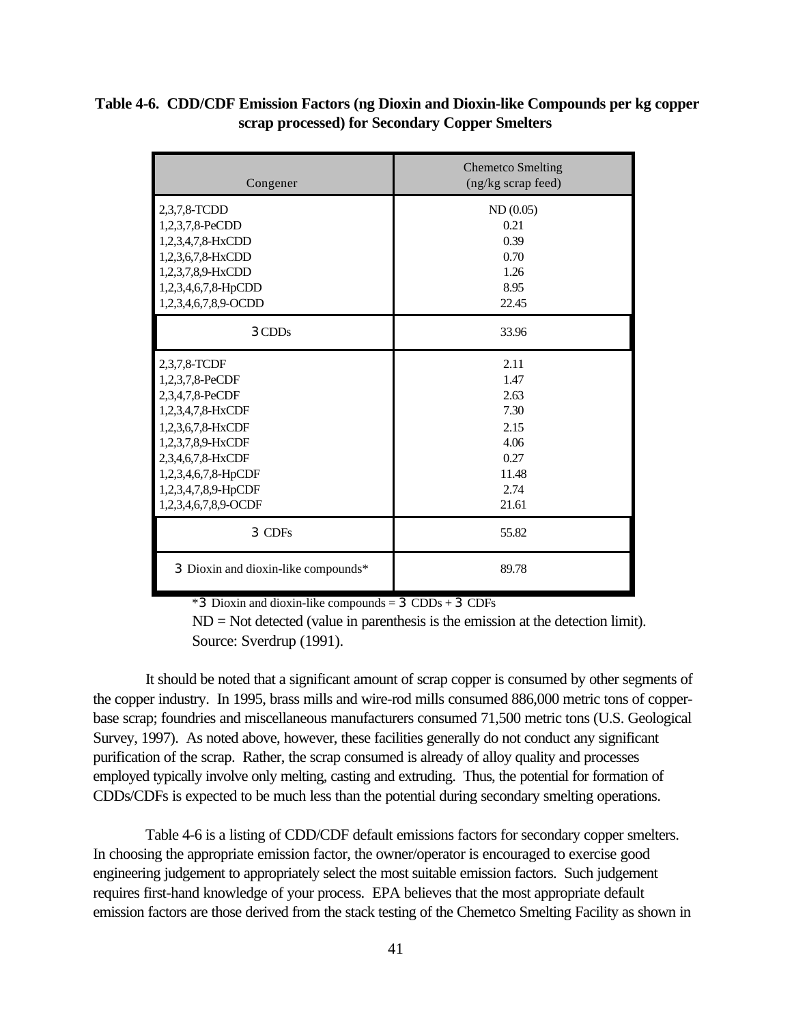| Table 4-6. CDD/CDF Emission Factors (ng Dioxin and Dioxin-like Compounds per kg copper |
|----------------------------------------------------------------------------------------|
| scrap processed) for Secondary Copper Smelters                                         |

| Congener                                                                                                                                                                                                     | <b>Chemetco Smelting</b><br>(ng/kg scrap feed)                                 |  |
|--------------------------------------------------------------------------------------------------------------------------------------------------------------------------------------------------------------|--------------------------------------------------------------------------------|--|
| 2,3,7,8-TCDD<br>1,2,3,7,8-PeCDD<br>1,2,3,4,7,8-HxCDD<br>1,2,3,6,7,8-HxCDD<br>1,2,3,7,8,9-HxCDD<br>1,2,3,4,6,7,8-HpCDD<br>1,2,3,4,6,7,8,9-OCDD                                                                | ND(0.05)<br>0.21<br>0.39<br>0.70<br>1.26<br>8.95<br>22.45                      |  |
| 3CDD <sub>s</sub>                                                                                                                                                                                            | 33.96                                                                          |  |
| 2,3,7,8-TCDF<br>1,2,3,7,8-PeCDF<br>2,3,4,7,8-PeCDF<br>1,2,3,4,7,8-HxCDF<br>1,2,3,6,7,8-HxCDF<br>1,2,3,7,8,9-HxCDF<br>2,3,4,6,7,8-HxCDF<br>1,2,3,4,6,7,8-HpCDF<br>1,2,3,4,7,8,9-HpCDF<br>1,2,3,4,6,7,8,9-OCDF | 2.11<br>1.47<br>2.63<br>7.30<br>2.15<br>4.06<br>0.27<br>11.48<br>2.74<br>21.61 |  |
| 3 CDFs                                                                                                                                                                                                       | 55.82                                                                          |  |
| 3 Dioxin and dioxin-like compounds*                                                                                                                                                                          | 89.78                                                                          |  |

 $*3$  Dioxin and dioxin-like compounds = 3 CDDs + 3 CDFs

 $ND = Not detected (value in parenthesis is the emission at the detection limit).$ Source: Sverdrup (1991).

It should be noted that a significant amount of scrap copper is consumed by other segments of the copper industry. In 1995, brass mills and wire-rod mills consumed 886,000 metric tons of copperbase scrap; foundries and miscellaneous manufacturers consumed 71,500 metric tons (U.S. Geological Survey, 1997). As noted above, however, these facilities generally do not conduct any significant purification of the scrap. Rather, the scrap consumed is already of alloy quality and processes employed typically involve only melting, casting and extruding. Thus, the potential for formation of CDDs/CDFs is expected to be much less than the potential during secondary smelting operations.

Table 4-6 is a listing of CDD/CDF default emissions factors for secondary copper smelters. In choosing the appropriate emission factor, the owner/operator is encouraged to exercise good engineering judgement to appropriately select the most suitable emission factors. Such judgement requires first-hand knowledge of your process. EPA believes that the most appropriate default emission factors are those derived from the stack testing of the Chemetco Smelting Facility as shown in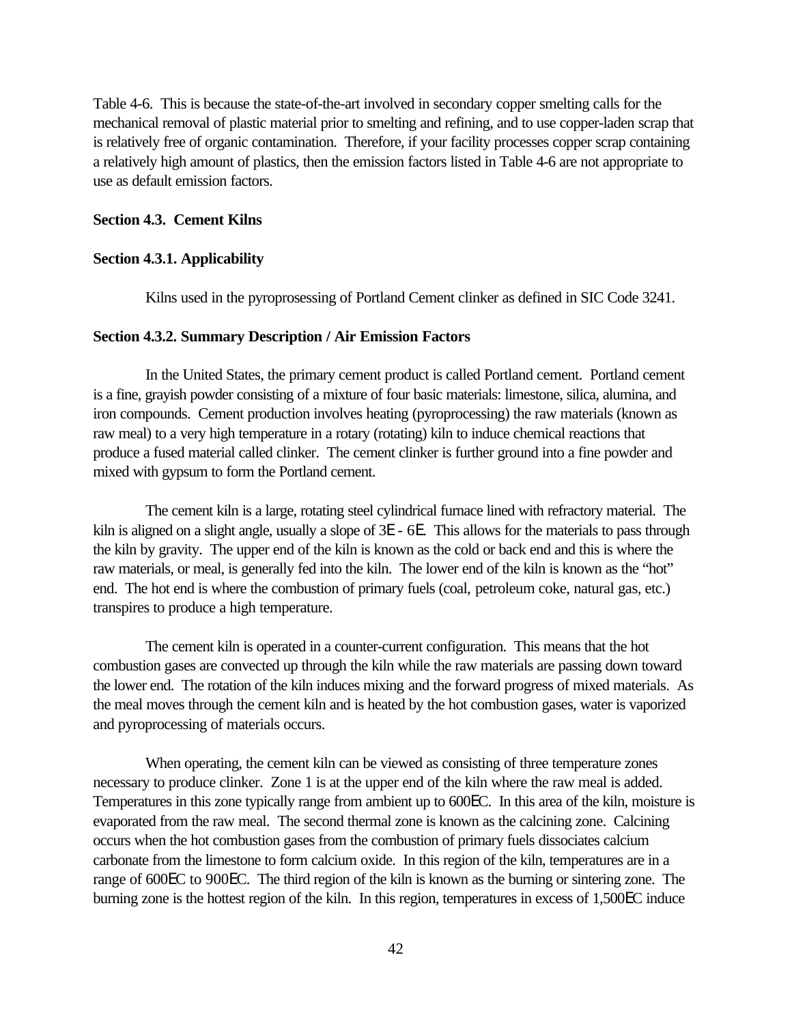Table 4-6. This is because the state-of-the-art involved in secondary copper smelting calls for the mechanical removal of plastic material prior to smelting and refining, and to use copper-laden scrap that is relatively free of organic contamination. Therefore, if your facility processes copper scrap containing a relatively high amount of plastics, then the emission factors listed in Table 4-6 are not appropriate to use as default emission factors.

## **Section 4.3. Cement Kilns**

## **Section 4.3.1. Applicability**

Kilns used in the pyroprosessing of Portland Cement clinker as defined in SIC Code 3241.

#### **Section 4.3.2. Summary Description / Air Emission Factors**

In the United States, the primary cement product is called Portland cement. Portland cement is a fine, grayish powder consisting of a mixture of four basic materials: limestone, silica, alumina, and iron compounds. Cement production involves heating (pyroprocessing) the raw materials (known as raw meal) to a very high temperature in a rotary (rotating) kiln to induce chemical reactions that produce a fused material called clinker. The cement clinker is further ground into a fine powder and mixed with gypsum to form the Portland cement.

The cement kiln is a large, rotating steel cylindrical furnace lined with refractory material. The kiln is aligned on a slight angle, usually a slope of 3E - 6E. This allows for the materials to pass through the kiln by gravity. The upper end of the kiln is known as the cold or back end and this is where the raw materials, or meal, is generally fed into the kiln. The lower end of the kiln is known as the "hot" end. The hot end is where the combustion of primary fuels (coal, petroleum coke, natural gas, etc.) transpires to produce a high temperature.

The cement kiln is operated in a counter-current configuration. This means that the hot combustion gases are convected up through the kiln while the raw materials are passing down toward the lower end. The rotation of the kiln induces mixing and the forward progress of mixed materials. As the meal moves through the cement kiln and is heated by the hot combustion gases, water is vaporized and pyroprocessing of materials occurs.

When operating, the cement kiln can be viewed as consisting of three temperature zones necessary to produce clinker. Zone 1 is at the upper end of the kiln where the raw meal is added. Temperatures in this zone typically range from ambient up to 600EC. In this area of the kiln, moisture is evaporated from the raw meal. The second thermal zone is known as the calcining zone. Calcining occurs when the hot combustion gases from the combustion of primary fuels dissociates calcium carbonate from the limestone to form calcium oxide. In this region of the kiln, temperatures are in a range of 600EC to 900EC. The third region of the kiln is known as the burning or sintering zone. The burning zone is the hottest region of the kiln. In this region, temperatures in excess of 1,500EC induce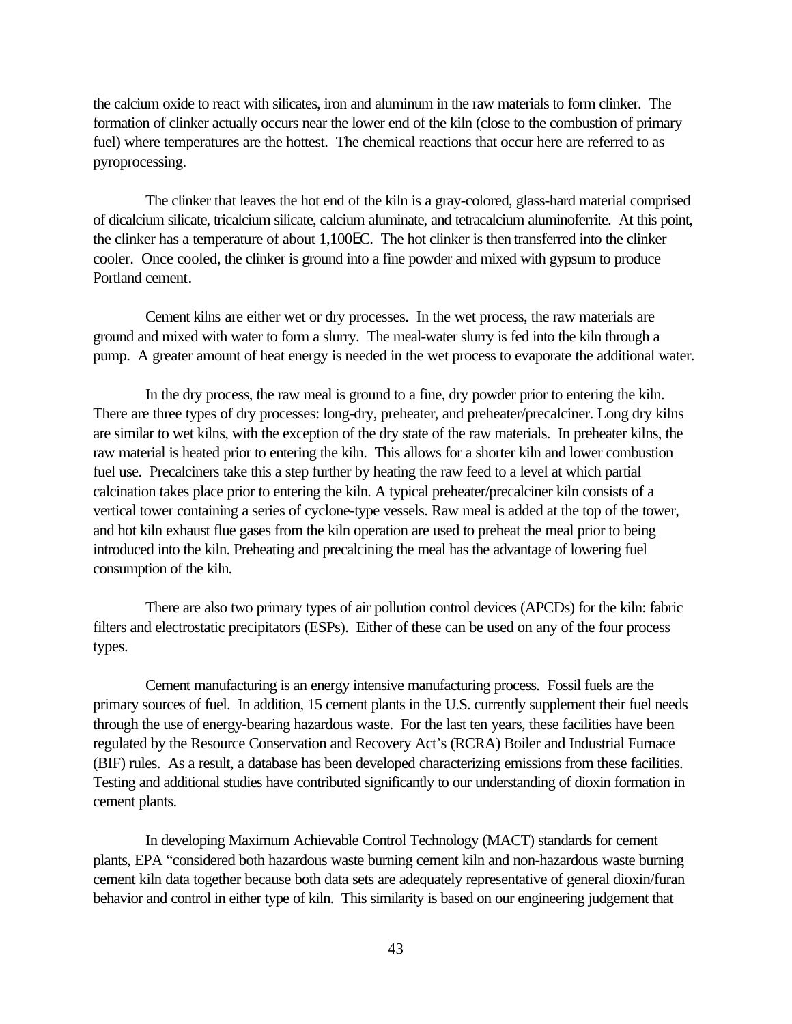the calcium oxide to react with silicates, iron and aluminum in the raw materials to form clinker. The formation of clinker actually occurs near the lower end of the kiln (close to the combustion of primary fuel) where temperatures are the hottest. The chemical reactions that occur here are referred to as pyroprocessing.

The clinker that leaves the hot end of the kiln is a gray-colored, glass-hard material comprised of dicalcium silicate, tricalcium silicate, calcium aluminate, and tetracalcium aluminoferrite. At this point, the clinker has a temperature of about 1,100EC. The hot clinker is then transferred into the clinker cooler. Once cooled, the clinker is ground into a fine powder and mixed with gypsum to produce Portland cement.

Cement kilns are either wet or dry processes. In the wet process, the raw materials are ground and mixed with water to form a slurry. The meal-water slurry is fed into the kiln through a pump. A greater amount of heat energy is needed in the wet process to evaporate the additional water.

In the dry process, the raw meal is ground to a fine, dry powder prior to entering the kiln. There are three types of dry processes: long-dry, preheater, and preheater/precalciner. Long dry kilns are similar to wet kilns, with the exception of the dry state of the raw materials. In preheater kilns, the raw material is heated prior to entering the kiln. This allows for a shorter kiln and lower combustion fuel use. Precalciners take this a step further by heating the raw feed to a level at which partial calcination takes place prior to entering the kiln. A typical preheater/precalciner kiln consists of a vertical tower containing a series of cyclone-type vessels. Raw meal is added at the top of the tower, and hot kiln exhaust flue gases from the kiln operation are used to preheat the meal prior to being introduced into the kiln. Preheating and precalcining the meal has the advantage of lowering fuel consumption of the kiln.

There are also two primary types of air pollution control devices (APCDs) for the kiln: fabric filters and electrostatic precipitators (ESPs). Either of these can be used on any of the four process types.

Cement manufacturing is an energy intensive manufacturing process. Fossil fuels are the primary sources of fuel. In addition, 15 cement plants in the U.S. currently supplement their fuel needs through the use of energy-bearing hazardous waste. For the last ten years, these facilities have been regulated by the Resource Conservation and Recovery Act's (RCRA) Boiler and Industrial Furnace (BIF) rules. As a result, a database has been developed characterizing emissions from these facilities. Testing and additional studies have contributed significantly to our understanding of dioxin formation in cement plants.

In developing Maximum Achievable Control Technology (MACT) standards for cement plants, EPA "considered both hazardous waste burning cement kiln and non-hazardous waste burning cement kiln data together because both data sets are adequately representative of general dioxin/furan behavior and control in either type of kiln. This similarity is based on our engineering judgement that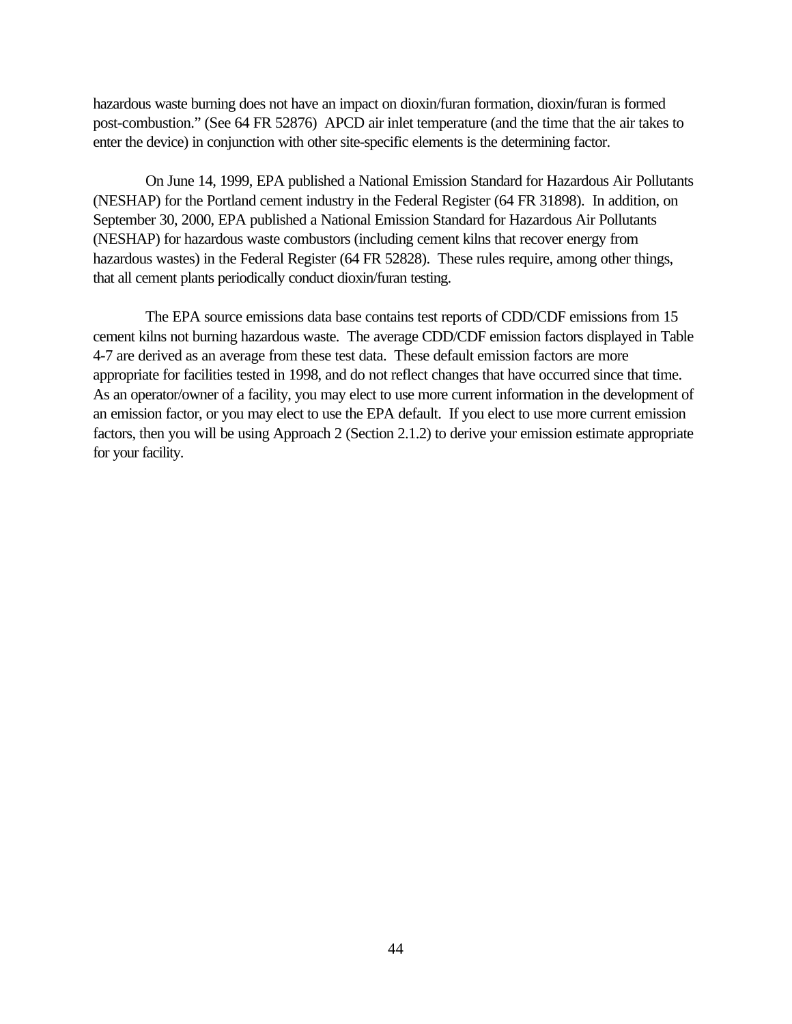hazardous waste burning does not have an impact on dioxin/furan formation, dioxin/furan is formed post-combustion." (See 64 FR 52876) APCD air inlet temperature (and the time that the air takes to enter the device) in conjunction with other site-specific elements is the determining factor.

On June 14, 1999, EPA published a National Emission Standard for Hazardous Air Pollutants (NESHAP) for the Portland cement industry in the Federal Register (64 FR 31898). In addition, on September 30, 2000, EPA published a National Emission Standard for Hazardous Air Pollutants (NESHAP) for hazardous waste combustors (including cement kilns that recover energy from hazardous wastes) in the Federal Register (64 FR 52828). These rules require, among other things, that all cement plants periodically conduct dioxin/furan testing.

The EPA source emissions data base contains test reports of CDD/CDF emissions from 15 cement kilns not burning hazardous waste. The average CDD/CDF emission factors displayed in Table 4-7 are derived as an average from these test data. These default emission factors are more appropriate for facilities tested in 1998, and do not reflect changes that have occurred since that time. As an operator/owner of a facility, you may elect to use more current information in the development of an emission factor, or you may elect to use the EPA default. If you elect to use more current emission factors, then you will be using Approach 2 (Section 2.1.2) to derive your emission estimate appropriate for your facility.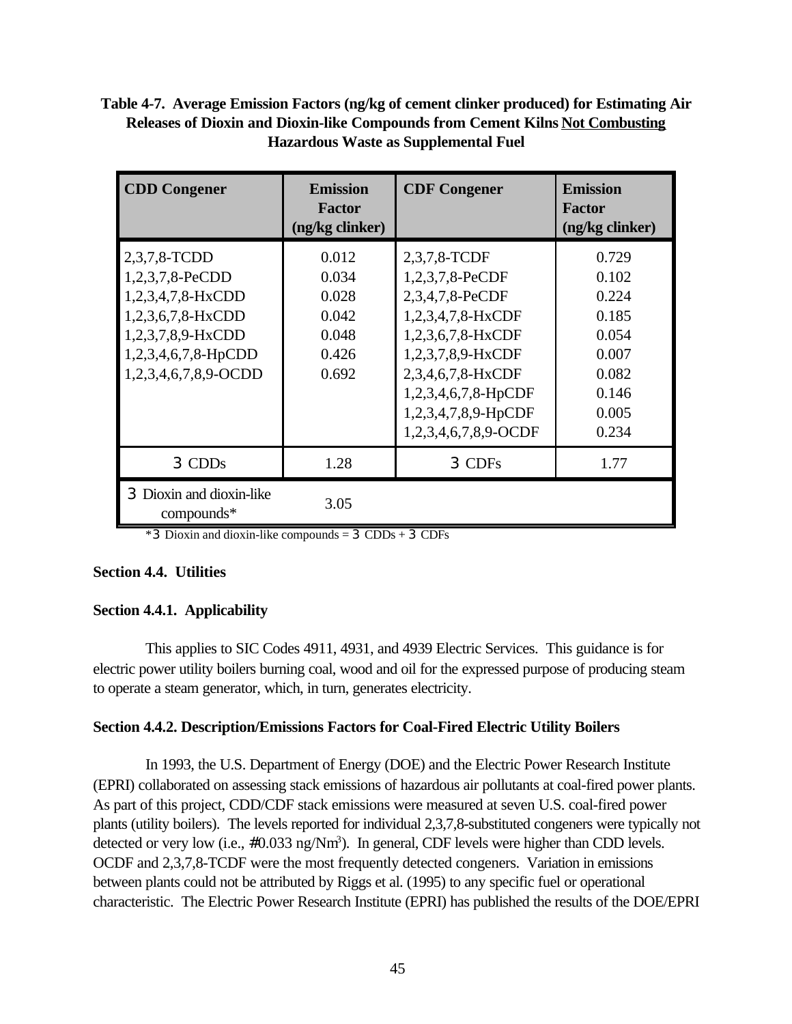# **Table 4-7. Average Emission Factors (ng/kg of cement clinker produced) for Estimating Air Releases of Dioxin and Dioxin-like Compounds from Cement Kilns Not Combusting Hazardous Waste as Supplemental Fuel**

| <b>CDD Congener</b>                                                                                                                                  | <b>Emission</b><br><b>Factor</b><br>(ng/kg clinker)         | <b>CDF Congener</b>                                                                                                                                                                                          | <b>Emission</b><br><b>Factor</b><br>(ng/kg clinker)                                    |
|------------------------------------------------------------------------------------------------------------------------------------------------------|-------------------------------------------------------------|--------------------------------------------------------------------------------------------------------------------------------------------------------------------------------------------------------------|----------------------------------------------------------------------------------------|
| 2,3,7,8-TCDD<br>1,2,3,7,8-PeCDD<br>$1,2,3,4,7,8-HxCDD$<br>$1,2,3,6,7,8-HxCDD$<br>1,2,3,7,8,9-HxCDD<br>$1,2,3,4,6,7,8$ -HpCDD<br>1,2,3,4,6,7,8,9-OCDD | 0.012<br>0.034<br>0.028<br>0.042<br>0.048<br>0.426<br>0.692 | 2,3,7,8-TCDF<br>1,2,3,7,8-PeCDF<br>2,3,4,7,8-PeCDF<br>1,2,3,4,7,8-HxCDF<br>1,2,3,6,7,8-HxCDF<br>1,2,3,7,8,9-HxCDF<br>2,3,4,6,7,8-HxCDF<br>1,2,3,4,6,7,8-HpCDF<br>1,2,3,4,7,8,9-HpCDF<br>1,2,3,4,6,7,8,9-OCDF | 0.729<br>0.102<br>0.224<br>0.185<br>0.054<br>0.007<br>0.082<br>0.146<br>0.005<br>0.234 |
| 3 CDDs                                                                                                                                               | 1.28                                                        | 3 CDFs                                                                                                                                                                                                       | 1.77                                                                                   |
| 3 Dioxin and dioxin-like<br>$compounds*$                                                                                                             | 3.05                                                        |                                                                                                                                                                                                              |                                                                                        |

\*3 Dioxin and dioxin-like compounds = 3 CDDs + 3 CDFs

# **Section 4.4. Utilities**

# **Section 4.4.1. Applicability**

This applies to SIC Codes 4911, 4931, and 4939 Electric Services. This guidance is for electric power utility boilers burning coal, wood and oil for the expressed purpose of producing steam to operate a steam generator, which, in turn, generates electricity.

## **Section 4.4.2. Description/Emissions Factors for Coal-Fired Electric Utility Boilers**

In 1993, the U.S. Department of Energy (DOE) and the Electric Power Research Institute (EPRI) collaborated on assessing stack emissions of hazardous air pollutants at coal-fired power plants. As part of this project, CDD/CDF stack emissions were measured at seven U.S. coal-fired power plants (utility boilers). The levels reported for individual 2,3,7,8-substituted congeners were typically not detected or very low (i.e., #0.033 ng/Nm<sup>3</sup>). In general, CDF levels were higher than CDD levels. OCDF and 2,3,7,8-TCDF were the most frequently detected congeners. Variation in emissions between plants could not be attributed by Riggs et al. (1995) to any specific fuel or operational characteristic. The Electric Power Research Institute (EPRI) has published the results of the DOE/EPRI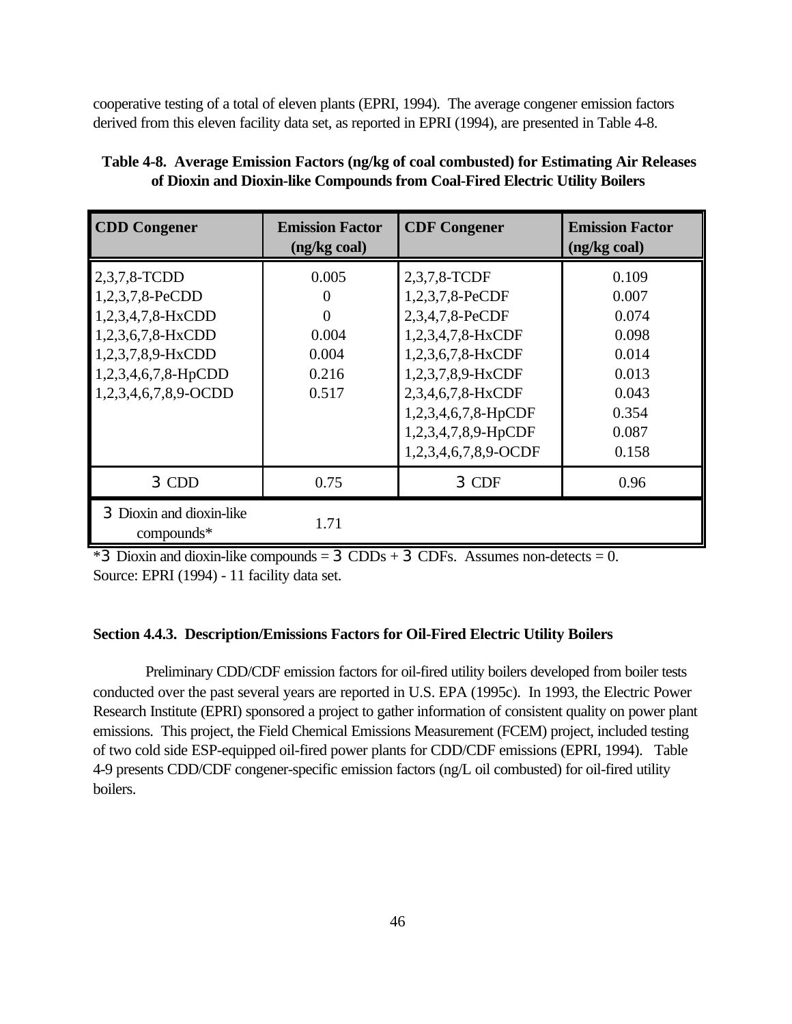cooperative testing of a total of eleven plants (EPRI, 1994). The average congener emission factors derived from this eleven facility data set, as reported in EPRI (1994), are presented in Table 4-8.

| <b>CDD Congener</b>                                                                                                                           | <b>Emission Factor</b><br>(ng/kg coal)                     | <b>CDF Congener</b>                                                                                                                                                                                          | <b>Emission Factor</b><br>(ng/kg coal)                                                 |
|-----------------------------------------------------------------------------------------------------------------------------------------------|------------------------------------------------------------|--------------------------------------------------------------------------------------------------------------------------------------------------------------------------------------------------------------|----------------------------------------------------------------------------------------|
| 2,3,7,8-TCDD<br>1,2,3,7,8-PeCDD<br>1,2,3,4,7,8-HxCDD<br>1,2,3,6,7,8-HxCDD<br>1,2,3,7,8,9-HxCDD<br>1,2,3,4,6,7,8-HpCDD<br>1,2,3,4,6,7,8,9-OCDD | 0.005<br>$\theta$<br>0<br>0.004<br>0.004<br>0.216<br>0.517 | 2,3,7,8-TCDF<br>1,2,3,7,8-PeCDF<br>2,3,4,7,8-PeCDF<br>1,2,3,4,7,8-HxCDF<br>1,2,3,6,7,8-HxCDF<br>1,2,3,7,8,9-HxCDF<br>2,3,4,6,7,8-HxCDF<br>1,2,3,4,6,7,8-HpCDF<br>1,2,3,4,7,8,9-HpCDF<br>1,2,3,4,6,7,8,9-OCDF | 0.109<br>0.007<br>0.074<br>0.098<br>0.014<br>0.013<br>0.043<br>0.354<br>0.087<br>0.158 |
| 3 CDD                                                                                                                                         | 0.75                                                       | 3 CDF                                                                                                                                                                                                        | 0.96                                                                                   |
| 3 Dioxin and dioxin-like<br>compounds*                                                                                                        | 1.71                                                       |                                                                                                                                                                                                              |                                                                                        |

**Table 4-8. Average Emission Factors (ng/kg of coal combusted) for Estimating Air Releases of Dioxin and Dioxin-like Compounds from Coal-Fired Electric Utility Boilers**

 $*3$  Dioxin and dioxin-like compounds = 3 CDDs + 3 CDFs. Assumes non-detects = 0. Source: EPRI (1994) - 11 facility data set.

## **Section 4.4.3. Description/Emissions Factors for Oil-Fired Electric Utility Boilers**

Preliminary CDD/CDF emission factors for oil-fired utility boilers developed from boiler tests conducted over the past several years are reported in U.S. EPA (1995c). In 1993, the Electric Power Research Institute (EPRI) sponsored a project to gather information of consistent quality on power plant emissions. This project, the Field Chemical Emissions Measurement (FCEM) project, included testing of two cold side ESP-equipped oil-fired power plants for CDD/CDF emissions (EPRI, 1994). Table 4-9 presents CDD/CDF congener-specific emission factors (ng/L oil combusted) for oil-fired utility boilers.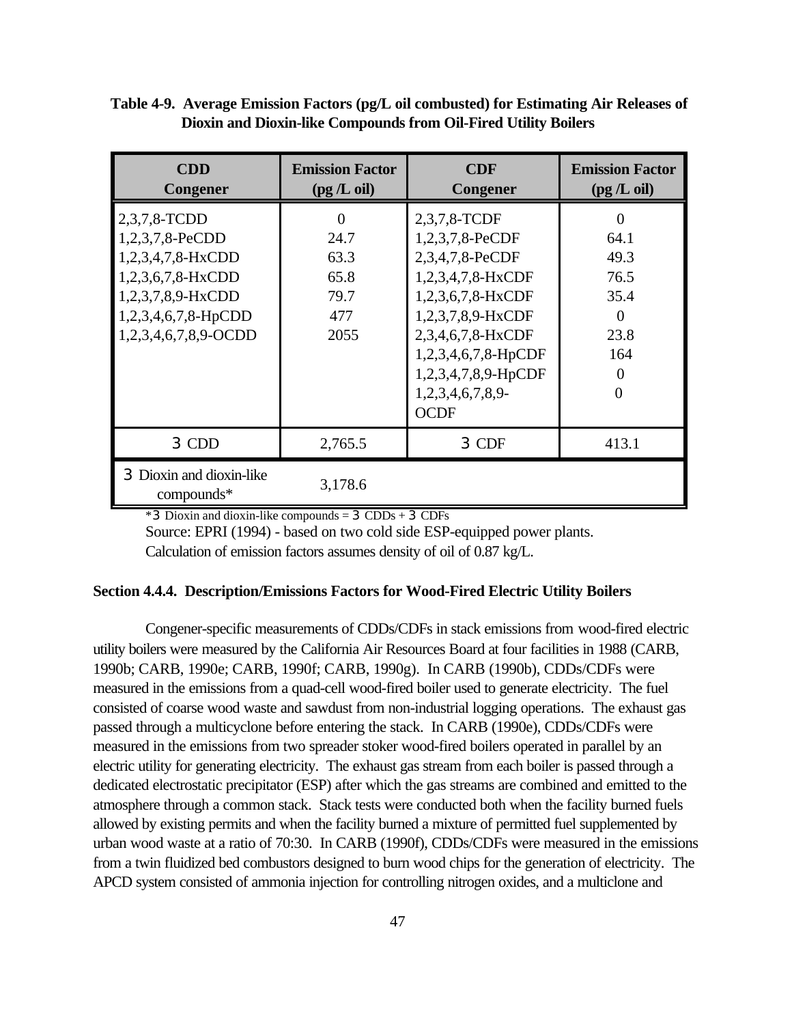| Table 4-9. Average Emission Factors (pg/L oil combusted) for Estimating Air Releases of |
|-----------------------------------------------------------------------------------------|
| Dioxin and Dioxin-like Compounds from Oil-Fired Utility Boilers                         |

| <b>CDD</b><br>Congener                                                                                                                           | <b>Emission Factor</b><br>(pg/L oil)        | <b>CDF</b><br>Congener                                                                                                                                                               | <b>Emission Factor</b><br>(pg/L oil)                    |
|--------------------------------------------------------------------------------------------------------------------------------------------------|---------------------------------------------|--------------------------------------------------------------------------------------------------------------------------------------------------------------------------------------|---------------------------------------------------------|
| $2,3,7,8$ -TCDD<br>1,2,3,7,8-PeCDD<br>1,2,3,4,7,8-HxCDD<br>1,2,3,6,7,8-HxCDD<br>1,2,3,7,8,9-HxCDD<br>1,2,3,4,6,7,8-HpCDD<br>1,2,3,4,6,7,8,9-OCDD | 24.7<br>63.3<br>65.8<br>79.7<br>477<br>2055 | 2,3,7,8-TCDF<br>1,2,3,7,8-PeCDF<br>2,3,4,7,8-PeCDF<br>1,2,3,4,7,8-HxCDF<br>1,2,3,6,7,8-HxCDF<br>1,2,3,7,8,9-HxCDF<br>2,3,4,6,7,8-HxCDF<br>1,2,3,4,6,7,8-HpCDF<br>1,2,3,4,7,8,9-HpCDF | 64.1<br>49.3<br>76.5<br>35.4<br>$\Omega$<br>23.8<br>164 |
|                                                                                                                                                  |                                             | $1,2,3,4,6,7,8,9$ -<br><b>OCDF</b>                                                                                                                                                   | 0                                                       |
| 3 CDD                                                                                                                                            | 2,765.5                                     | 3 CDF                                                                                                                                                                                | 413.1                                                   |
| 3 Dioxin and dioxin-like<br>$compounds*$                                                                                                         | 3,178.6                                     |                                                                                                                                                                                      |                                                         |

 $*3$  Dioxin and dioxin-like compounds = 3 CDDs + 3 CDFs

Source: EPRI (1994) - based on two cold side ESP-equipped power plants. Calculation of emission factors assumes density of oil of 0.87 kg/L.

### **Section 4.4.4. Description/Emissions Factors for Wood-Fired Electric Utility Boilers**

Congener-specific measurements of CDDs/CDFs in stack emissions from wood-fired electric utility boilers were measured by the California Air Resources Board at four facilities in 1988 (CARB, 1990b; CARB, 1990e; CARB, 1990f; CARB, 1990g). In CARB (1990b), CDDs/CDFs were measured in the emissions from a quad-cell wood-fired boiler used to generate electricity. The fuel consisted of coarse wood waste and sawdust from non-industrial logging operations. The exhaust gas passed through a multicyclone before entering the stack. In CARB (1990e), CDDs/CDFs were measured in the emissions from two spreader stoker wood-fired boilers operated in parallel by an electric utility for generating electricity. The exhaust gas stream from each boiler is passed through a dedicated electrostatic precipitator (ESP) after which the gas streams are combined and emitted to the atmosphere through a common stack. Stack tests were conducted both when the facility burned fuels allowed by existing permits and when the facility burned a mixture of permitted fuel supplemented by urban wood waste at a ratio of 70:30. In CARB (1990f), CDDs/CDFs were measured in the emissions from a twin fluidized bed combustors designed to burn wood chips for the generation of electricity. The APCD system consisted of ammonia injection for controlling nitrogen oxides, and a multiclone and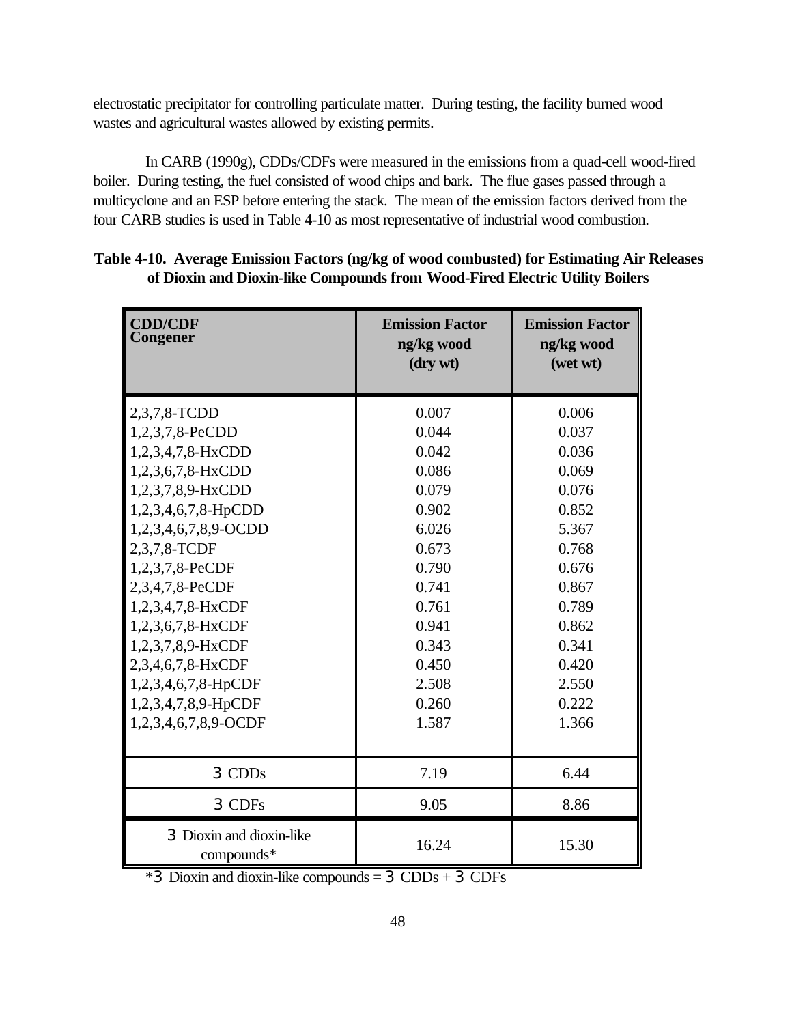electrostatic precipitator for controlling particulate matter. During testing, the facility burned wood wastes and agricultural wastes allowed by existing permits.

In CARB (1990g), CDDs/CDFs were measured in the emissions from a quad-cell wood-fired boiler. During testing, the fuel consisted of wood chips and bark. The flue gases passed through a multicyclone and an ESP before entering the stack. The mean of the emission factors derived from the four CARB studies is used in Table 4-10 as most representative of industrial wood combustion.

| <b>CDD/CDF</b><br>Congener             | <b>Emission Factor</b><br>ng/kg wood<br>(dry wt) | <b>Emission Factor</b><br>ng/kg wood<br>(wet wt) |
|----------------------------------------|--------------------------------------------------|--------------------------------------------------|
| 2,3,7,8-TCDD                           | 0.007                                            | 0.006                                            |
| 1,2,3,7,8-PeCDD                        | 0.044                                            | 0.037                                            |
| 1,2,3,4,7,8-HxCDD                      | 0.042                                            | 0.036                                            |
| 1,2,3,6,7,8-HxCDD                      | 0.086                                            | 0.069                                            |
| 1,2,3,7,8,9-HxCDD                      | 0.079                                            | 0.076                                            |
| 1,2,3,4,6,7,8-HpCDD                    | 0.902                                            | 0.852                                            |
| 1,2,3,4,6,7,8,9-OCDD                   | 6.026                                            | 5.367                                            |
| 2,3,7,8-TCDF                           | 0.673                                            | 0.768                                            |
| 1,2,3,7,8-PeCDF                        | 0.790                                            | 0.676                                            |
| 2,3,4,7,8-PeCDF                        | 0.741                                            | 0.867                                            |
| 1,2,3,4,7,8-HxCDF                      | 0.761                                            | 0.789                                            |
| 1,2,3,6,7,8-HxCDF                      | 0.941                                            | 0.862                                            |
| 1,2,3,7,8,9-HxCDF                      | 0.343                                            | 0.341                                            |
| 2,3,4,6,7,8-HxCDF                      | 0.450                                            | 0.420                                            |
| 1,2,3,4,6,7,8-HpCDF                    | 2.508                                            | 2.550                                            |
| 1,2,3,4,7,8,9-HpCDF                    | 0.260                                            | 0.222                                            |
| 1,2,3,4,6,7,8,9-OCDF                   | 1.587                                            | 1.366                                            |
|                                        |                                                  |                                                  |
| 3 CDDs                                 | 7.19                                             | 6.44                                             |
| 3 CDFs                                 | 9.05                                             | 8.86                                             |
| 3 Dioxin and dioxin-like<br>compounds* | 16.24                                            | 15.30                                            |

**Table 4-10. Average Emission Factors (ng/kg of wood combusted) for Estimating Air Releases of Dioxin and Dioxin-like Compounds from Wood-Fired Electric Utility Boilers**

\*3 Dioxin and dioxin-like compounds = 3 CDDs + 3 CDFs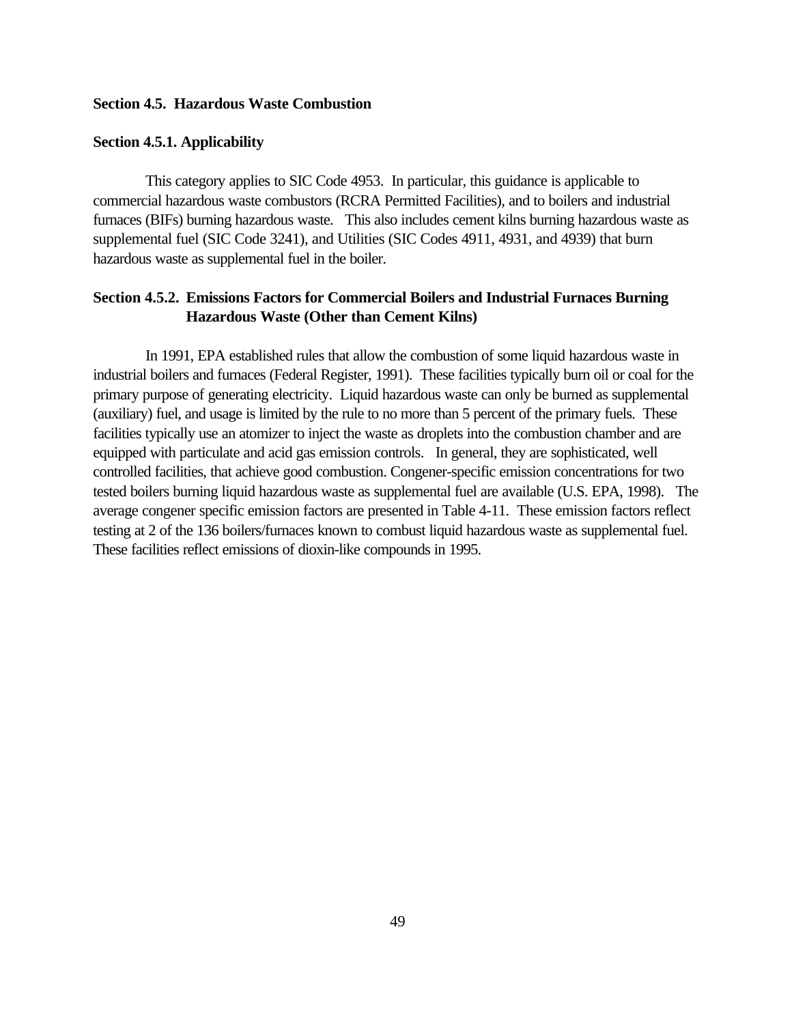### **Section 4.5. Hazardous Waste Combustion**

#### **Section 4.5.1. Applicability**

This category applies to SIC Code 4953. In particular, this guidance is applicable to commercial hazardous waste combustors (RCRA Permitted Facilities), and to boilers and industrial furnaces (BIFs) burning hazardous waste. This also includes cement kilns burning hazardous waste as supplemental fuel (SIC Code 3241), and Utilities (SIC Codes 4911, 4931, and 4939) that burn hazardous waste as supplemental fuel in the boiler.

## **Section 4.5.2. Emissions Factors for Commercial Boilers and Industrial Furnaces Burning Hazardous Waste (Other than Cement Kilns)**

In 1991, EPA established rules that allow the combustion of some liquid hazardous waste in industrial boilers and furnaces (Federal Register, 1991). These facilities typically burn oil or coal for the primary purpose of generating electricity. Liquid hazardous waste can only be burned as supplemental (auxiliary) fuel, and usage is limited by the rule to no more than 5 percent of the primary fuels. These facilities typically use an atomizer to inject the waste as droplets into the combustion chamber and are equipped with particulate and acid gas emission controls. In general, they are sophisticated, well controlled facilities, that achieve good combustion. Congener-specific emission concentrations for two tested boilers burning liquid hazardous waste as supplemental fuel are available (U.S. EPA, 1998). The average congener specific emission factors are presented in Table 4-11. These emission factors reflect testing at 2 of the 136 boilers/furnaces known to combust liquid hazardous waste as supplemental fuel. These facilities reflect emissions of dioxin-like compounds in 1995.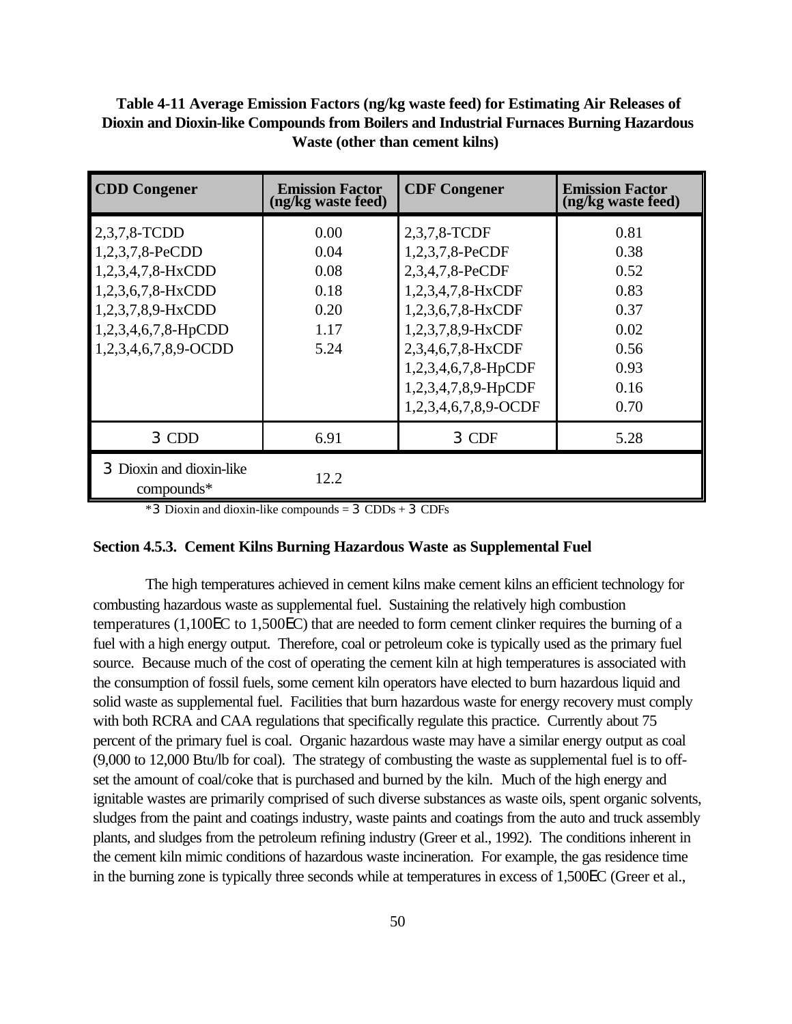| Table 4-11 Average Emission Factors (ng/kg waste feed) for Estimating Air Releases of   |
|-----------------------------------------------------------------------------------------|
| Dioxin and Dioxin-like Compounds from Boilers and Industrial Furnaces Burning Hazardous |
| <b>Waste (other than cement kilns)</b>                                                  |

| <b>CDD Congener</b>                                                                                                                                  | <b>Emission Factor</b><br>(ng/kg waste feed)         | <b>CDF Congener</b>                                                                                                                                                                                          | <b>Emission Factor</b><br>(ng/kg waste feed)                                 |
|------------------------------------------------------------------------------------------------------------------------------------------------------|------------------------------------------------------|--------------------------------------------------------------------------------------------------------------------------------------------------------------------------------------------------------------|------------------------------------------------------------------------------|
| 2,3,7,8-TCDD<br>1,2,3,7,8-PeCDD<br>$1,2,3,4,7,8-HxCDD$<br>$1,2,3,6,7,8-HxCDD$<br>1,2,3,7,8,9-HxCDD<br>$1,2,3,4,6,7,8$ -HpCDD<br>1,2,3,4,6,7,8,9-OCDD | 0.00<br>0.04<br>0.08<br>0.18<br>0.20<br>1.17<br>5.24 | 2,3,7,8-TCDF<br>1,2,3,7,8-PeCDF<br>2,3,4,7,8-PeCDF<br>1,2,3,4,7,8-HxCDF<br>1,2,3,6,7,8-HxCDF<br>1,2,3,7,8,9-HxCDF<br>2,3,4,6,7,8-HxCDF<br>1,2,3,4,6,7,8-HpCDF<br>1,2,3,4,7,8,9-HpCDF<br>1,2,3,4,6,7,8,9-OCDF | 0.81<br>0.38<br>0.52<br>0.83<br>0.37<br>0.02<br>0.56<br>0.93<br>0.16<br>0.70 |
| 3 CDD                                                                                                                                                | 6.91                                                 | 3 CDF                                                                                                                                                                                                        | 5.28                                                                         |
| 3 Dioxin and dioxin-like<br>$compounds*$                                                                                                             | 12.2                                                 |                                                                                                                                                                                                              |                                                                              |

\*3 Dioxin and dioxin-like compounds = 3 CDDs + 3 CDFs

#### **Section 4.5.3. Cement Kilns Burning Hazardous Waste as Supplemental Fuel**

The high temperatures achieved in cement kilns make cement kilns an efficient technology for combusting hazardous waste as supplemental fuel. Sustaining the relatively high combustion temperatures (1,100EC to 1,500EC) that are needed to form cement clinker requires the burning of a fuel with a high energy output. Therefore, coal or petroleum coke is typically used as the primary fuel source. Because much of the cost of operating the cement kiln at high temperatures is associated with the consumption of fossil fuels, some cement kiln operators have elected to burn hazardous liquid and solid waste as supplemental fuel. Facilities that burn hazardous waste for energy recovery must comply with both RCRA and CAA regulations that specifically regulate this practice. Currently about 75 percent of the primary fuel is coal. Organic hazardous waste may have a similar energy output as coal (9,000 to 12,000 Btu/lb for coal). The strategy of combusting the waste as supplemental fuel is to offset the amount of coal/coke that is purchased and burned by the kiln. Much of the high energy and ignitable wastes are primarily comprised of such diverse substances as waste oils, spent organic solvents, sludges from the paint and coatings industry, waste paints and coatings from the auto and truck assembly plants, and sludges from the petroleum refining industry (Greer et al., 1992). The conditions inherent in the cement kiln mimic conditions of hazardous waste incineration. For example, the gas residence time in the burning zone is typically three seconds while at temperatures in excess of 1,500EC (Greer et al.,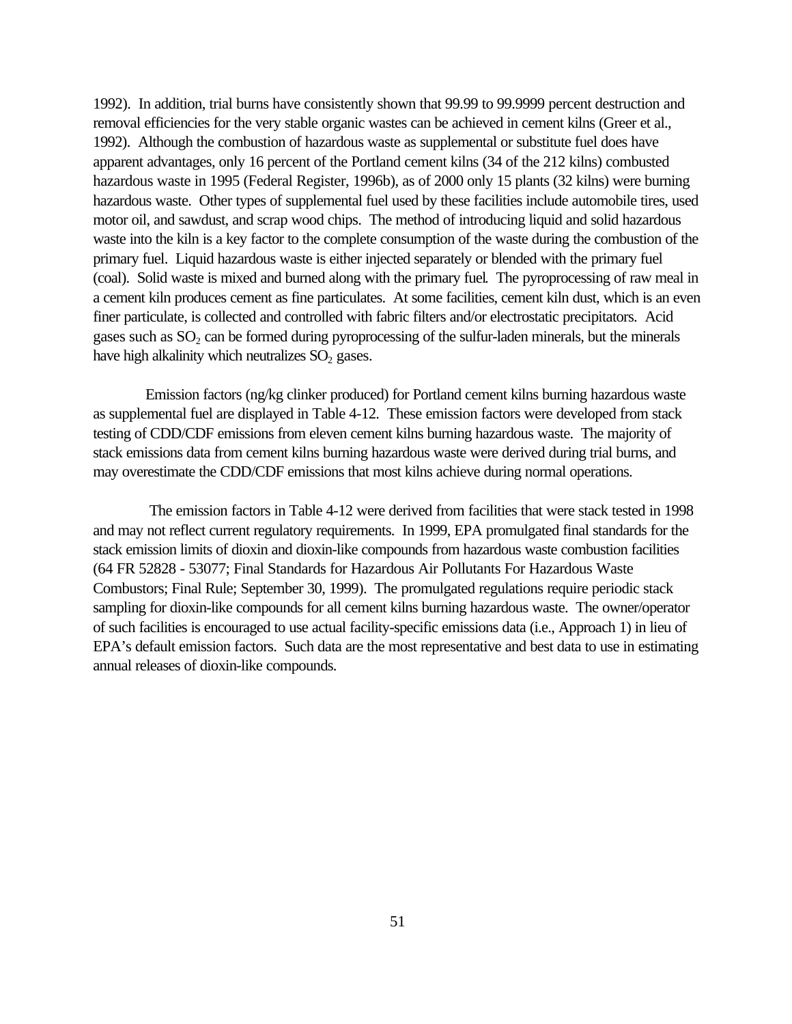1992). In addition, trial burns have consistently shown that 99.99 to 99.9999 percent destruction and removal efficiencies for the very stable organic wastes can be achieved in cement kilns (Greer et al., 1992). Although the combustion of hazardous waste as supplemental or substitute fuel does have apparent advantages, only 16 percent of the Portland cement kilns (34 of the 212 kilns) combusted hazardous waste in 1995 (Federal Register, 1996b), as of 2000 only 15 plants (32 kilns) were burning hazardous waste. Other types of supplemental fuel used by these facilities include automobile tires, used motor oil, and sawdust, and scrap wood chips. The method of introducing liquid and solid hazardous waste into the kiln is a key factor to the complete consumption of the waste during the combustion of the primary fuel. Liquid hazardous waste is either injected separately or blended with the primary fuel (coal). Solid waste is mixed and burned along with the primary fuel. The pyroprocessing of raw meal in a cement kiln produces cement as fine particulates. At some facilities, cement kiln dust, which is an even finer particulate, is collected and controlled with fabric filters and/or electrostatic precipitators. Acid gases such as  $SO_2$  can be formed during pyroprocessing of the sulfur-laden minerals, but the minerals have high alkalinity which neutralizes  $SO<sub>2</sub>$  gases.

Emission factors (ng/kg clinker produced) for Portland cement kilns burning hazardous waste as supplemental fuel are displayed in Table 4-12. These emission factors were developed from stack testing of CDD/CDF emissions from eleven cement kilns burning hazardous waste. The majority of stack emissions data from cement kilns burning hazardous waste were derived during trial burns, and may overestimate the CDD/CDF emissions that most kilns achieve during normal operations.

 The emission factors in Table 4-12 were derived from facilities that were stack tested in 1998 and may not reflect current regulatory requirements. In 1999, EPA promulgated final standards for the stack emission limits of dioxin and dioxin-like compounds from hazardous waste combustion facilities (64 FR 52828 - 53077; Final Standards for Hazardous Air Pollutants For Hazardous Waste Combustors; Final Rule; September 30, 1999). The promulgated regulations require periodic stack sampling for dioxin-like compounds for all cement kilns burning hazardous waste. The owner/operator of such facilities is encouraged to use actual facility-specific emissions data (i.e., Approach 1) in lieu of EPA's default emission factors. Such data are the most representative and best data to use in estimating annual releases of dioxin-like compounds.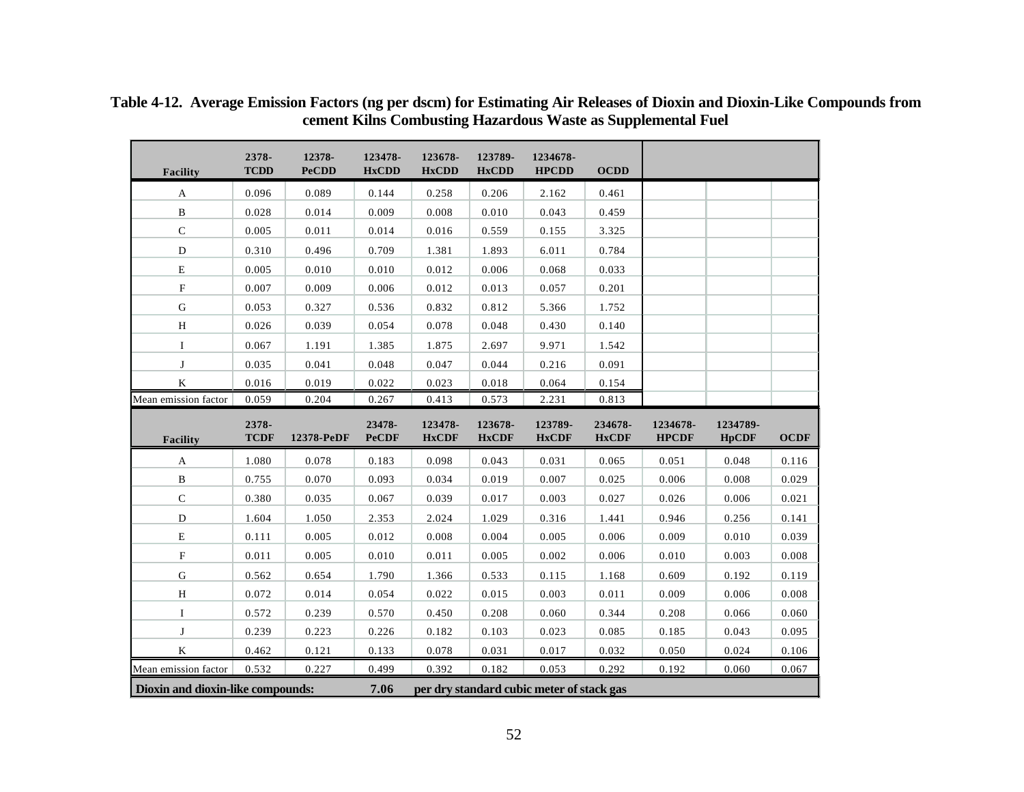| Facility                  | 2378-<br><b>TCDD</b> | 12378-<br><b>PeCDD</b> | 123478-<br><b>HxCDD</b> | 123678-<br><b>HxCDD</b> | 123789-<br><b>HxCDD</b> | 1234678-<br><b>HPCDD</b> | <b>OCDD</b>             |                          |                          |             |
|---------------------------|----------------------|------------------------|-------------------------|-------------------------|-------------------------|--------------------------|-------------------------|--------------------------|--------------------------|-------------|
|                           |                      |                        |                         |                         |                         |                          |                         |                          |                          |             |
| $\mathbf{A}$              | 0.096                | 0.089                  | 0.144                   | 0.258                   | 0.206                   | 2.162                    | 0.461                   |                          |                          |             |
| $\, {\bf B}$              | 0.028                | 0.014                  | 0.009                   | 0.008                   | 0.010                   | 0.043                    | 0.459                   |                          |                          |             |
| ${\bf C}$                 | 0.005                | 0.011                  | 0.014                   | 0.016                   | 0.559                   | 0.155                    | 3.325                   |                          |                          |             |
| $\mathbf D$               | 0.310                | 0.496                  | 0.709                   | 1.381                   | 1.893                   | 6.011                    | 0.784                   |                          |                          |             |
| ${\bf E}$                 | 0.005                | 0.010                  | 0.010                   | 0.012                   | 0.006                   | 0.068                    | 0.033                   |                          |                          |             |
| $\boldsymbol{\mathrm{F}}$ | 0.007                | 0.009                  | 0.006                   | 0.012                   | 0.013                   | 0.057                    | 0.201                   |                          |                          |             |
| ${\bf G}$                 | 0.053                | 0.327                  | 0.536                   | 0.832                   | 0.812                   | 5.366                    | 1.752                   |                          |                          |             |
| $\,$ H                    | 0.026                | 0.039                  | 0.054                   | 0.078                   | 0.048                   | 0.430                    | 0.140                   |                          |                          |             |
| $\bf I$                   | 0.067                | 1.191                  | 1.385                   | 1.875                   | 2.697                   | 9.971                    | 1.542                   |                          |                          |             |
| J                         | 0.035                | 0.041                  | 0.048                   | 0.047                   | 0.044                   | 0.216                    | 0.091                   |                          |                          |             |
| $\bf K$                   | 0.016                | 0.019                  | 0.022                   | 0.023                   | 0.018                   | 0.064                    | 0.154                   |                          |                          |             |
| Mean emission factor      | 0.059                | 0.204                  | 0.267                   | 0.413                   | 0.573                   | 2.231                    | 0.813                   |                          |                          |             |
|                           |                      |                        |                         |                         |                         |                          |                         |                          |                          |             |
| Facility                  | 2378-<br><b>TCDF</b> | 12378-PeDF             | 23478-<br><b>PeCDF</b>  | 123478-<br><b>HxCDF</b> | 123678-<br><b>HxCDF</b> | 123789-<br><b>HxCDF</b>  | 234678-<br><b>HxCDF</b> | 1234678-<br><b>HPCDF</b> | 1234789-<br><b>HpCDF</b> | <b>OCDF</b> |
| A                         | 1.080                | 0.078                  | 0.183                   | 0.098                   | 0.043                   | 0.031                    | 0.065                   | 0.051                    | 0.048                    | 0.116       |
| $\, {\bf B}$              | 0.755                | 0.070                  | 0.093                   | 0.034                   | 0.019                   | 0.007                    | 0.025                   | 0.006                    | 0.008                    | 0.029       |
| $\mathsf C$               | 0.380                | 0.035                  | 0.067                   | 0.039                   | 0.017                   | 0.003                    | 0.027                   | 0.026                    | 0.006                    | 0.021       |
| $\mathbf D$               | 1.604                | 1.050                  | 2.353                   | 2.024                   | 1.029                   | 0.316                    | 1.441                   | 0.946                    | 0.256                    | 0.141       |
| E                         | 0.111                | 0.005                  | 0.012                   | 0.008                   | 0.004                   | 0.005                    | 0.006                   | 0.009                    | 0.010                    | 0.039       |
| ${\bf F}$                 | 0.011                | 0.005                  | 0.010                   | 0.011                   | 0.005                   | 0.002                    | 0.006                   | 0.010                    | 0.003                    | 0.008       |
| ${\bf G}$                 | 0.562                | 0.654                  | 1.790                   | 1.366                   | 0.533                   | 0.115                    | 1.168                   | 0.609                    | 0.192                    | 0.119       |
| $\, {\rm H}$              | 0.072                | 0.014                  | 0.054                   | 0.022                   | 0.015                   | 0.003                    | 0.011                   | 0.009                    | 0.006                    | 0.008       |
| Ι.                        | 0.572                | 0.239                  | 0.570                   | 0.450                   | 0.208                   | 0.060                    | 0.344                   | 0.208                    | 0.066                    | 0.060       |
| $\bf J$                   | 0.239                | 0.223                  | 0.226                   | 0.182                   | 0.103                   | 0.023                    | 0.085                   | 0.185                    | 0.043                    | 0.095       |
| $\bf K$                   | 0.462                | 0.121                  | 0.133                   | 0.078                   | 0.031                   | 0.017                    | 0.032                   | 0.050                    | 0.024                    | 0.106       |
| Mean emission factor      | 0.532                | 0.227                  | 0.499                   | 0.392                   | 0.182                   | 0.053                    | 0.292                   | 0.192                    | 0.060                    | 0.067       |

**Table 4-12. Average Emission Factors (ng per dscm) for Estimating Air Releases of Dioxin and Dioxin-Like Compounds from cement Kilns Combusting Hazardous Waste as Supplemental Fuel**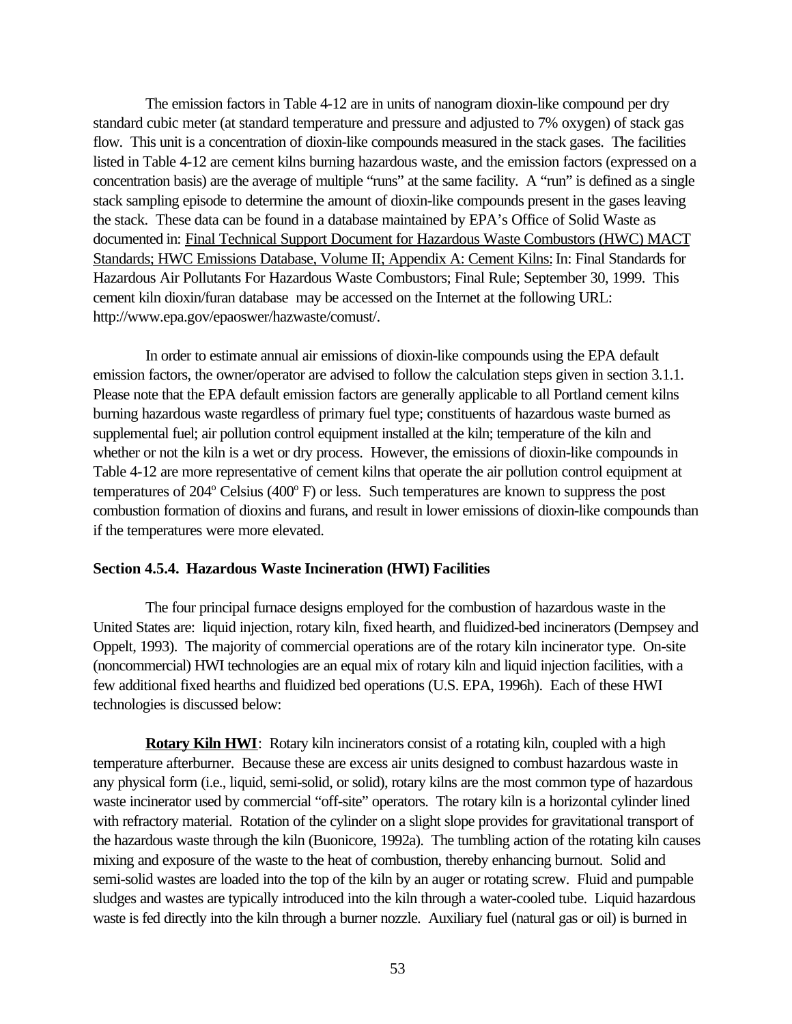The emission factors in Table 4-12 are in units of nanogram dioxin-like compound per dry standard cubic meter (at standard temperature and pressure and adjusted to 7% oxygen) of stack gas flow. This unit is a concentration of dioxin-like compounds measured in the stack gases. The facilities listed in Table 4-12 are cement kilns burning hazardous waste, and the emission factors (expressed on a concentration basis) are the average of multiple "runs" at the same facility. A "run" is defined as a single stack sampling episode to determine the amount of dioxin-like compounds present in the gases leaving the stack. These data can be found in a database maintained by EPA's Office of Solid Waste as documented in: Final Technical Support Document for Hazardous Waste Combustors (HWC) MACT Standards; HWC Emissions Database, Volume II; Appendix A: Cement Kilns: In: Final Standards for Hazardous Air Pollutants For Hazardous Waste Combustors; Final Rule; September 30, 1999. This cement kiln dioxin/furan database may be accessed on the Internet at the following URL: http://www.epa.gov/epaoswer/hazwaste/comust/.

In order to estimate annual air emissions of dioxin-like compounds using the EPA default emission factors, the owner/operator are advised to follow the calculation steps given in section 3.1.1. Please note that the EPA default emission factors are generally applicable to all Portland cement kilns burning hazardous waste regardless of primary fuel type; constituents of hazardous waste burned as supplemental fuel; air pollution control equipment installed at the kiln; temperature of the kiln and whether or not the kiln is a wet or dry process. However, the emissions of dioxin-like compounds in Table 4-12 are more representative of cement kilns that operate the air pollution control equipment at temperatures of 204<sup>°</sup> Celsius (400<sup>°</sup> F) or less. Such temperatures are known to suppress the post combustion formation of dioxins and furans, and result in lower emissions of dioxin-like compounds than if the temperatures were more elevated.

## **Section 4.5.4. Hazardous Waste Incineration (HWI) Facilities**

The four principal furnace designs employed for the combustion of hazardous waste in the United States are: liquid injection, rotary kiln, fixed hearth, and fluidized-bed incinerators (Dempsey and Oppelt, 1993). The majority of commercial operations are of the rotary kiln incinerator type. On-site (noncommercial) HWI technologies are an equal mix of rotary kiln and liquid injection facilities, with a few additional fixed hearths and fluidized bed operations (U.S. EPA, 1996h). Each of these HWI technologies is discussed below:

**Rotary Kiln HWI**: Rotary kiln incinerators consist of a rotating kiln, coupled with a high temperature afterburner. Because these are excess air units designed to combust hazardous waste in any physical form (i.e., liquid, semi-solid, or solid), rotary kilns are the most common type of hazardous waste incinerator used by commercial "off-site" operators. The rotary kiln is a horizontal cylinder lined with refractory material. Rotation of the cylinder on a slight slope provides for gravitational transport of the hazardous waste through the kiln (Buonicore, 1992a). The tumbling action of the rotating kiln causes mixing and exposure of the waste to the heat of combustion, thereby enhancing burnout. Solid and semi-solid wastes are loaded into the top of the kiln by an auger or rotating screw. Fluid and pumpable sludges and wastes are typically introduced into the kiln through a water-cooled tube. Liquid hazardous waste is fed directly into the kiln through a burner nozzle. Auxiliary fuel (natural gas or oil) is burned in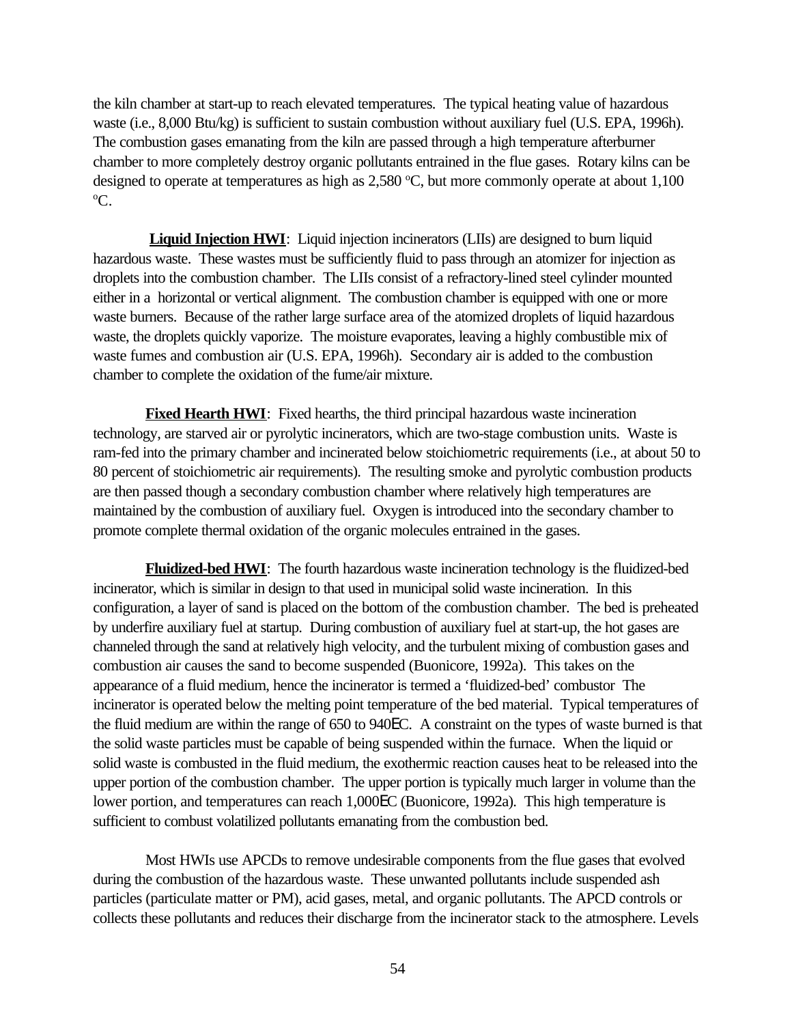the kiln chamber at start-up to reach elevated temperatures. The typical heating value of hazardous waste (i.e., 8,000 Btu/kg) is sufficient to sustain combustion without auxiliary fuel (U.S. EPA, 1996h). The combustion gases emanating from the kiln are passed through a high temperature afterburner chamber to more completely destroy organic pollutants entrained in the flue gases. Rotary kilns can be designed to operate at temperatures as high as  $2,580 \degree C$ , but more commonly operate at about 1,100 <sup>o</sup>C.

**Liquid Injection HWI**: Liquid injection incinerators (LIIs) are designed to burn liquid hazardous waste. These wastes must be sufficiently fluid to pass through an atomizer for injection as droplets into the combustion chamber. The LIIs consist of a refractory-lined steel cylinder mounted either in a horizontal or vertical alignment. The combustion chamber is equipped with one or more waste burners. Because of the rather large surface area of the atomized droplets of liquid hazardous waste, the droplets quickly vaporize. The moisture evaporates, leaving a highly combustible mix of waste fumes and combustion air (U.S. EPA, 1996h). Secondary air is added to the combustion chamber to complete the oxidation of the fume/air mixture.

**Fixed Hearth HWI**: Fixed hearths, the third principal hazardous waste incineration technology, are starved air or pyrolytic incinerators, which are two-stage combustion units. Waste is ram-fed into the primary chamber and incinerated below stoichiometric requirements (i.e., at about 50 to 80 percent of stoichiometric air requirements). The resulting smoke and pyrolytic combustion products are then passed though a secondary combustion chamber where relatively high temperatures are maintained by the combustion of auxiliary fuel. Oxygen is introduced into the secondary chamber to promote complete thermal oxidation of the organic molecules entrained in the gases.

**Fluidized-bed HWI**: The fourth hazardous waste incineration technology is the fluidized-bed incinerator, which is similar in design to that used in municipal solid waste incineration. In this configuration, a layer of sand is placed on the bottom of the combustion chamber. The bed is preheated by underfire auxiliary fuel at startup. During combustion of auxiliary fuel at start-up, the hot gases are channeled through the sand at relatively high velocity, and the turbulent mixing of combustion gases and combustion air causes the sand to become suspended (Buonicore, 1992a). This takes on the appearance of a fluid medium, hence the incinerator is termed a 'fluidized-bed' combustor The incinerator is operated below the melting point temperature of the bed material. Typical temperatures of the fluid medium are within the range of 650 to 940EC. A constraint on the types of waste burned is that the solid waste particles must be capable of being suspended within the furnace. When the liquid or solid waste is combusted in the fluid medium, the exothermic reaction causes heat to be released into the upper portion of the combustion chamber. The upper portion is typically much larger in volume than the lower portion, and temperatures can reach 1,000EC (Buonicore, 1992a). This high temperature is sufficient to combust volatilized pollutants emanating from the combustion bed.

Most HWIs use APCDs to remove undesirable components from the flue gases that evolved during the combustion of the hazardous waste. These unwanted pollutants include suspended ash particles (particulate matter or PM), acid gases, metal, and organic pollutants. The APCD controls or collects these pollutants and reduces their discharge from the incinerator stack to the atmosphere. Levels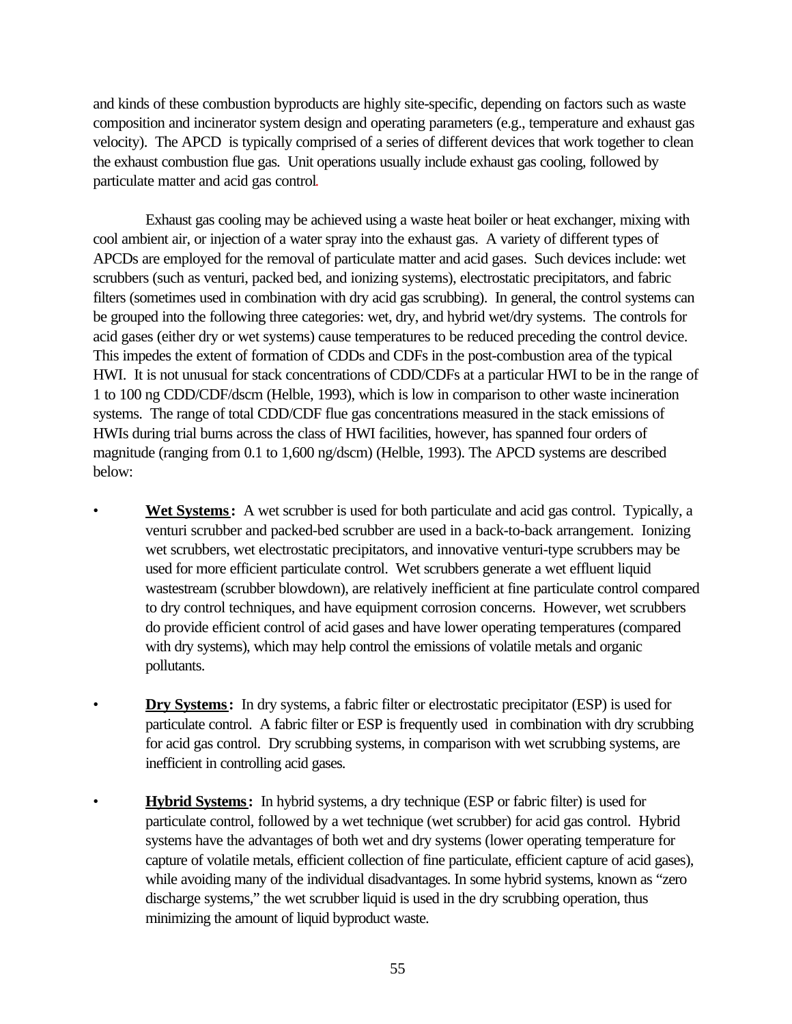and kinds of these combustion byproducts are highly site-specific, depending on factors such as waste composition and incinerator system design and operating parameters (e.g., temperature and exhaust gas velocity). The APCD is typically comprised of a series of different devices that work together to clean the exhaust combustion flue gas. Unit operations usually include exhaust gas cooling, followed by particulate matter and acid gas control.

Exhaust gas cooling may be achieved using a waste heat boiler or heat exchanger, mixing with cool ambient air, or injection of a water spray into the exhaust gas. A variety of different types of APCDs are employed for the removal of particulate matter and acid gases. Such devices include: wet scrubbers (such as venturi, packed bed, and ionizing systems), electrostatic precipitators, and fabric filters (sometimes used in combination with dry acid gas scrubbing). In general, the control systems can be grouped into the following three categories: wet, dry, and hybrid wet/dry systems. The controls for acid gases (either dry or wet systems) cause temperatures to be reduced preceding the control device. This impedes the extent of formation of CDDs and CDFs in the post-combustion area of the typical HWI. It is not unusual for stack concentrations of CDD/CDFs at a particular HWI to be in the range of 1 to 100 ng CDD/CDF/dscm (Helble, 1993), which is low in comparison to other waste incineration systems. The range of total CDD/CDF flue gas concentrations measured in the stack emissions of HWIs during trial burns across the class of HWI facilities, however, has spanned four orders of magnitude (ranging from 0.1 to 1,600 ng/dscm) (Helble, 1993). The APCD systems are described below:

- **Wet Systems:** A wet scrubber is used for both particulate and acid gas control. Typically, a venturi scrubber and packed-bed scrubber are used in a back-to-back arrangement. Ionizing wet scrubbers, wet electrostatic precipitators, and innovative venturi-type scrubbers may be used for more efficient particulate control. Wet scrubbers generate a wet effluent liquid wastestream (scrubber blowdown), are relatively inefficient at fine particulate control compared to dry control techniques, and have equipment corrosion concerns. However, wet scrubbers do provide efficient control of acid gases and have lower operating temperatures (compared with dry systems), which may help control the emissions of volatile metals and organic pollutants.
- **Dry Systems:** In dry systems, a fabric filter or electrostatic precipitator (ESP) is used for particulate control. A fabric filter or ESP is frequently used in combination with dry scrubbing for acid gas control. Dry scrubbing systems, in comparison with wet scrubbing systems, are inefficient in controlling acid gases.
- **Hybrid Systems:** In hybrid systems, a dry technique (ESP or fabric filter) is used for particulate control, followed by a wet technique (wet scrubber) for acid gas control. Hybrid systems have the advantages of both wet and dry systems (lower operating temperature for capture of volatile metals, efficient collection of fine particulate, efficient capture of acid gases), while avoiding many of the individual disadvantages. In some hybrid systems, known as "zero discharge systems," the wet scrubber liquid is used in the dry scrubbing operation, thus minimizing the amount of liquid byproduct waste.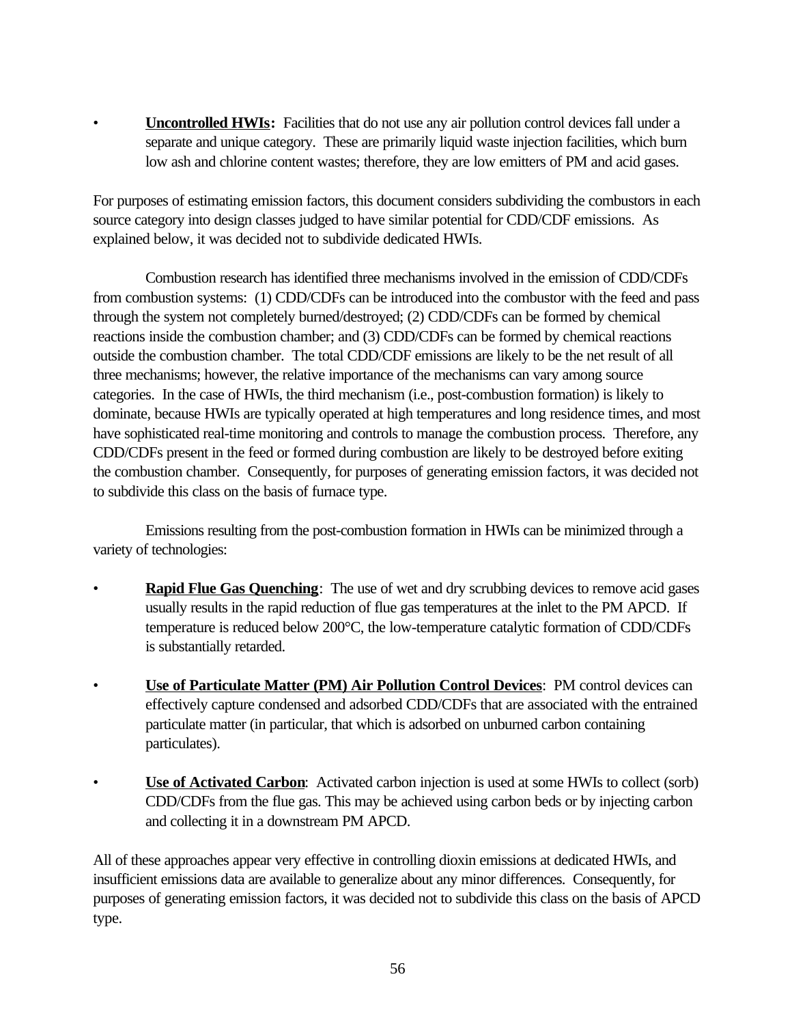• **Uncontrolled HWIs:** Facilities that do not use any air pollution control devices fall under a separate and unique category. These are primarily liquid waste injection facilities, which burn low ash and chlorine content wastes; therefore, they are low emitters of PM and acid gases.

For purposes of estimating emission factors, this document considers subdividing the combustors in each source category into design classes judged to have similar potential for CDD/CDF emissions. As explained below, it was decided not to subdivide dedicated HWIs.

Combustion research has identified three mechanisms involved in the emission of CDD/CDFs from combustion systems: (1) CDD/CDFs can be introduced into the combustor with the feed and pass through the system not completely burned/destroyed; (2) CDD/CDFs can be formed by chemical reactions inside the combustion chamber; and (3) CDD/CDFs can be formed by chemical reactions outside the combustion chamber. The total CDD/CDF emissions are likely to be the net result of all three mechanisms; however, the relative importance of the mechanisms can vary among source categories. In the case of HWIs, the third mechanism (i.e., post-combustion formation) is likely to dominate, because HWIs are typically operated at high temperatures and long residence times, and most have sophisticated real-time monitoring and controls to manage the combustion process. Therefore, any CDD/CDFs present in the feed or formed during combustion are likely to be destroyed before exiting the combustion chamber. Consequently, for purposes of generating emission factors, it was decided not to subdivide this class on the basis of furnace type.

Emissions resulting from the post-combustion formation in HWIs can be minimized through a variety of technologies:

- **Rapid Flue Gas Quenching**: The use of wet and dry scrubbing devices to remove acid gases usually results in the rapid reduction of flue gas temperatures at the inlet to the PM APCD. If temperature is reduced below 200°C, the low-temperature catalytic formation of CDD/CDFs is substantially retarded.
- **Use of Particulate Matter (PM) Air Pollution Control Devices**: PM control devices can effectively capture condensed and adsorbed CDD/CDFs that are associated with the entrained particulate matter (in particular, that which is adsorbed on unburned carbon containing particulates).
- **Use of Activated Carbon**: Activated carbon injection is used at some HWIs to collect (sorb) CDD/CDFs from the flue gas. This may be achieved using carbon beds or by injecting carbon and collecting it in a downstream PM APCD.

All of these approaches appear very effective in controlling dioxin emissions at dedicated HWIs, and insufficient emissions data are available to generalize about any minor differences. Consequently, for purposes of generating emission factors, it was decided not to subdivide this class on the basis of APCD type.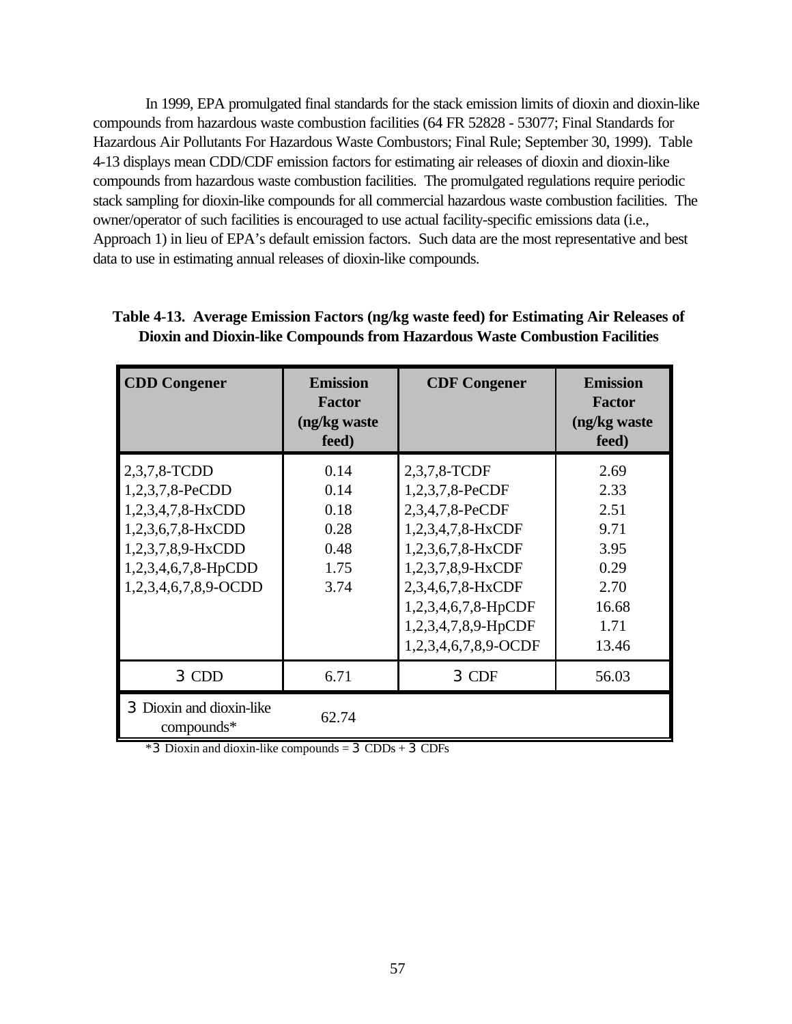In 1999, EPA promulgated final standards for the stack emission limits of dioxin and dioxin-like compounds from hazardous waste combustion facilities (64 FR 52828 - 53077; Final Standards for Hazardous Air Pollutants For Hazardous Waste Combustors; Final Rule; September 30, 1999). Table 4-13 displays mean CDD/CDF emission factors for estimating air releases of dioxin and dioxin-like compounds from hazardous waste combustion facilities. The promulgated regulations require periodic stack sampling for dioxin-like compounds for all commercial hazardous waste combustion facilities. The owner/operator of such facilities is encouraged to use actual facility-specific emissions data (i.e., Approach 1) in lieu of EPA's default emission factors. Such data are the most representative and best data to use in estimating annual releases of dioxin-like compounds.

| <b>CDD</b> Congener                                                                                                                                  | <b>Emission</b><br><b>Factor</b><br>(ng/kg waste<br>feed) | <b>CDF Congener</b>                                                                                                                                                                                          | <b>Emission</b><br><b>Factor</b><br>(ng/kg waste<br>feed)                      |
|------------------------------------------------------------------------------------------------------------------------------------------------------|-----------------------------------------------------------|--------------------------------------------------------------------------------------------------------------------------------------------------------------------------------------------------------------|--------------------------------------------------------------------------------|
| 2,3,7,8-TCDD<br>1,2,3,7,8-PeCDD<br>$1,2,3,4,7,8-HxCDD$<br>$1,2,3,6,7,8-HxCDD$<br>1,2,3,7,8,9-HxCDD<br>$1,2,3,4,6,7,8$ -HpCDD<br>1,2,3,4,6,7,8,9-OCDD | 0.14<br>0.14<br>0.18<br>0.28<br>0.48<br>1.75<br>3.74      | 2,3,7,8-TCDF<br>1,2,3,7,8-PeCDF<br>2,3,4,7,8-PeCDF<br>1,2,3,4,7,8-HxCDF<br>1,2,3,6,7,8-HxCDF<br>1,2,3,7,8,9-HxCDF<br>2,3,4,6,7,8-HxCDF<br>1,2,3,4,6,7,8-HpCDF<br>1,2,3,4,7,8,9-HpCDF<br>1,2,3,4,6,7,8,9-OCDF | 2.69<br>2.33<br>2.51<br>9.71<br>3.95<br>0.29<br>2.70<br>16.68<br>1.71<br>13.46 |
| 3 CDD                                                                                                                                                | 6.71                                                      | 3 CDF                                                                                                                                                                                                        | 56.03                                                                          |
| 3 Dioxin and dioxin-like<br>$compounds*$                                                                                                             | 62.74                                                     |                                                                                                                                                                                                              |                                                                                |

## **Table 4-13. Average Emission Factors (ng/kg waste feed) for Estimating Air Releases of Dioxin and Dioxin-like Compounds from Hazardous Waste Combustion Facilities**

 $*3$  Dioxin and dioxin-like compounds = 3 CDDs + 3 CDFs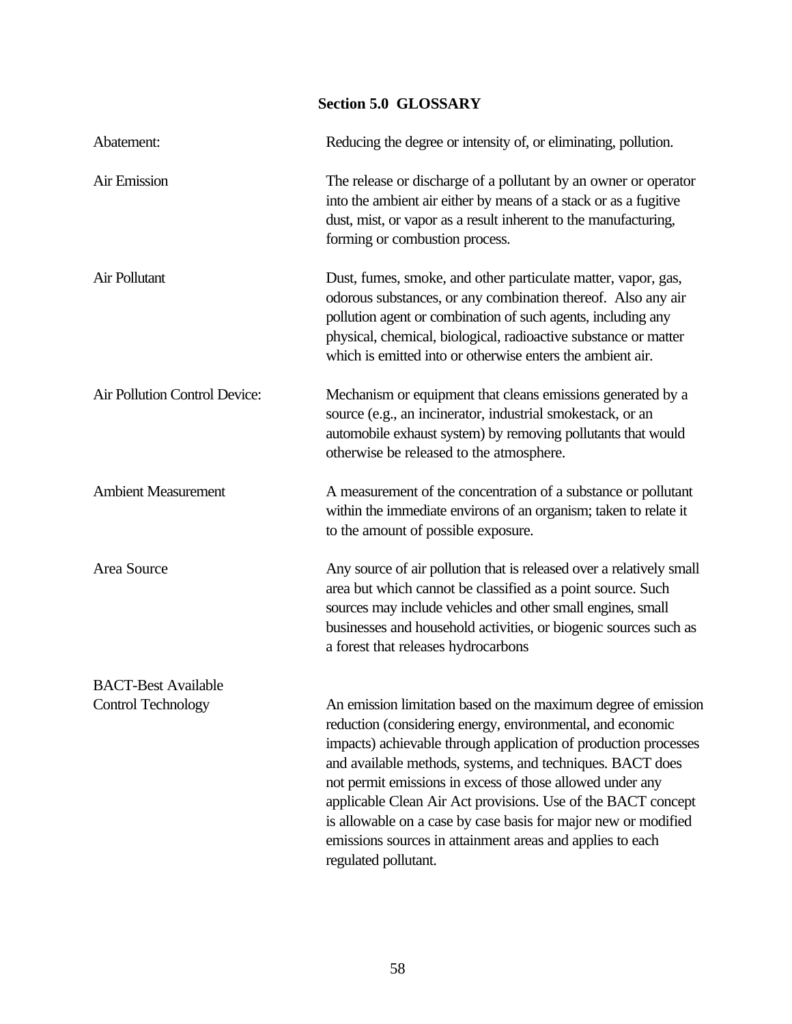# **Section 5.0 GLOSSARY** Abatement:<br>
Reducing the degree or intensity of, or eliminating, pollution. Air Emission The release or discharge of a pollutant by an owner or operator into the ambient air either by means of a stack or as a fugitive dust, mist, or vapor as a result inherent to the manufacturing, forming or combustion process. Air Pollutant Dust, fumes, smoke, and other particulate matter, vapor, gas, odorous substances, or any combination thereof. Also any air pollution agent or combination of such agents, including any physical, chemical, biological, radioactive substance or matter which is emitted into or otherwise enters the ambient air. Air Pollution Control Device: Mechanism or equipment that cleans emissions generated by a source (e.g., an incinerator, industrial smokestack, or an automobile exhaust system) by removing pollutants that would otherwise be released to the atmosphere. Ambient Measurement A measurement of the concentration of a substance or pollutant within the immediate environs of an organism; taken to relate it to the amount of possible exposure. Area Source Any source of air pollution that is released over a relatively small area but which cannot be classified as a point source. Such sources may include vehicles and other small engines, small businesses and household activities, or biogenic sources such as a forest that releases hydrocarbons BACT-Best Available Control Technology An emission limitation based on the maximum degree of emission reduction (considering energy, environmental, and economic impacts) achievable through application of production processes and available methods, systems, and techniques. BACT does not permit emissions in excess of those allowed under any applicable Clean Air Act provisions. Use of the BACT concept is allowable on a case by case basis for major new or modified emissions sources in attainment areas and applies to each regulated pollutant.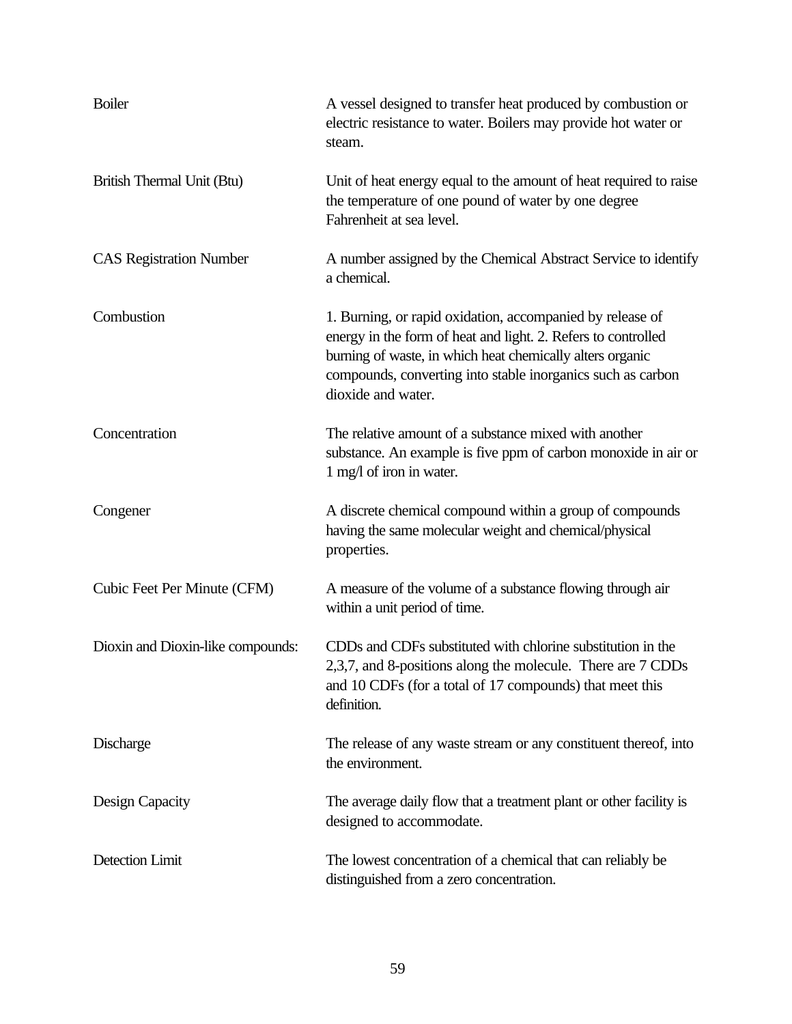| <b>Boiler</b>                     | A vessel designed to transfer heat produced by combustion or<br>electric resistance to water. Boilers may provide hot water or<br>steam.                                                                                                                                     |
|-----------------------------------|------------------------------------------------------------------------------------------------------------------------------------------------------------------------------------------------------------------------------------------------------------------------------|
| British Thermal Unit (Btu)        | Unit of heat energy equal to the amount of heat required to raise<br>the temperature of one pound of water by one degree<br>Fahrenheit at sea level.                                                                                                                         |
| <b>CAS Registration Number</b>    | A number assigned by the Chemical Abstract Service to identify<br>a chemical.                                                                                                                                                                                                |
| Combustion                        | 1. Burning, or rapid oxidation, accompanied by release of<br>energy in the form of heat and light. 2. Refers to controlled<br>burning of waste, in which heat chemically alters organic<br>compounds, converting into stable inorganics such as carbon<br>dioxide and water. |
| Concentration                     | The relative amount of a substance mixed with another<br>substance. An example is five ppm of carbon monoxide in air or<br>1 mg/l of iron in water.                                                                                                                          |
| Congener                          | A discrete chemical compound within a group of compounds<br>having the same molecular weight and chemical/physical<br>properties.                                                                                                                                            |
| Cubic Feet Per Minute (CFM)       | A measure of the volume of a substance flowing through air<br>within a unit period of time.                                                                                                                                                                                  |
| Dioxin and Dioxin-like compounds: | CDDs and CDFs substituted with chlorine substitution in the<br>2,3,7, and 8-positions along the molecule. There are 7 CDDs<br>and 10 CDFs (for a total of 17 compounds) that meet this<br>definition.                                                                        |
| Discharge                         | The release of any waste stream or any constituent thereof, into<br>the environment.                                                                                                                                                                                         |
| Design Capacity                   | The average daily flow that a treatment plant or other facility is<br>designed to accommodate.                                                                                                                                                                               |
| Detection Limit                   | The lowest concentration of a chemical that can reliably be<br>distinguished from a zero concentration.                                                                                                                                                                      |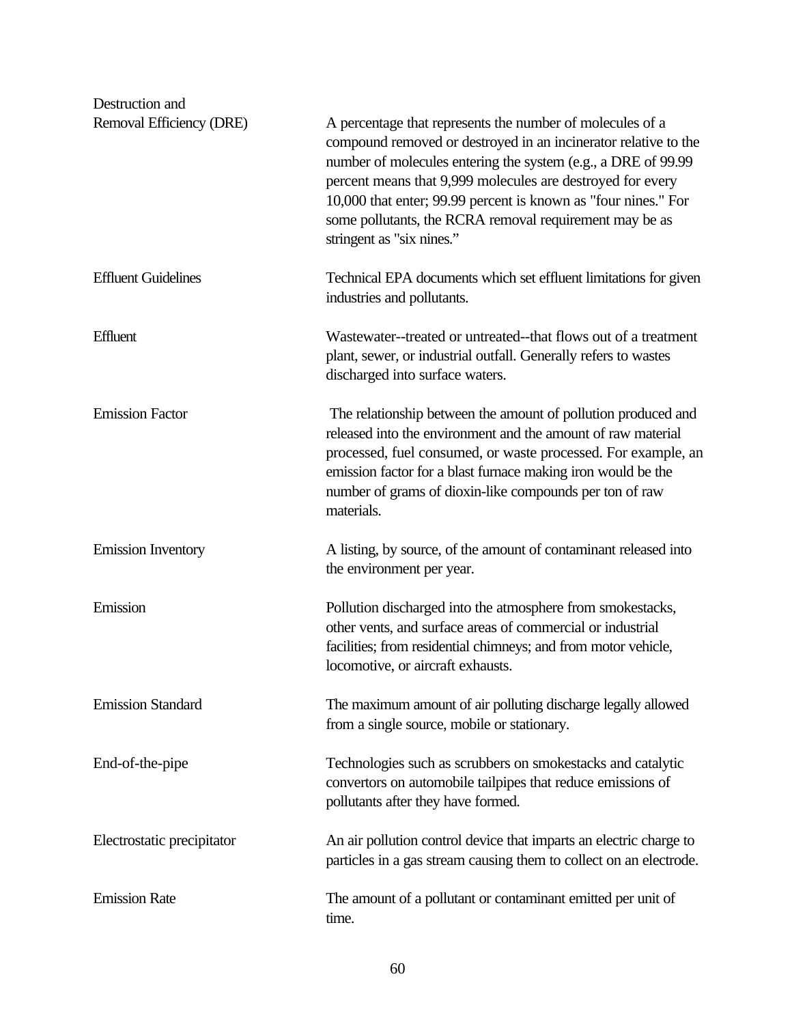| Destruction and            |                                                                                                                                                                                                                                                                                                                                                                                                                       |
|----------------------------|-----------------------------------------------------------------------------------------------------------------------------------------------------------------------------------------------------------------------------------------------------------------------------------------------------------------------------------------------------------------------------------------------------------------------|
| Removal Efficiency (DRE)   | A percentage that represents the number of molecules of a<br>compound removed or destroyed in an incinerator relative to the<br>number of molecules entering the system (e.g., a DRE of 99.99<br>percent means that 9,999 molecules are destroyed for every<br>10,000 that enter; 99.99 percent is known as "four nines." For<br>some pollutants, the RCRA removal requirement may be as<br>stringent as "six nines." |
| <b>Effluent Guidelines</b> | Technical EPA documents which set effluent limitations for given<br>industries and pollutants.                                                                                                                                                                                                                                                                                                                        |
| Effluent                   | Wastewater--treated or untreated--that flows out of a treatment<br>plant, sewer, or industrial outfall. Generally refers to wastes<br>discharged into surface waters.                                                                                                                                                                                                                                                 |
| <b>Emission Factor</b>     | The relationship between the amount of pollution produced and<br>released into the environment and the amount of raw material<br>processed, fuel consumed, or waste processed. For example, an<br>emission factor for a blast furnace making iron would be the<br>number of grams of dioxin-like compounds per ton of raw<br>materials.                                                                               |
| <b>Emission Inventory</b>  | A listing, by source, of the amount of contaminant released into<br>the environment per year.                                                                                                                                                                                                                                                                                                                         |
| Emission                   | Pollution discharged into the atmosphere from smokestacks,<br>other vents, and surface areas of commercial or industrial<br>facilities; from residential chimneys; and from motor vehicle,<br>locomotive, or aircraft exhausts.                                                                                                                                                                                       |
| <b>Emission Standard</b>   | The maximum amount of air polluting discharge legally allowed<br>from a single source, mobile or stationary.                                                                                                                                                                                                                                                                                                          |
| End-of-the-pipe            | Technologies such as scrubbers on smokestacks and catalytic<br>convertors on automobile tailpipes that reduce emissions of<br>pollutants after they have formed.                                                                                                                                                                                                                                                      |
| Electrostatic precipitator | An air pollution control device that imparts an electric charge to<br>particles in a gas stream causing them to collect on an electrode.                                                                                                                                                                                                                                                                              |
| <b>Emission Rate</b>       | The amount of a pollutant or contaminant emitted per unit of<br>time.                                                                                                                                                                                                                                                                                                                                                 |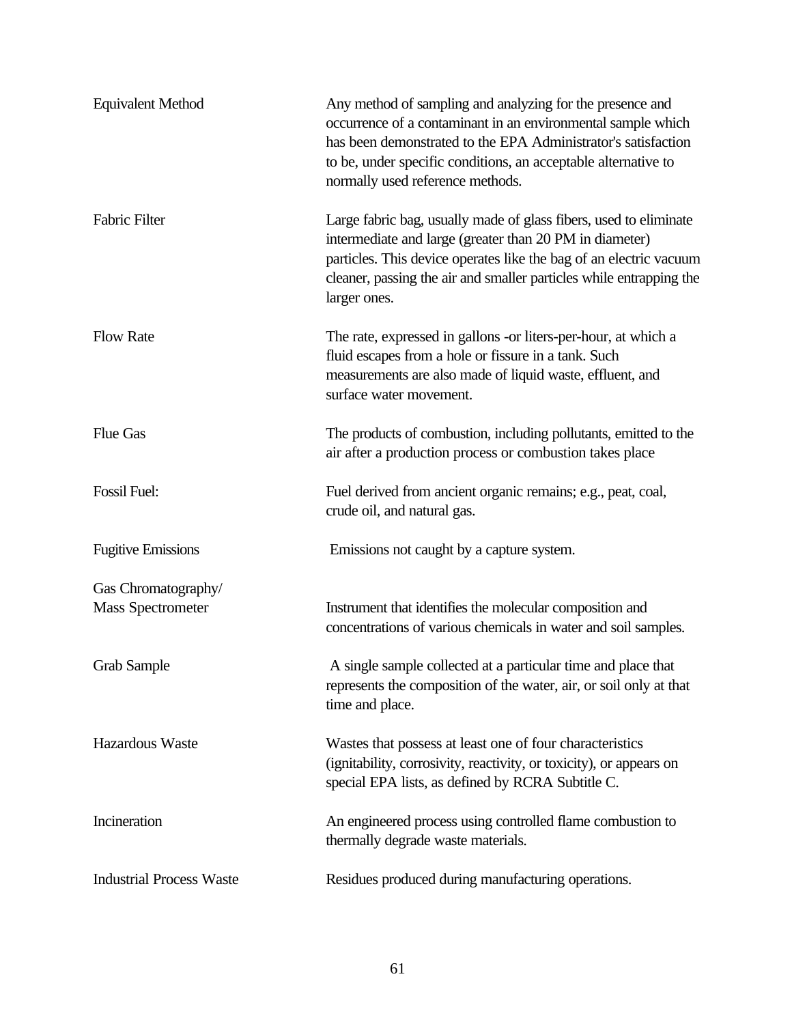| <b>Equivalent Method</b>        | Any method of sampling and analyzing for the presence and<br>occurrence of a contaminant in an environmental sample which<br>has been demonstrated to the EPA Administrator's satisfaction<br>to be, under specific conditions, an acceptable alternative to<br>normally used reference methods. |
|---------------------------------|--------------------------------------------------------------------------------------------------------------------------------------------------------------------------------------------------------------------------------------------------------------------------------------------------|
| Fabric Filter                   | Large fabric bag, usually made of glass fibers, used to eliminate<br>intermediate and large (greater than 20 PM in diameter)<br>particles. This device operates like the bag of an electric vacuum<br>cleaner, passing the air and smaller particles while entrapping the<br>larger ones.        |
| <b>Flow Rate</b>                | The rate, expressed in gallons -or liters-per-hour, at which a<br>fluid escapes from a hole or fissure in a tank. Such<br>measurements are also made of liquid waste, effluent, and<br>surface water movement.                                                                                   |
| <b>Flue Gas</b>                 | The products of combustion, including pollutants, emitted to the<br>air after a production process or combustion takes place                                                                                                                                                                     |
| Fossil Fuel:                    | Fuel derived from ancient organic remains; e.g., peat, coal,<br>crude oil, and natural gas.                                                                                                                                                                                                      |
| <b>Fugitive Emissions</b>       | Emissions not caught by a capture system.                                                                                                                                                                                                                                                        |
| Gas Chromatography/             |                                                                                                                                                                                                                                                                                                  |
| <b>Mass Spectrometer</b>        | Instrument that identifies the molecular composition and<br>concentrations of various chemicals in water and soil samples.                                                                                                                                                                       |
| <b>Grab Sample</b>              | A single sample collected at a particular time and place that<br>represents the composition of the water, air, or soil only at that<br>time and place.                                                                                                                                           |
| Hazardous Waste                 | Wastes that possess at least one of four characteristics<br>(ignitability, corrosivity, reactivity, or toxicity), or appears on<br>special EPA lists, as defined by RCRA Subtitle C.                                                                                                             |
| Incineration                    | An engineered process using controlled flame combustion to<br>thermally degrade waste materials.                                                                                                                                                                                                 |
| <b>Industrial Process Waste</b> | Residues produced during manufacturing operations.                                                                                                                                                                                                                                               |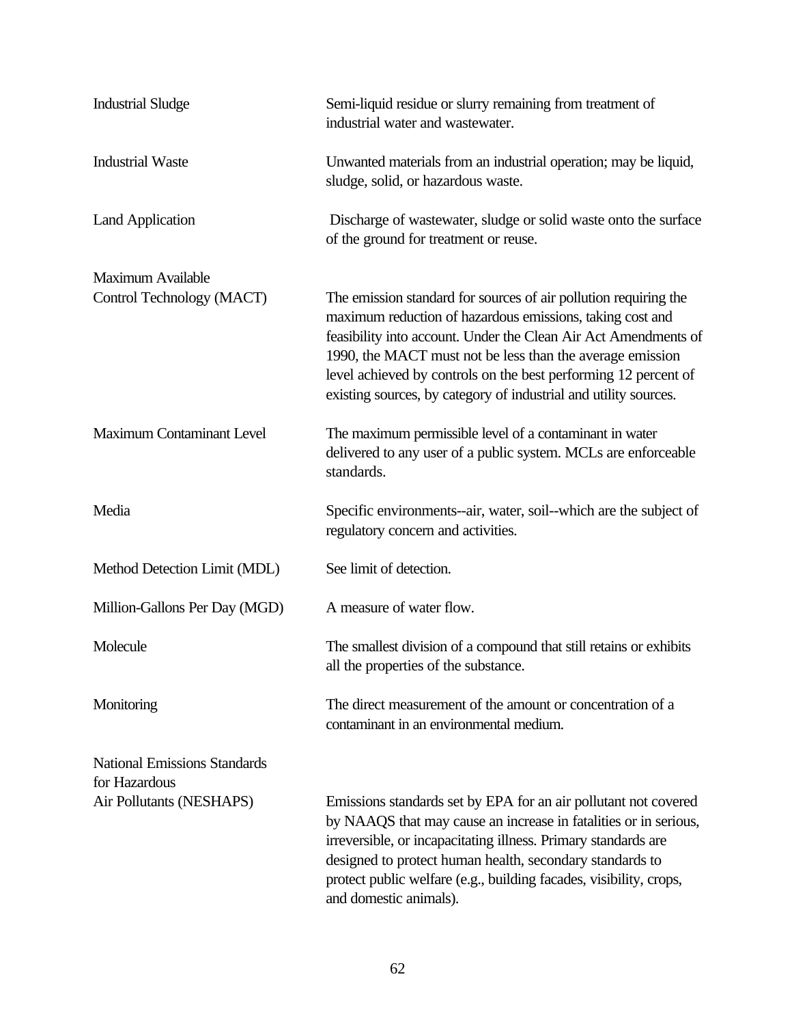| <b>Industrial Sludge</b>                              | Semi-liquid residue or slurry remaining from treatment of<br>industrial water and wastewater.                                                                                                                                                                                                                                                                                                        |
|-------------------------------------------------------|------------------------------------------------------------------------------------------------------------------------------------------------------------------------------------------------------------------------------------------------------------------------------------------------------------------------------------------------------------------------------------------------------|
| <b>Industrial Waste</b>                               | Unwanted materials from an industrial operation; may be liquid,<br>sludge, solid, or hazardous waste.                                                                                                                                                                                                                                                                                                |
| <b>Land Application</b>                               | Discharge of wastewater, sludge or solid waste onto the surface<br>of the ground for treatment or reuse.                                                                                                                                                                                                                                                                                             |
| <b>Maximum Available</b><br>Control Technology (MACT) | The emission standard for sources of air pollution requiring the<br>maximum reduction of hazardous emissions, taking cost and<br>feasibility into account. Under the Clean Air Act Amendments of<br>1990, the MACT must not be less than the average emission<br>level achieved by controls on the best performing 12 percent of<br>existing sources, by category of industrial and utility sources. |
| <b>Maximum Contaminant Level</b>                      | The maximum permissible level of a contaminant in water<br>delivered to any user of a public system. MCLs are enforceable<br>standards.                                                                                                                                                                                                                                                              |
| Media                                                 | Specific environments--air, water, soil--which are the subject of<br>regulatory concern and activities.                                                                                                                                                                                                                                                                                              |
| Method Detection Limit (MDL)                          | See limit of detection.                                                                                                                                                                                                                                                                                                                                                                              |
| Million-Gallons Per Day (MGD)                         | A measure of water flow.                                                                                                                                                                                                                                                                                                                                                                             |
| Molecule                                              | The smallest division of a compound that still retains or exhibits<br>all the properties of the substance.                                                                                                                                                                                                                                                                                           |
| Monitoring                                            | The direct measurement of the amount or concentration of a<br>contaminant in an environmental medium.                                                                                                                                                                                                                                                                                                |
| <b>National Emissions Standards</b><br>for Hazardous  |                                                                                                                                                                                                                                                                                                                                                                                                      |
| Air Pollutants (NESHAPS)                              | Emissions standards set by EPA for an air pollutant not covered<br>by NAAQS that may cause an increase in fatalities or in serious,<br>irreversible, or incapacitating illness. Primary standards are<br>designed to protect human health, secondary standards to<br>protect public welfare (e.g., building facades, visibility, crops,<br>and domestic animals).                                    |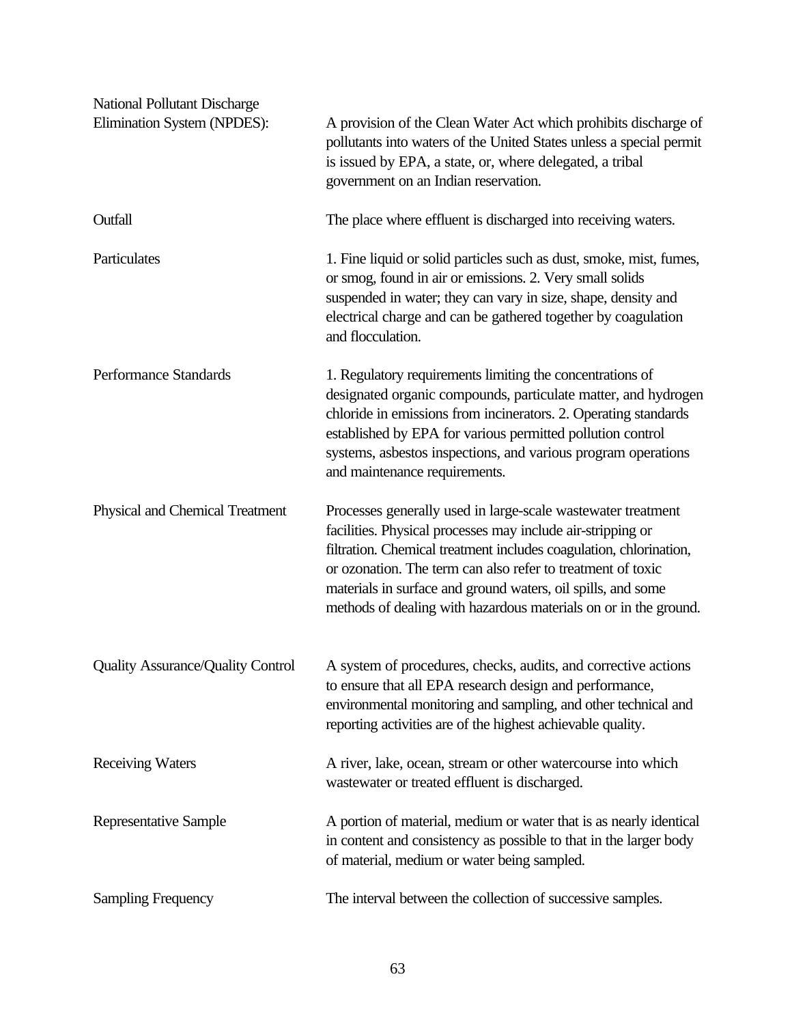| <b>National Pollutant Discharge</b>      |                                                                                                                                                                                                                                                                                                                                                                                                      |
|------------------------------------------|------------------------------------------------------------------------------------------------------------------------------------------------------------------------------------------------------------------------------------------------------------------------------------------------------------------------------------------------------------------------------------------------------|
| Elimination System (NPDES):              | A provision of the Clean Water Act which prohibits discharge of<br>pollutants into waters of the United States unless a special permit<br>is issued by EPA, a state, or, where delegated, a tribal<br>government on an Indian reservation.                                                                                                                                                           |
| Outfall                                  | The place where effluent is discharged into receiving waters.                                                                                                                                                                                                                                                                                                                                        |
| Particulates                             | 1. Fine liquid or solid particles such as dust, smoke, mist, fumes,<br>or smog, found in air or emissions. 2. Very small solids<br>suspended in water; they can vary in size, shape, density and<br>electrical charge and can be gathered together by coagulation<br>and flocculation.                                                                                                               |
| Performance Standards                    | 1. Regulatory requirements limiting the concentrations of<br>designated organic compounds, particulate matter, and hydrogen<br>chloride in emissions from incinerators. 2. Operating standards<br>established by EPA for various permitted pollution control<br>systems, asbestos inspections, and various program operations<br>and maintenance requirements.                                       |
| Physical and Chemical Treatment          | Processes generally used in large-scale wastewater treatment<br>facilities. Physical processes may include air-stripping or<br>filtration. Chemical treatment includes coagulation, chlorination,<br>or ozonation. The term can also refer to treatment of toxic<br>materials in surface and ground waters, oil spills, and some<br>methods of dealing with hazardous materials on or in the ground. |
| <b>Quality Assurance/Quality Control</b> | A system of procedures, checks, audits, and corrective actions<br>to ensure that all EPA research design and performance,<br>environmental monitoring and sampling, and other technical and<br>reporting activities are of the highest achievable quality.                                                                                                                                           |
| <b>Receiving Waters</b>                  | A river, lake, ocean, stream or other watercourse into which<br>wastewater or treated effluent is discharged.                                                                                                                                                                                                                                                                                        |
| Representative Sample                    | A portion of material, medium or water that is as nearly identical<br>in content and consistency as possible to that in the larger body<br>of material, medium or water being sampled.                                                                                                                                                                                                               |
| <b>Sampling Frequency</b>                | The interval between the collection of successive samples.                                                                                                                                                                                                                                                                                                                                           |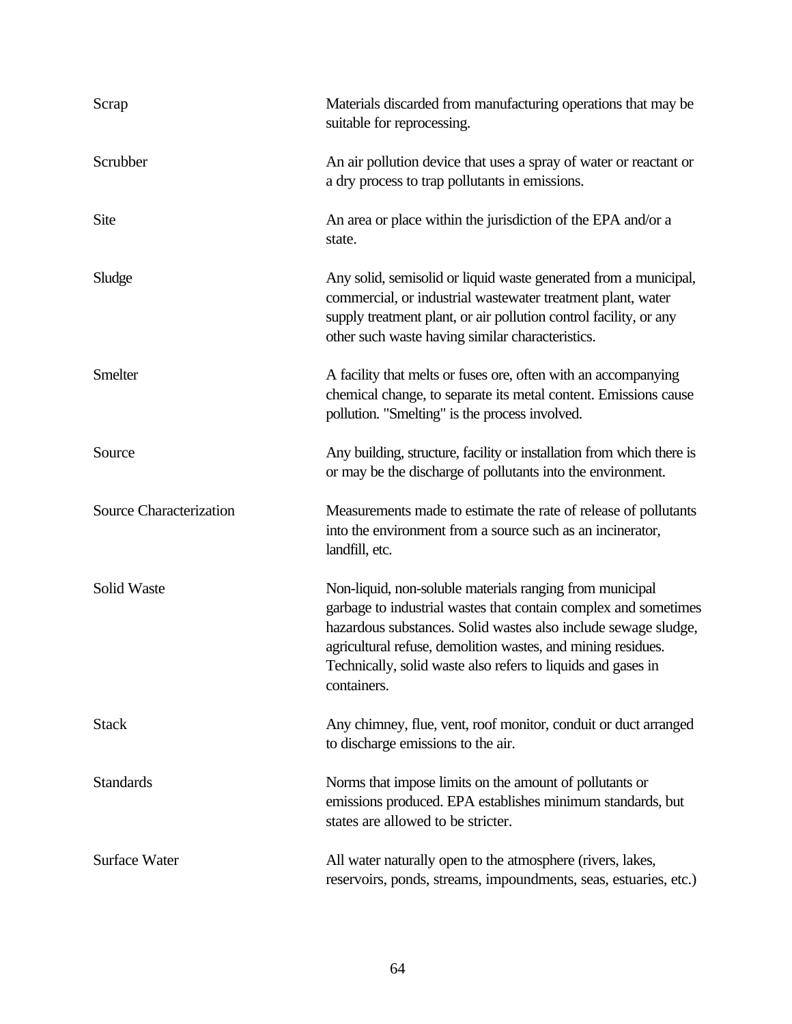| Scrap                          | Materials discarded from manufacturing operations that may be<br>suitable for reprocessing.                                                                                                                                                                                                                                                  |
|--------------------------------|----------------------------------------------------------------------------------------------------------------------------------------------------------------------------------------------------------------------------------------------------------------------------------------------------------------------------------------------|
| Scrubber                       | An air pollution device that uses a spray of water or reactant or<br>a dry process to trap pollutants in emissions.                                                                                                                                                                                                                          |
| Site                           | An area or place within the jurisdiction of the EPA and/or a<br>state.                                                                                                                                                                                                                                                                       |
| Sludge                         | Any solid, semisolid or liquid waste generated from a municipal,<br>commercial, or industrial wastewater treatment plant, water<br>supply treatment plant, or air pollution control facility, or any<br>other such waste having similar characteristics.                                                                                     |
| Smelter                        | A facility that melts or fuses ore, often with an accompanying<br>chemical change, to separate its metal content. Emissions cause<br>pollution. "Smelting" is the process involved.                                                                                                                                                          |
| Source                         | Any building, structure, facility or installation from which there is<br>or may be the discharge of pollutants into the environment.                                                                                                                                                                                                         |
| <b>Source Characterization</b> | Measurements made to estimate the rate of release of pollutants<br>into the environment from a source such as an incinerator,<br>landfill, etc.                                                                                                                                                                                              |
| Solid Waste                    | Non-liquid, non-soluble materials ranging from municipal<br>garbage to industrial wastes that contain complex and sometimes<br>hazardous substances. Solid wastes also include sewage sludge,<br>agricultural refuse, demolition wastes, and mining residues.<br>Technically, solid waste also refers to liquids and gases in<br>containers. |
| <b>Stack</b>                   | Any chimney, flue, vent, roof monitor, conduit or duct arranged<br>to discharge emissions to the air.                                                                                                                                                                                                                                        |
| <b>Standards</b>               | Norms that impose limits on the amount of pollutants or<br>emissions produced. EPA establishes minimum standards, but<br>states are allowed to be stricter.                                                                                                                                                                                  |
| <b>Surface Water</b>           | All water naturally open to the atmosphere (rivers, lakes,<br>reservoirs, ponds, streams, impoundments, seas, estuaries, etc.)                                                                                                                                                                                                               |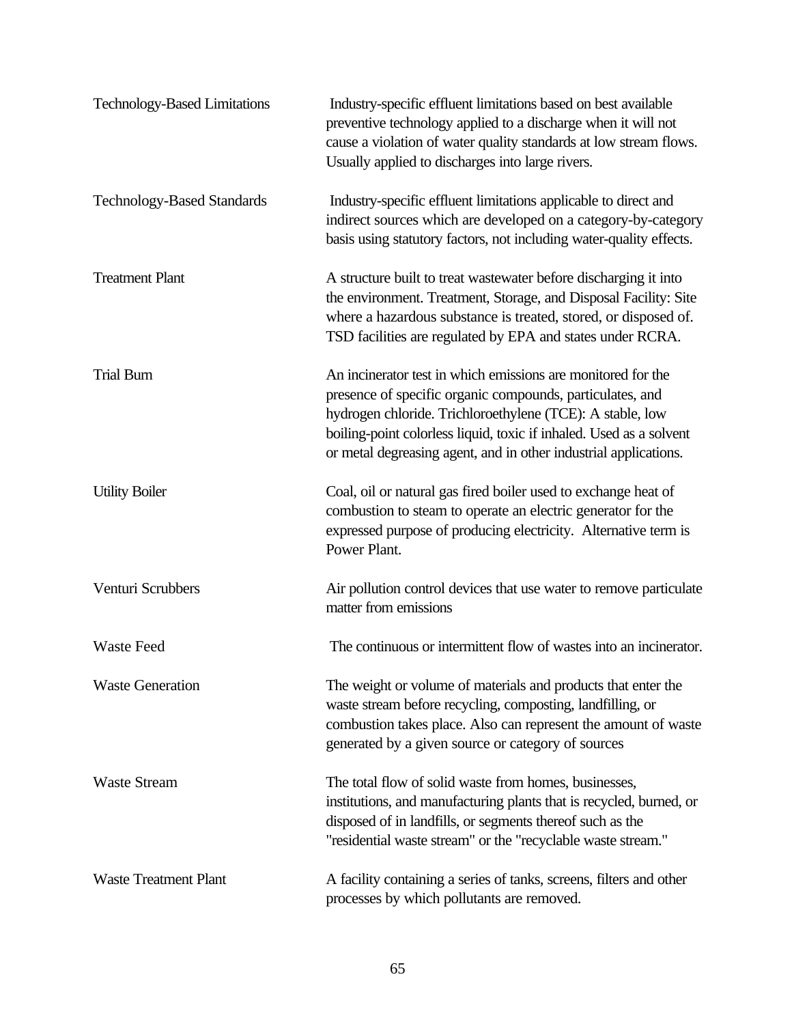| <b>Technology-Based Limitations</b> | Industry-specific effluent limitations based on best available<br>preventive technology applied to a discharge when it will not<br>cause a violation of water quality standards at low stream flows.<br>Usually applied to discharges into large rivers.                                                                          |
|-------------------------------------|-----------------------------------------------------------------------------------------------------------------------------------------------------------------------------------------------------------------------------------------------------------------------------------------------------------------------------------|
| <b>Technology-Based Standards</b>   | Industry-specific effluent limitations applicable to direct and<br>indirect sources which are developed on a category-by-category<br>basis using statutory factors, not including water-quality effects.                                                                                                                          |
| <b>Treatment Plant</b>              | A structure built to treat was tewater before discharging it into<br>the environment. Treatment, Storage, and Disposal Facility: Site<br>where a hazardous substance is treated, stored, or disposed of.<br>TSD facilities are regulated by EPA and states under RCRA.                                                            |
| <b>Trial Burn</b>                   | An incinerator test in which emissions are monitored for the<br>presence of specific organic compounds, particulates, and<br>hydrogen chloride. Trichloroethylene (TCE): A stable, low<br>boiling-point colorless liquid, toxic if inhaled. Used as a solvent<br>or metal degreasing agent, and in other industrial applications. |
| <b>Utility Boiler</b>               | Coal, oil or natural gas fired boiler used to exchange heat of<br>combustion to steam to operate an electric generator for the<br>expressed purpose of producing electricity. Alternative term is<br>Power Plant.                                                                                                                 |
| Venturi Scrubbers                   | Air pollution control devices that use water to remove particulate<br>matter from emissions                                                                                                                                                                                                                                       |
| <b>Waste Feed</b>                   | The continuous or intermittent flow of wastes into an incinerator.                                                                                                                                                                                                                                                                |
| <b>Waste Generation</b>             | The weight or volume of materials and products that enter the<br>waste stream before recycling, composting, landfilling, or<br>combustion takes place. Also can represent the amount of waste<br>generated by a given source or category of sources                                                                               |
| <b>Waste Stream</b>                 | The total flow of solid waste from homes, businesses,<br>institutions, and manufacturing plants that is recycled, burned, or<br>disposed of in landfills, or segments thereof such as the<br>"residential waste stream" or the "recyclable waste stream."                                                                         |
| <b>Waste Treatment Plant</b>        | A facility containing a series of tanks, screens, filters and other<br>processes by which pollutants are removed.                                                                                                                                                                                                                 |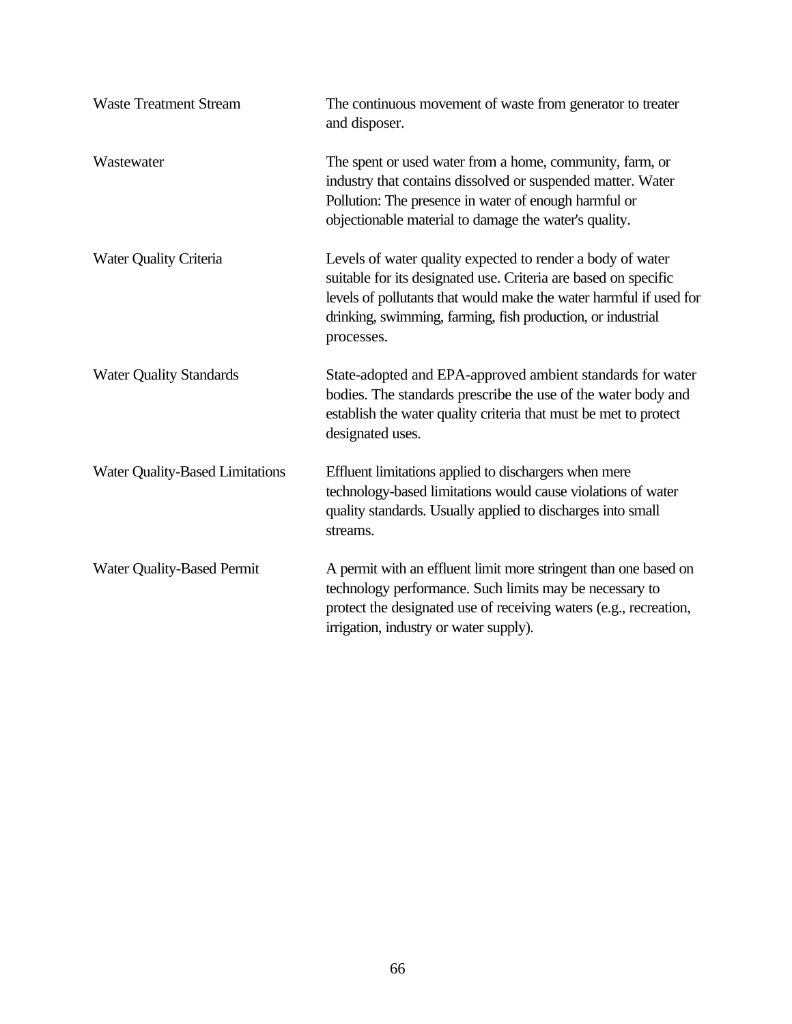| <b>Waste Treatment Stream</b>     | The continuous movement of waste from generator to treater<br>and disposer.                                                                                                                                                                                                      |
|-----------------------------------|----------------------------------------------------------------------------------------------------------------------------------------------------------------------------------------------------------------------------------------------------------------------------------|
| Wastewater                        | The spent or used water from a home, community, farm, or<br>industry that contains dissolved or suspended matter. Water<br>Pollution: The presence in water of enough harmful or<br>objectionable material to damage the water's quality.                                        |
| <b>Water Quality Criteria</b>     | Levels of water quality expected to render a body of water<br>suitable for its designated use. Criteria are based on specific<br>levels of pollutants that would make the water harmful if used for<br>drinking, swimming, farming, fish production, or industrial<br>processes. |
| <b>Water Quality Standards</b>    | State-adopted and EPA-approved ambient standards for water<br>bodies. The standards prescribe the use of the water body and<br>establish the water quality criteria that must be met to protect<br>designated uses.                                                              |
| Water Quality-Based Limitations   | Effluent limitations applied to dischargers when mere<br>technology-based limitations would cause violations of water<br>quality standards. Usually applied to discharges into small<br>streams.                                                                                 |
| <b>Water Quality-Based Permit</b> | A permit with an effluent limit more stringent than one based on<br>technology performance. Such limits may be necessary to<br>protect the designated use of receiving waters (e.g., recreation,<br>irrigation, industry or water supply).                                       |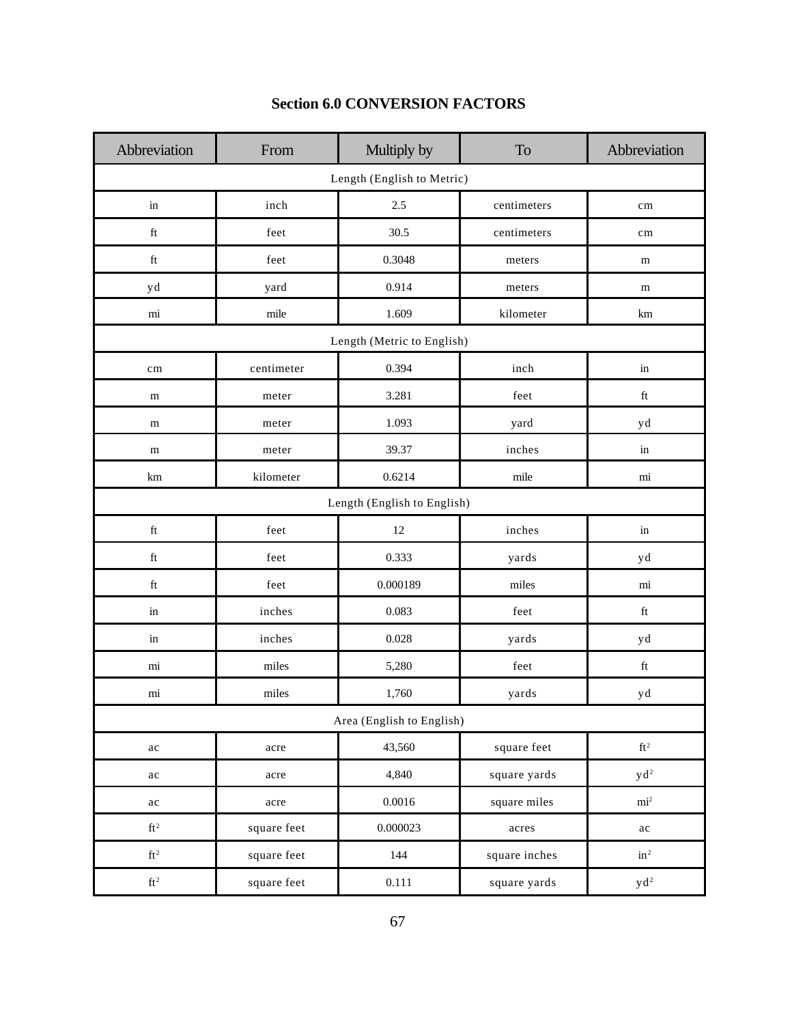| Abbreviation               | From        | Multiply by                 | <b>To</b>     | Abbreviation        |  |  |  |
|----------------------------|-------------|-----------------------------|---------------|---------------------|--|--|--|
| Length (English to Metric) |             |                             |               |                     |  |  |  |
| $\operatorname{in}$        | inch        | 2.5                         | centimeters   | $\rm cm$            |  |  |  |
| $\operatorname{ft}$        | feet        | 30.5                        | centimeters   | cm                  |  |  |  |
| $\operatorname{ft}$        | feet        | 0.3048                      | meters        | m                   |  |  |  |
| yd                         | yard        | 0.914                       | meters        | m                   |  |  |  |
| mi                         | mile        | 1.609                       | kilometer     | km                  |  |  |  |
|                            |             | Length (Metric to English)  |               |                     |  |  |  |
| cm                         | centimeter  | 0.394                       | inch          | in                  |  |  |  |
| m                          | meter       | 3.281                       | feet          | $\operatorname{ft}$ |  |  |  |
| m                          | meter       | 1.093                       | yard          | yd                  |  |  |  |
| m                          | meter       | 39.37                       | inches        | in                  |  |  |  |
| km                         | kilometer   | 0.6214                      | mile          | mi                  |  |  |  |
|                            |             | Length (English to English) |               |                     |  |  |  |
| $\operatorname{ft}$        | feet        | $12\,$                      | inches        | in                  |  |  |  |
| $\operatorname{ft}$        | feet        | 0.333                       | yards         | yd                  |  |  |  |
| $\operatorname{ft}$        | feet        | 0.000189                    | miles         | mi                  |  |  |  |
| in                         | inches      | 0.083                       | feet          | $\operatorname{ft}$ |  |  |  |
| in                         | inches      | 0.028                       | yards         | yd                  |  |  |  |
| mi                         | miles       | 5,280                       | feet          | $\operatorname{ft}$ |  |  |  |
| mi                         | miles       | 1,760                       | yards         | yd                  |  |  |  |
|                            |             | Area (English to English)   |               |                     |  |  |  |
| $\rm ac$                   | acre        | 43,560                      | square feet   | $\rm ft^2$          |  |  |  |
| $\rm ac$                   | acre        | 4,840                       | square yards  | $y d^2$             |  |  |  |
| $\rm ac$                   | acre        | $0.0016\,$                  | square miles  | $\mathrm{mi}^2$     |  |  |  |
| $\rm ft^2$                 | square feet | 0.000023                    | acres         | $\rm ac$            |  |  |  |
| $\mathrm{ft}^2$            | square feet | 144                         | square inches | $\mathrm{in}^2$     |  |  |  |
| $\rm ft^2$                 | square feet | 0.111                       | square yards  | $y d^2$             |  |  |  |

# **Section 6.0 CONVERSION FACTORS**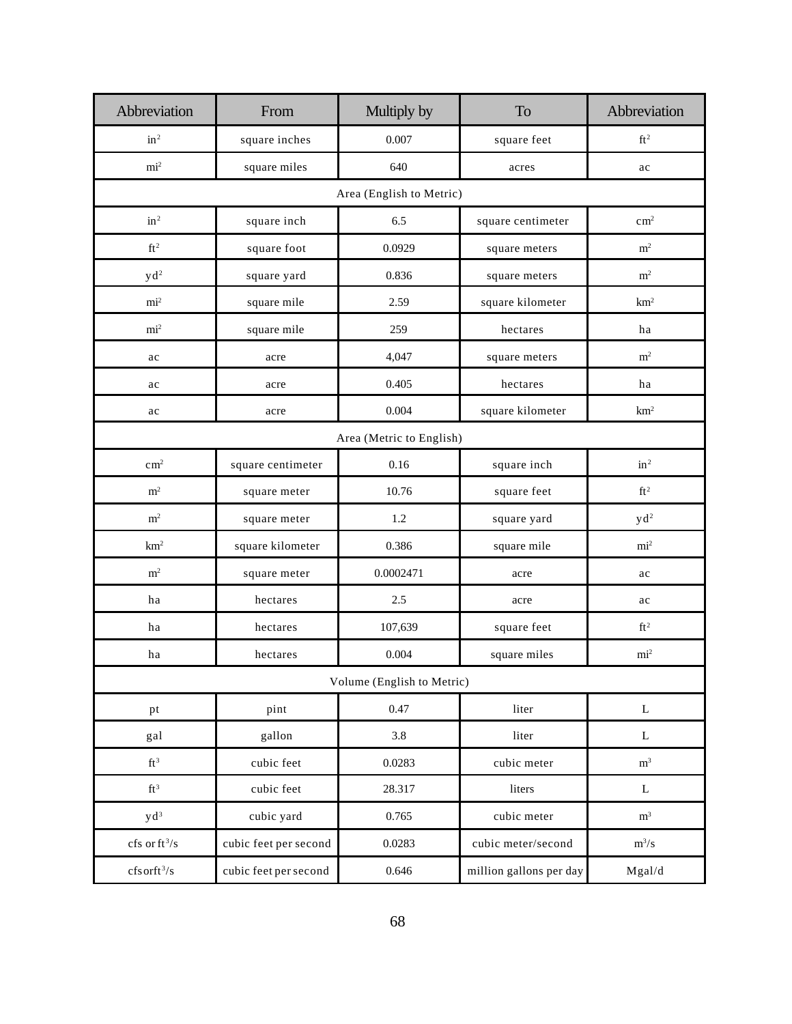| Abbreviation                                 | From                  | Multiply by                | To                      | Abbreviation              |
|----------------------------------------------|-----------------------|----------------------------|-------------------------|---------------------------|
| in <sup>2</sup>                              | square inches         | 0.007                      | square feet             | $\mathrm{ft}^2$           |
| $\mathrm{mi}^2$                              | square miles          | 640                        | acres                   | ac                        |
|                                              |                       | Area (English to Metric)   |                         |                           |
| in <sup>2</sup>                              | square inch           | 6.5                        | square centimeter       | $\text{cm}^2$             |
| $\rm ft^2$                                   | square foot           | 0.0929                     | square meters           | $\rm m^2$                 |
| y d <sup>2</sup>                             | square yard           | 0.836                      | square meters           | $\rm m^2$                 |
| mi <sup>2</sup>                              | square mile           | 2.59                       | square kilometer        | km <sup>2</sup>           |
| mi <sup>2</sup>                              | square mile           | 259                        | hectares                | ha                        |
| ac                                           | acre                  | 4,047                      | square meters           | m <sup>2</sup>            |
| ac                                           | acre                  | 0.405                      | hectares                | ha                        |
| ac                                           | acre                  | 0.004                      | square kilometer        | km <sup>2</sup>           |
|                                              |                       | Area (Metric to English)   |                         |                           |
| $\text{cm}^2$                                | square centimeter     | 0.16                       | square inch             | in <sup>2</sup>           |
| m <sup>2</sup>                               | square meter          | 10.76                      | square feet             | $\mathrm{ft}^2$           |
| m <sup>2</sup>                               | square meter          | 1.2                        | square yard             | y d <sup>2</sup>          |
| km <sup>2</sup>                              | square kilometer      | 0.386                      | square mile             | mi <sup>2</sup>           |
| $\rm m^2$                                    | square meter          | 0.0002471                  | acre                    | ac                        |
| ha                                           | hectares              | 2.5                        | acre                    | ac                        |
| ha                                           | hectares              | 107,639                    | square feet             | $ft^2$                    |
| ha                                           | hectares              | 0.004                      | square miles            | mi <sup>2</sup>           |
|                                              |                       | Volume (English to Metric) |                         |                           |
| pt                                           | pint                  | 0.47                       | liter                   | L                         |
| gal                                          | gallon                | $3.8\,$                    | liter                   | $\mathbf{L}$              |
| $\mathrm{ft}^3$                              | cubic feet            | 0.0283                     | cubic meter             | $\rm m^3$                 |
| $\mathrm{ft}^3$                              | cubic feet            | 28.317                     | liters                  | $\mathbf L$               |
| $y d^3$                                      | cubic yard            | 0.765                      | cubic meter             | $\rm m^3$                 |
| $\mathrm{cfs}$ or $\mathrm{ft}^3/\mathrm{s}$ | cubic feet per second | 0.0283                     | cubic meter/second      | $\mathrm{m}^3/\mathrm{s}$ |
| $cfs$ orft <sup>3</sup> /s                   | cubic feet per second | 0.646                      | million gallons per day | Mgal/d                    |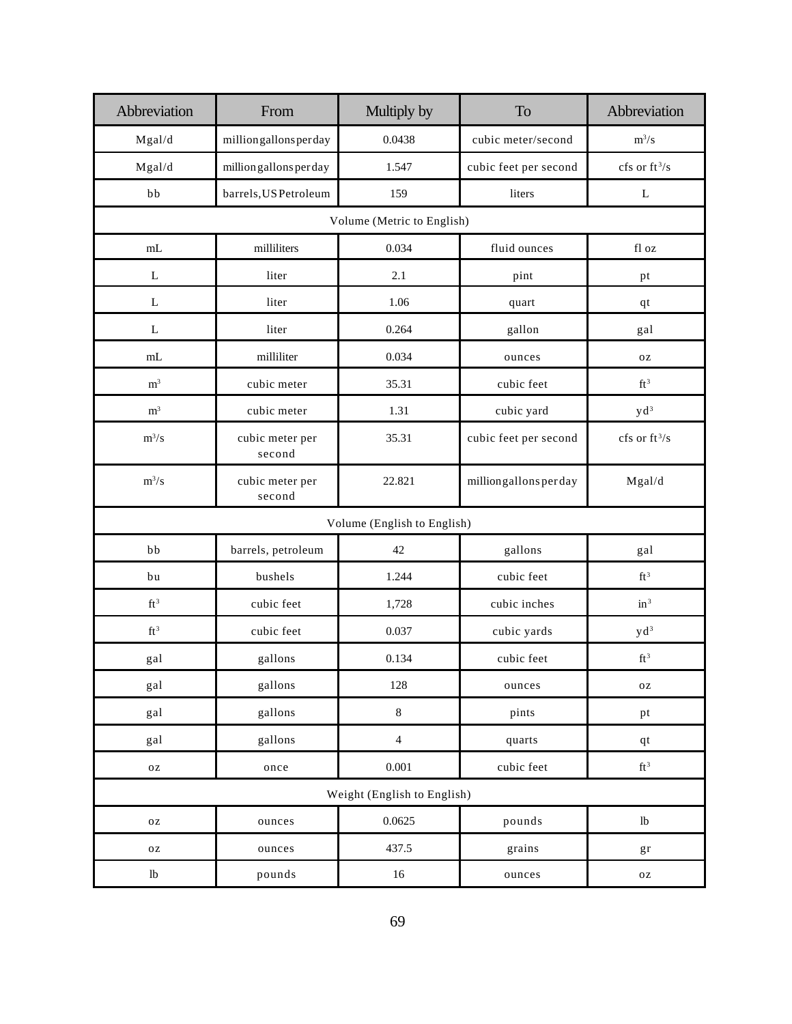| Abbreviation                | From                      | Multiply by    | To                    | Abbreviation     |  |  |
|-----------------------------|---------------------------|----------------|-----------------------|------------------|--|--|
| Mgal/d                      | million gallons per day   | 0.0438         | cubic meter/second    | $m^3/s$          |  |  |
| Mgal/d                      | million gallons per day   | 1.547          | cubic feet per second | cfs or $ft^3/s$  |  |  |
| bb                          | barrels, US Petroleum     | 159            | liters                | L                |  |  |
| Volume (Metric to English)  |                           |                |                       |                  |  |  |
| mL                          | milliliters               | 0.034          | fluid ounces          | fl oz            |  |  |
| ${\bf L}$                   | liter                     | 2.1            | pint                  | pt               |  |  |
| L                           | liter                     | 1.06           | quart                 | qt               |  |  |
| ${\bf L}$                   | liter                     | 0.264          | gallon                | gal              |  |  |
| mL                          | milliliter                | 0.034          | ounces                | $0\,\mathrm{Z}$  |  |  |
| m <sup>3</sup>              | cubic meter               | 35.31          | cubic feet            | $\mathrm{ft}^3$  |  |  |
| $\rm m^3$                   | cubic meter               | 1.31           | cubic yard            | y d <sup>3</sup> |  |  |
| $m^3/s$                     | cubic meter per<br>second | 35.31          | cubic feet per second | cfs or $ft^3/s$  |  |  |
| $m^3/s$                     | cubic meter per<br>second | 22.821         | milliongallonsperday  | Mgal/d           |  |  |
| Volume (English to English) |                           |                |                       |                  |  |  |
| bb                          | barrels, petroleum        | 42             | gallons               | gal              |  |  |
| bu                          | bushels                   | 1.244          | cubic feet            | $\mathrm{ft}^3$  |  |  |
| $\mathrm{ft}^3$             | cubic feet                | 1,728          | cubic inches          | $in^3$           |  |  |
| $\mathrm{ft}^3$             | cubic feet                | 0.037          | cubic yards           | y d <sup>3</sup> |  |  |
| gal                         | gallons                   | 0.134          | cubic feet            | $\mathrm{ft}^3$  |  |  |
| gal                         | gallons                   | 128            | ounces                | $0\,\mathrm{Z}$  |  |  |
| gal                         | gallons                   | $\,8\,$        | pints                 | pt               |  |  |
| gal                         | gallons                   | $\overline{4}$ | quarts                | $q_t$            |  |  |
| $_{\rm OZ}$                 | once                      | $0.001\,$      | cubic feet            | $\mathrm{ft}^3$  |  |  |
| Weight (English to English) |                           |                |                       |                  |  |  |
| $0\,\rm Z$                  | ounces                    | 0.0625         | pounds                | $1\mathrm{b}$    |  |  |
| $0\,\rm Z$                  | ounces                    | 437.5          | grains                | gr               |  |  |
| 1 <sub>b</sub>              | pounds                    | $16\,$         | ounces                | $\mathbf{O}\,Z$  |  |  |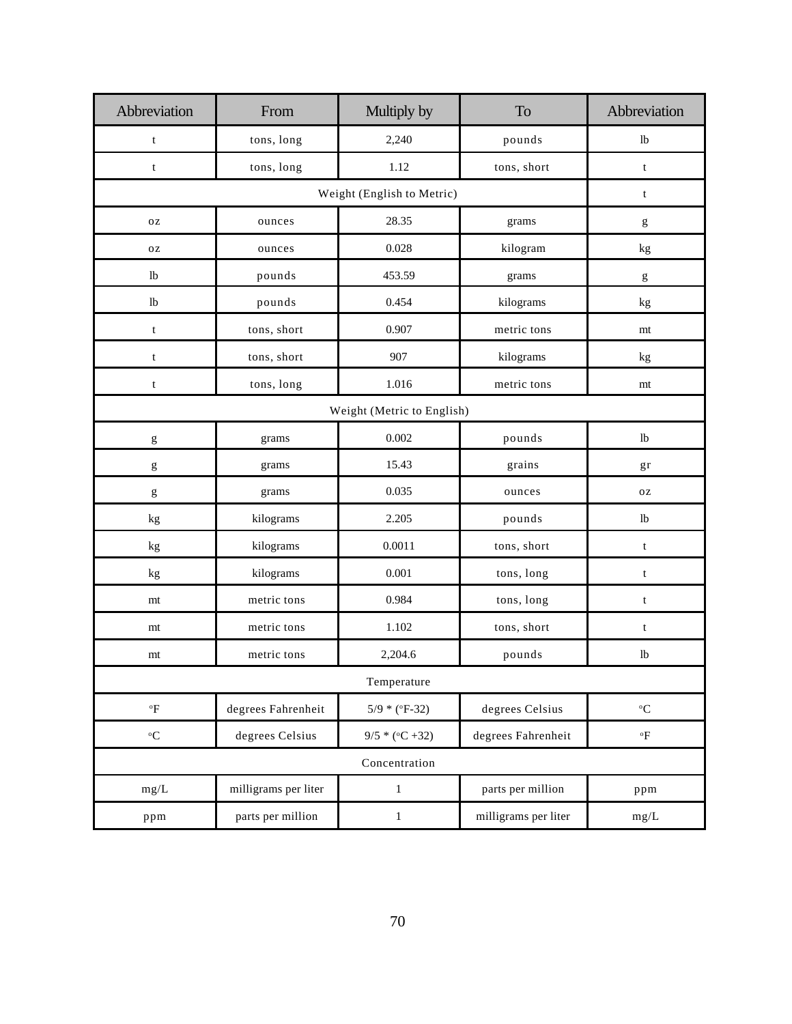| Abbreviation                                                                                                                                                                                                                                                                                                                                                                                                                   | From                 | Multiply by       | To                   | Abbreviation                                                                                                                                                                                                                                                                                                                                                                                                                   |
|--------------------------------------------------------------------------------------------------------------------------------------------------------------------------------------------------------------------------------------------------------------------------------------------------------------------------------------------------------------------------------------------------------------------------------|----------------------|-------------------|----------------------|--------------------------------------------------------------------------------------------------------------------------------------------------------------------------------------------------------------------------------------------------------------------------------------------------------------------------------------------------------------------------------------------------------------------------------|
| $\mathbf t$                                                                                                                                                                                                                                                                                                                                                                                                                    | tons, long           | 2,240             | pounds               | 1 <sub>b</sub>                                                                                                                                                                                                                                                                                                                                                                                                                 |
| $\mathbf t$                                                                                                                                                                                                                                                                                                                                                                                                                    | tons, long           | 1.12              | tons, short          | $\mathbf t$                                                                                                                                                                                                                                                                                                                                                                                                                    |
|                                                                                                                                                                                                                                                                                                                                                                                                                                | $\mathbf t$          |                   |                      |                                                                                                                                                                                                                                                                                                                                                                                                                                |
| <b>OZ</b>                                                                                                                                                                                                                                                                                                                                                                                                                      | ounces               | 28.35             | grams                | g                                                                                                                                                                                                                                                                                                                                                                                                                              |
| $0\,\mathrm{Z}$                                                                                                                                                                                                                                                                                                                                                                                                                | ounces               | 0.028             | kilogram             | kg                                                                                                                                                                                                                                                                                                                                                                                                                             |
| lb                                                                                                                                                                                                                                                                                                                                                                                                                             | pounds               | 453.59            | grams                | $\mathbf{g}% _{T}=\mathbf{g}_{T}=\mathbf{g}_{T}=\mathbf{g}_{T}=\mathbf{g}_{T}=\mathbf{g}_{T}=\mathbf{g}_{T}=\mathbf{g}_{T}=\mathbf{g}_{T}=\mathbf{g}_{T}=\mathbf{g}_{T}=\mathbf{g}_{T}=\mathbf{g}_{T}=\mathbf{g}_{T}=\mathbf{g}_{T}=\mathbf{g}_{T}=\mathbf{g}_{T}=\mathbf{g}_{T}=\mathbf{g}_{T}=\mathbf{g}_{T}=\mathbf{g}_{T}=\mathbf{g}_{T}=\mathbf{g}_{T}=\mathbf{g}_{T}=\mathbf{g}_{T}=\mathbf{g}_{T}=\mathbf{g}_{T}=\math$ |
| lb                                                                                                                                                                                                                                                                                                                                                                                                                             | pounds               | 0.454             | kilograms            | kg                                                                                                                                                                                                                                                                                                                                                                                                                             |
| $\mathbf t$                                                                                                                                                                                                                                                                                                                                                                                                                    | tons, short          | 0.907             | metric tons          | mt                                                                                                                                                                                                                                                                                                                                                                                                                             |
| $\mathbf t$                                                                                                                                                                                                                                                                                                                                                                                                                    | tons, short          | 907               | kilograms            | kg                                                                                                                                                                                                                                                                                                                                                                                                                             |
| $\mathbf t$                                                                                                                                                                                                                                                                                                                                                                                                                    | tons, long           | 1.016             | metric tons          | mt                                                                                                                                                                                                                                                                                                                                                                                                                             |
|                                                                                                                                                                                                                                                                                                                                                                                                                                |                      |                   |                      |                                                                                                                                                                                                                                                                                                                                                                                                                                |
| $\mathbf{g}% _{T}=\mathbf{g}_{T}=\mathbf{g}_{T}=\mathbf{g}_{T}=\mathbf{g}_{T}=\mathbf{g}_{T}=\mathbf{g}_{T}=\mathbf{g}_{T}=\mathbf{g}_{T}=\mathbf{g}_{T}=\mathbf{g}_{T}=\mathbf{g}_{T}=\mathbf{g}_{T}=\mathbf{g}_{T}=\mathbf{g}_{T}=\mathbf{g}_{T}=\mathbf{g}_{T}=\mathbf{g}_{T}=\mathbf{g}_{T}=\mathbf{g}_{T}=\mathbf{g}_{T}=\mathbf{g}_{T}=\mathbf{g}_{T}=\mathbf{g}_{T}=\mathbf{g}_{T}=\mathbf{g}_{T}=\mathbf{g}_{T}=\math$ | grams                | 0.002             | pounds               | lb                                                                                                                                                                                                                                                                                                                                                                                                                             |
| g                                                                                                                                                                                                                                                                                                                                                                                                                              | grams                | 15.43             | grains               | gr                                                                                                                                                                                                                                                                                                                                                                                                                             |
| g                                                                                                                                                                                                                                                                                                                                                                                                                              | grams                | 0.035             | ounces               | <b>OZ</b>                                                                                                                                                                                                                                                                                                                                                                                                                      |
| kg                                                                                                                                                                                                                                                                                                                                                                                                                             | kilograms            | 2.205             | pounds               | 1 <sub>b</sub>                                                                                                                                                                                                                                                                                                                                                                                                                 |
| kg                                                                                                                                                                                                                                                                                                                                                                                                                             | kilograms            | 0.0011            | tons, short          | $\mathbf t$                                                                                                                                                                                                                                                                                                                                                                                                                    |
| kg                                                                                                                                                                                                                                                                                                                                                                                                                             | kilograms            | 0.001             | tons, long           | $\mathbf t$                                                                                                                                                                                                                                                                                                                                                                                                                    |
| mt                                                                                                                                                                                                                                                                                                                                                                                                                             | metric tons          | 0.984             | tons, long           | $\mathbf t$                                                                                                                                                                                                                                                                                                                                                                                                                    |
| mt                                                                                                                                                                                                                                                                                                                                                                                                                             | metric tons          | 1.102             | tons, short          | $\mathbf t$                                                                                                                                                                                                                                                                                                                                                                                                                    |
| mt                                                                                                                                                                                                                                                                                                                                                                                                                             | metric tons          | 2,204.6           | pounds               | 1 <sub>b</sub>                                                                                                                                                                                                                                                                                                                                                                                                                 |
|                                                                                                                                                                                                                                                                                                                                                                                                                                |                      |                   |                      |                                                                                                                                                                                                                                                                                                                                                                                                                                |
| $\mathrm{^oF}$                                                                                                                                                                                                                                                                                                                                                                                                                 | degrees Fahrenheit   | $5/9 * (°F-32)$   | degrees Celsius      | $^{\rm o}{\rm C}$                                                                                                                                                                                                                                                                                                                                                                                                              |
| $\mathrm{^o}\mathrm{C}$                                                                                                                                                                                                                                                                                                                                                                                                        | degrees Celsius      | $9/5 * (°C + 32)$ | degrees Fahrenheit   | $\mathrm{^oF}$                                                                                                                                                                                                                                                                                                                                                                                                                 |
|                                                                                                                                                                                                                                                                                                                                                                                                                                |                      |                   |                      |                                                                                                                                                                                                                                                                                                                                                                                                                                |
| mg/L                                                                                                                                                                                                                                                                                                                                                                                                                           | milligrams per liter | $\mathbf 1$       | parts per million    | ppm                                                                                                                                                                                                                                                                                                                                                                                                                            |
| ppm                                                                                                                                                                                                                                                                                                                                                                                                                            | parts per million    | $\,1$             | milligrams per liter | mg/L                                                                                                                                                                                                                                                                                                                                                                                                                           |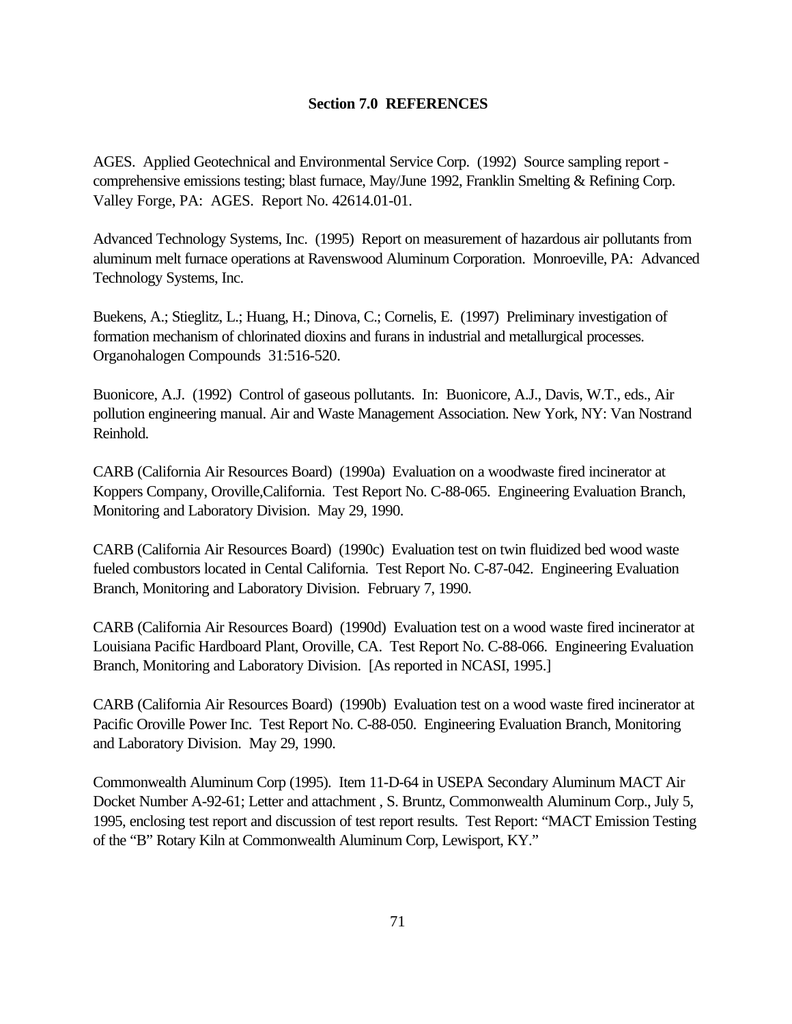## **Section 7.0 REFERENCES**

AGES. Applied Geotechnical and Environmental Service Corp. (1992) Source sampling report comprehensive emissions testing; blast furnace, May/June 1992, Franklin Smelting & Refining Corp. Valley Forge, PA: AGES. Report No. 42614.01-01.

Advanced Technology Systems, Inc. (1995) Report on measurement of hazardous air pollutants from aluminum melt furnace operations at Ravenswood Aluminum Corporation. Monroeville, PA: Advanced Technology Systems, Inc.

Buekens, A.; Stieglitz, L.; Huang, H.; Dinova, C.; Cornelis, E. (1997) Preliminary investigation of formation mechanism of chlorinated dioxins and furans in industrial and metallurgical processes. Organohalogen Compounds 31:516-520.

Buonicore, A.J. (1992) Control of gaseous pollutants. In: Buonicore, A.J., Davis, W.T., eds., Air pollution engineering manual. Air and Waste Management Association. New York, NY: Van Nostrand Reinhold.

CARB (California Air Resources Board) (1990a) Evaluation on a woodwaste fired incinerator at Koppers Company, Oroville,California. Test Report No. C-88-065. Engineering Evaluation Branch, Monitoring and Laboratory Division. May 29, 1990.

CARB (California Air Resources Board) (1990c) Evaluation test on twin fluidized bed wood waste fueled combustors located in Cental California. Test Report No. C-87-042. Engineering Evaluation Branch, Monitoring and Laboratory Division. February 7, 1990.

CARB (California Air Resources Board) (1990d) Evaluation test on a wood waste fired incinerator at Louisiana Pacific Hardboard Plant, Oroville, CA. Test Report No. C-88-066. Engineering Evaluation Branch, Monitoring and Laboratory Division. [As reported in NCASI, 1995.]

CARB (California Air Resources Board) (1990b) Evaluation test on a wood waste fired incinerator at Pacific Oroville Power Inc. Test Report No. C-88-050. Engineering Evaluation Branch, Monitoring and Laboratory Division. May 29, 1990.

Commonwealth Aluminum Corp (1995). Item 11-D-64 in USEPA Secondary Aluminum MACT Air Docket Number A-92-61; Letter and attachment , S. Bruntz, Commonwealth Aluminum Corp., July 5, 1995, enclosing test report and discussion of test report results. Test Report: "MACT Emission Testing of the "B" Rotary Kiln at Commonwealth Aluminum Corp, Lewisport, KY."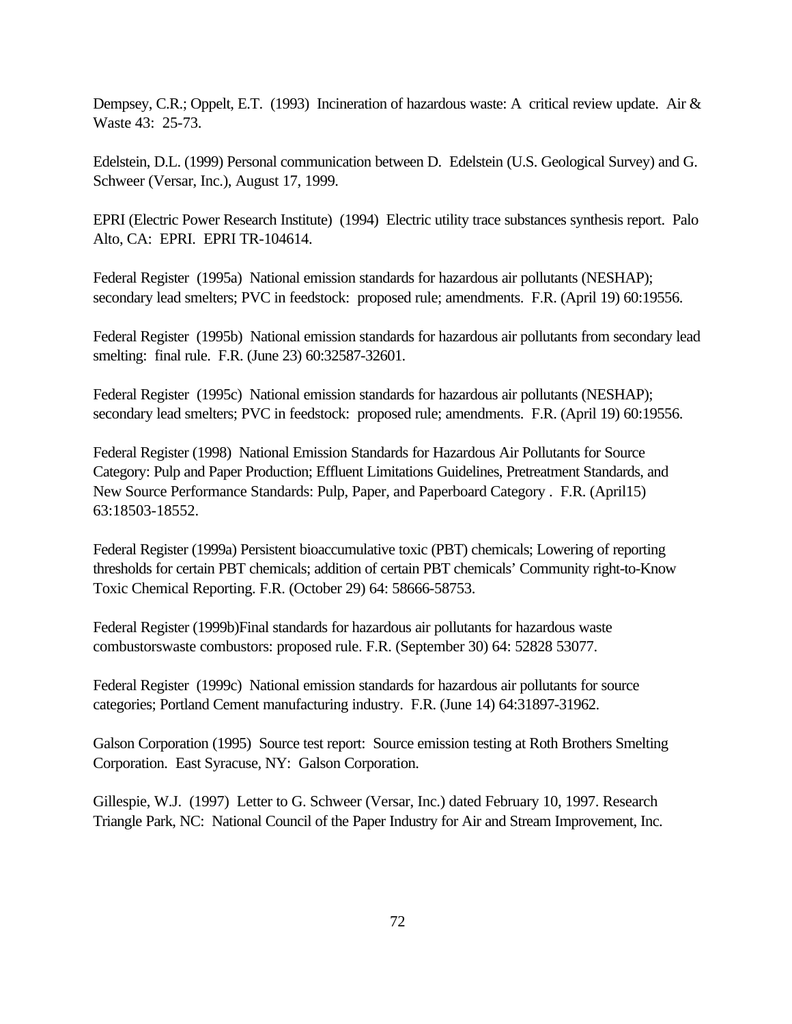Dempsey, C.R.; Oppelt, E.T. (1993) Incineration of hazardous waste: A critical review update. Air & Waste 43: 25-73.

Edelstein, D.L. (1999) Personal communication between D. Edelstein (U.S. Geological Survey) and G. Schweer (Versar, Inc.), August 17, 1999.

EPRI (Electric Power Research Institute) (1994) Electric utility trace substances synthesis report. Palo Alto, CA: EPRI. EPRI TR-104614.

Federal Register (1995a) National emission standards for hazardous air pollutants (NESHAP); secondary lead smelters; PVC in feedstock: proposed rule; amendments. F.R. (April 19) 60:19556.

Federal Register (1995b) National emission standards for hazardous air pollutants from secondary lead smelting: final rule. F.R. (June 23) 60:32587-32601.

Federal Register (1995c) National emission standards for hazardous air pollutants (NESHAP); secondary lead smelters; PVC in feedstock: proposed rule; amendments. F.R. (April 19) 60:19556.

Federal Register (1998) National Emission Standards for Hazardous Air Pollutants for Source Category: Pulp and Paper Production; Effluent Limitations Guidelines, Pretreatment Standards, and New Source Performance Standards: Pulp, Paper, and Paperboard Category . F.R. (April15) 63:18503-18552.

Federal Register (1999a) Persistent bioaccumulative toxic (PBT) chemicals; Lowering of reporting thresholds for certain PBT chemicals; addition of certain PBT chemicals' Community right-to-Know Toxic Chemical Reporting. F.R. (October 29) 64: 58666-58753.

Federal Register (1999b)Final standards for hazardous air pollutants for hazardous waste combustorswaste combustors: proposed rule. F.R. (September 30) 64: 52828 53077.

Federal Register (1999c) National emission standards for hazardous air pollutants for source categories; Portland Cement manufacturing industry. F.R. (June 14) 64:31897-31962.

Galson Corporation (1995) Source test report: Source emission testing at Roth Brothers Smelting Corporation. East Syracuse, NY: Galson Corporation.

Gillespie, W.J. (1997) Letter to G. Schweer (Versar, Inc.) dated February 10, 1997. Research Triangle Park, NC: National Council of the Paper Industry for Air and Stream Improvement, Inc.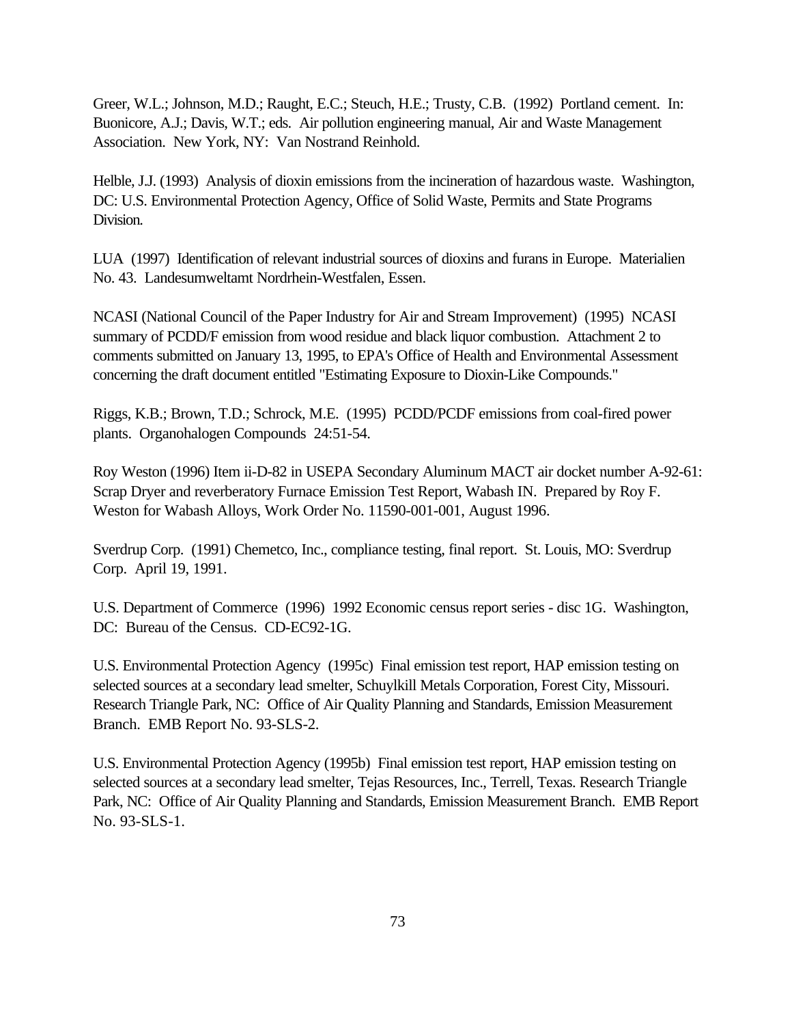Greer, W.L.; Johnson, M.D.; Raught, E.C.; Steuch, H.E.; Trusty, C.B. (1992) Portland cement. In: Buonicore, A.J.; Davis, W.T.; eds. Air pollution engineering manual, Air and Waste Management Association. New York, NY: Van Nostrand Reinhold.

Helble, J.J. (1993) Analysis of dioxin emissions from the incineration of hazardous waste. Washington, DC: U.S. Environmental Protection Agency, Office of Solid Waste, Permits and State Programs Division.

LUA (1997) Identification of relevant industrial sources of dioxins and furans in Europe. Materialien No. 43. Landesumweltamt Nordrhein-Westfalen, Essen.

NCASI (National Council of the Paper Industry for Air and Stream Improvement) (1995) NCASI summary of PCDD/F emission from wood residue and black liquor combustion. Attachment 2 to comments submitted on January 13, 1995, to EPA's Office of Health and Environmental Assessment concerning the draft document entitled "Estimating Exposure to Dioxin-Like Compounds."

Riggs, K.B.; Brown, T.D.; Schrock, M.E. (1995) PCDD/PCDF emissions from coal-fired power plants. Organohalogen Compounds 24:51-54.

Roy Weston (1996) Item ii-D-82 in USEPA Secondary Aluminum MACT air docket number A-92-61: Scrap Dryer and reverberatory Furnace Emission Test Report, Wabash IN. Prepared by Roy F. Weston for Wabash Alloys, Work Order No. 11590-001-001, August 1996.

Sverdrup Corp. (1991) Chemetco, Inc., compliance testing, final report. St. Louis, MO: Sverdrup Corp. April 19, 1991.

U.S. Department of Commerce (1996) 1992 Economic census report series - disc 1G. Washington, DC: Bureau of the Census. CD-EC92-1G.

U.S. Environmental Protection Agency (1995c) Final emission test report, HAP emission testing on selected sources at a secondary lead smelter, Schuylkill Metals Corporation, Forest City, Missouri. Research Triangle Park, NC: Office of Air Quality Planning and Standards, Emission Measurement Branch. EMB Report No. 93-SLS-2.

U.S. Environmental Protection Agency (1995b) Final emission test report, HAP emission testing on selected sources at a secondary lead smelter, Tejas Resources, Inc., Terrell, Texas. Research Triangle Park, NC: Office of Air Quality Planning and Standards, Emission Measurement Branch. EMB Report No. 93-SLS-1.